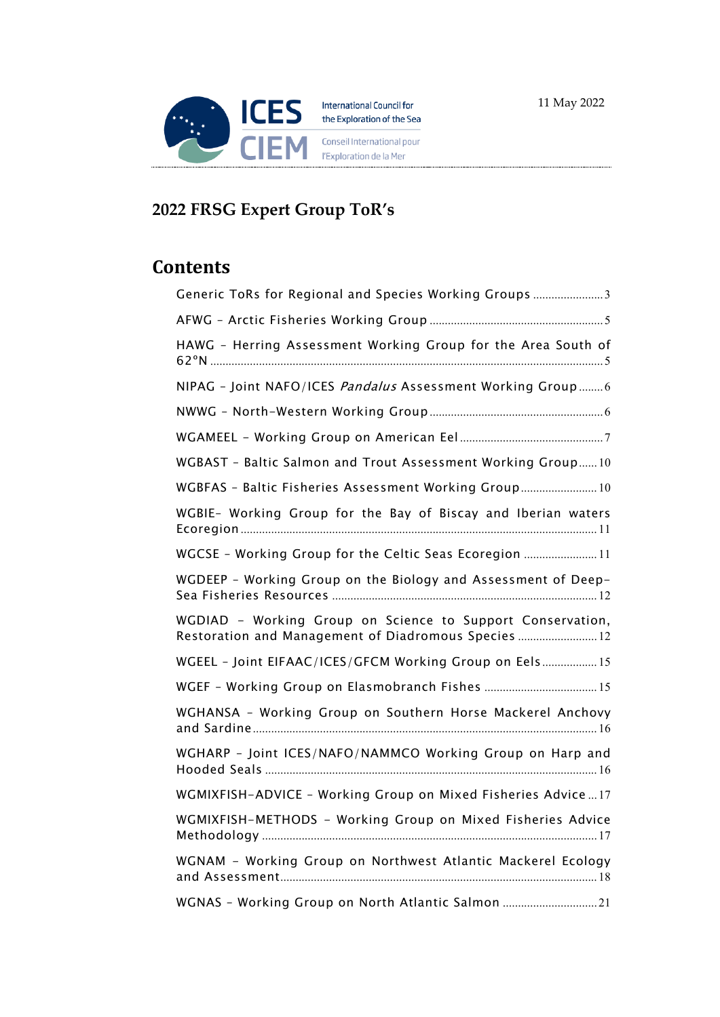

# **2022 FRSG Expert Group ToR's**

# **Contents**

| Generic ToRs for Regional and Species Working Groups 3                                                             |
|--------------------------------------------------------------------------------------------------------------------|
|                                                                                                                    |
| HAWG - Herring Assessment Working Group for the Area South of                                                      |
| NIPAG - Joint NAFO/ICES Pandalus Assessment Working Group 6                                                        |
|                                                                                                                    |
|                                                                                                                    |
| WGBAST - Baltic Salmon and Trout Assessment Working Group10                                                        |
| WGBFAS - Baltic Fisheries Assessment Working Group 10                                                              |
| WGBIE- Working Group for the Bay of Biscay and Iberian waters                                                      |
| WGCSE - Working Group for the Celtic Seas Ecoregion  11                                                            |
| WGDEEP - Working Group on the Biology and Assessment of Deep-                                                      |
| WGDIAD - Working Group on Science to Support Conservation,<br>Restoration and Management of Diadromous Species  12 |
| WGEEL - Joint EIFAAC/ICES/GFCM Working Group on Eels 15                                                            |
|                                                                                                                    |
| WGHANSA - Working Group on Southern Horse Mackerel Anchovy                                                         |
| WGHARP - Joint ICES/NAFO/NAMMCO Working Group on Harp and                                                          |
| WGMIXFISH-ADVICE - Working Group on Mixed Fisheries Advice17                                                       |
| WGMIXFISH-METHODS - Working Group on Mixed Fisheries Advice                                                        |
| WGNAM - Working Group on Northwest Atlantic Mackerel Ecology                                                       |
| WGNAS - Working Group on North Atlantic Salmon 21                                                                  |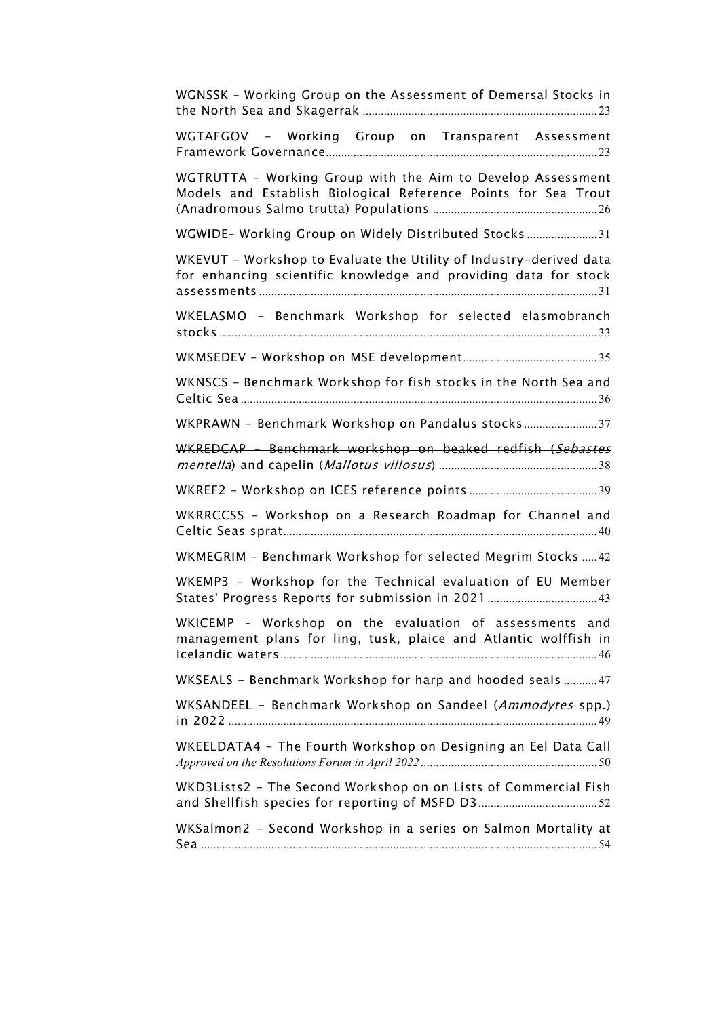| WGNSSK - Working Group on the Assessment of Demersal Stocks in                                                                        |
|---------------------------------------------------------------------------------------------------------------------------------------|
| WGTAFGOV - Working Group on Transparent Assessment                                                                                    |
| WGTRUTTA - Working Group with the Aim to Develop Assessment<br>Models and Establish Biological Reference Points for Sea Trout         |
| WGWIDE- Working Group on Widely Distributed Stocks  31                                                                                |
| WKEVUT - Workshop to Evaluate the Utility of Industry-derived data<br>for enhancing scientific knowledge and providing data for stock |
| WKELASMO - Benchmark Workshop for selected elasmobranch                                                                               |
|                                                                                                                                       |
| WKNSCS - Benchmark Workshop for fish stocks in the North Sea and                                                                      |
| WKPRAWN - Benchmark Workshop on Pandalus stocks37                                                                                     |
| WKREDCAP - Benchmark workshop on beaked redfish (Sebastes                                                                             |
|                                                                                                                                       |
| WKRRCCSS - Workshop on a Research Roadmap for Channel and                                                                             |
| WKMEGRIM - Benchmark Workshop for selected Megrim Stocks  42                                                                          |
| WKEMP3 - Workshop for the Technical evaluation of EU Member                                                                           |
| WKICEMP - Workshop on the evaluation of assessments and<br>management plans for ling, tusk, plaice and Atlantic wolffish in           |
| WKSEALS - Benchmark Workshop for harp and hooded seals  47                                                                            |
| WKSANDEEL - Benchmark Workshop on Sandeel (Ammodytes spp.)                                                                            |
| WKEELDATA4 - The Fourth Workshop on Designing an Eel Data Call                                                                        |
| WKD3Lists2 - The Second Workshop on on Lists of Commercial Fish                                                                       |
| WKSalmon2 - Second Workshop in a series on Salmon Mortality at                                                                        |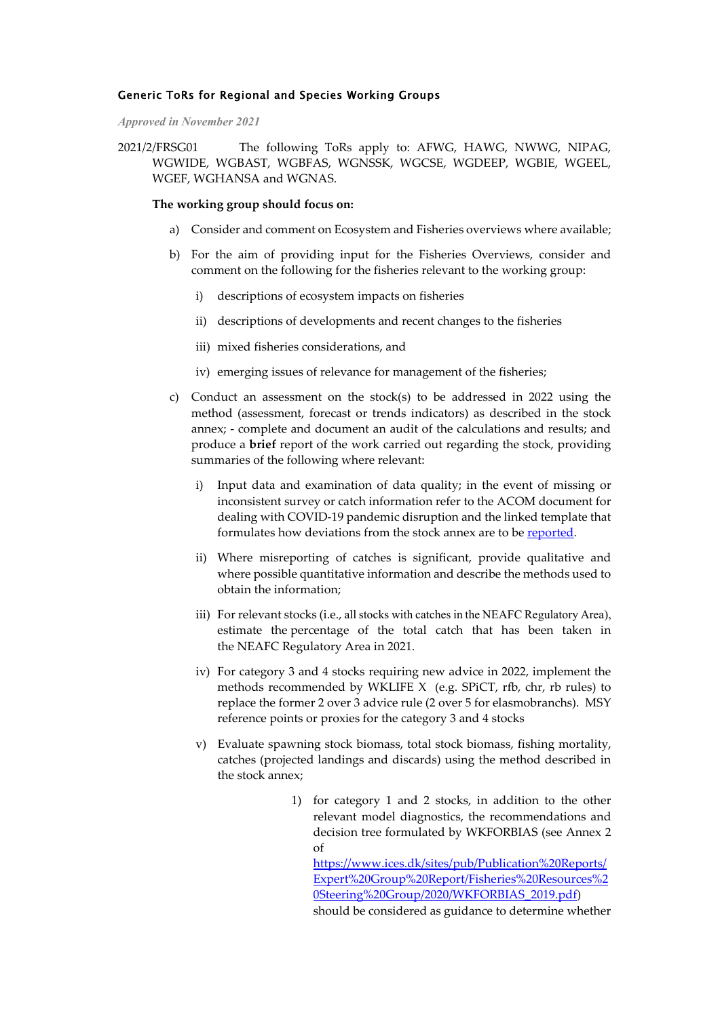### <span id="page-2-0"></span>Generic ToRs for Regional and Species Working Groups

*Approved in November 2021*

2021/2/FRSG01 The following ToRs apply to: AFWG, HAWG, NWWG, NIPAG, WGWIDE, WGBAST, WGBFAS, WGNSSK, WGCSE, WGDEEP, WGBIE, WGEEL, WGEF, WGHANSA and WGNAS.

### **The working group should focus on:**

- a) Consider and comment on Ecosystem and Fisheries overviews where available;
- b) For the aim of providing input for the Fisheries Overviews, consider and comment on the following for the fisheries relevant to the working group:
	- i) descriptions of ecosystem impacts on fisheries
	- ii) descriptions of developments and recent changes to the fisheries
	- iii) mixed fisheries considerations, and
	- iv) emerging issues of relevance for management of the fisheries;
- c) Conduct an assessment on the stock(s) to be addressed in 2022 using the method (assessment, forecast or trends indicators) as described in the stock annex; - complete and document an audit of the calculations and results; and produce a **brief** report of the work carried out regarding the stock, providing summaries of the following where relevant:
	- i) Input data and examination of data quality; in the event of missing or inconsistent survey or catch information refer to the ACOM document for dealing with COVID-19 pandemic disruption and the linked template that formulates how deviations from the stock annex are to be [reported.](http://ices.dk/about-ICES/Documents/Approaches_Missing_data_2020_and_template.pdf)
	- ii) Where misreporting of catches is significant, provide qualitative and where possible quantitative information and describe the methods used to obtain the information;
	- iii) For relevant stocks (i.e., all stocks with catches in the NEAFC Regulatory Area), estimate the percentage of the total catch that has been taken in the NEAFC Regulatory Area in 2021.
	- iv) For category 3 and 4 stocks requiring new advice in 2022, implement the methods recommended by WKLIFE X (e.g. SPiCT, rfb, chr, rb rules) to replace the former 2 over 3 advice rule (2 over 5 for elasmobranchs). MSY reference points or proxies for the category 3 and 4 stocks
	- v) Evaluate spawning stock biomass, total stock biomass, fishing mortality, catches (projected landings and discards) using the method described in the stock annex;
		- 1) for category 1 and 2 stocks, in addition to the other relevant model diagnostics, the recommendations and decision tree formulated by WKFORBIAS (see Annex 2 of [https://www.ices.dk/sites/pub/Publication%20Reports/](https://www.ices.dk/sites/pub/Publication%20Reports/Expert%20Group%20Report/Fisheries%20Resources%20Steering%20Group/2020/WKFORBIAS_2019.pdf) [Expert%20Group%20Report/Fisheries%20Resources%2](https://www.ices.dk/sites/pub/Publication%20Reports/Expert%20Group%20Report/Fisheries%20Resources%20Steering%20Group/2020/WKFORBIAS_2019.pdf) [0Steering%20Group/2020/WKFORBIAS\\_2019.pdf\)](https://www.ices.dk/sites/pub/Publication%20Reports/Expert%20Group%20Report/Fisheries%20Resources%20Steering%20Group/2020/WKFORBIAS_2019.pdf) should be considered as guidance to determine whether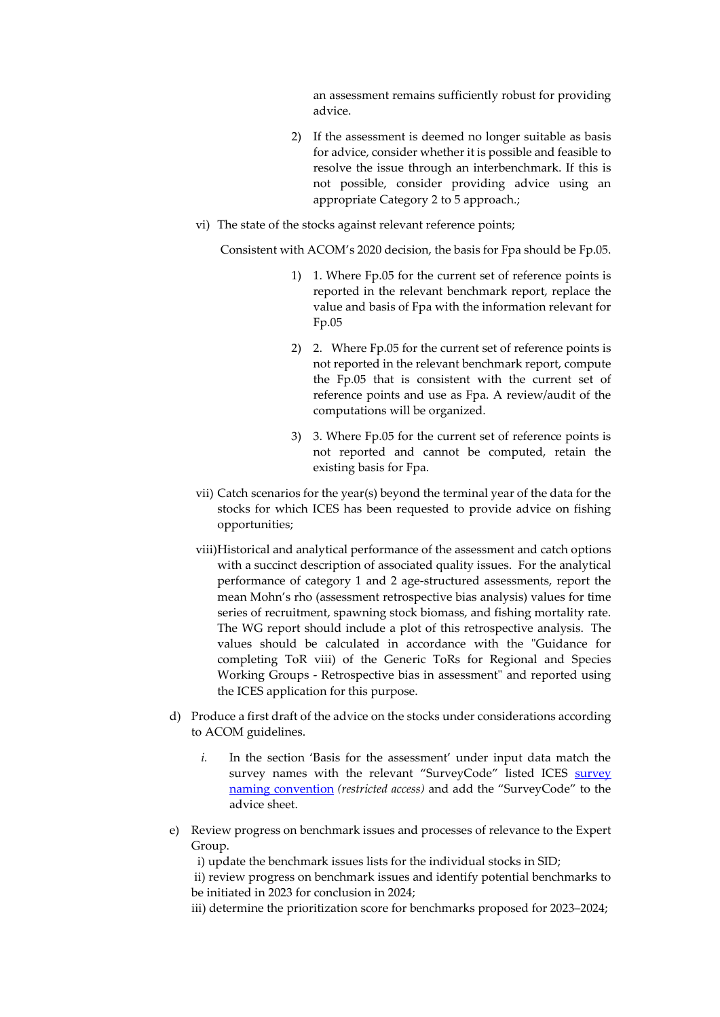an assessment remains sufficiently robust for providing advice.

- 2) If the assessment is deemed no longer suitable as basis for advice, consider whether it is possible and feasible to resolve the issue through an interbenchmark. If this is not possible, consider providing advice using an appropriate Category 2 to 5 approach.;
- vi) The state of the stocks against relevant reference points;

Consistent with ACOM's 2020 decision, the basis for Fpa should be Fp.05.

- 1) 1. Where Fp.05 for the current set of reference points is reported in the relevant benchmark report, replace the value and basis of Fpa with the information relevant for Fp.05
- 2) 2. Where Fp.05 for the current set of reference points is not reported in the relevant benchmark report, compute the Fp.05 that is consistent with the current set of reference points and use as Fpa. A review/audit of the computations will be organized.
- 3) 3. Where Fp.05 for the current set of reference points is not reported and cannot be computed, retain the existing basis for Fpa.
- vii) Catch scenarios for the year(s) beyond the terminal year of the data for the stocks for which ICES has been requested to provide advice on fishing opportunities;
- viii)Historical and analytical performance of the assessment and catch options with a succinct description of associated quality issues. For the analytical performance of category 1 and 2 age-structured assessments, report the mean Mohn's rho (assessment retrospective bias analysis) values for time series of recruitment, spawning stock biomass, and fishing mortality rate. The WG report should include a plot of this retrospective analysis. The values should be calculated in accordance with the ["Guidance for](https://community.ices.dk/ExpertGroups/Presentations/Shared%20Documents/Guide_MohnsRho_calculation_RetroBias.docx)  [completing ToR viii\) of the Generic ToRs for Regional and Species](https://community.ices.dk/ExpertGroups/Presentations/Shared%20Documents/Guide_MohnsRho_calculation_RetroBias.docx)  [Working Groups - Retrospective bias in assessment"](https://community.ices.dk/ExpertGroups/Presentations/Shared%20Documents/Guide_MohnsRho_calculation_RetroBias.docx) and reported using the [ICES application](http://community.ices.dk/ExpertGroups/_layouts/15/start.aspx#/Lists/retrobias2019/overview.aspx) for this purpose.
- d) Produce a first draft of the advice on the stocks under considerations according to ACOM guidelines.
	- *i.* In the section 'Basis for the assessment' under input data match the [survey](https://scanner.topsec.com/?d=1076&t=c04ca31970f91af46d9b76bbe95c9e908c729c91&u=https%3A%2F%2Fcommunity.ices.dk%2FExpertGroups%2FPresentations%2FShared%2520Documents%2FSurvey%2520codes_2021.xlsx) names with the relevant "SurveyCode" listed ICES survey [naming convention](https://scanner.topsec.com/?d=1076&t=c04ca31970f91af46d9b76bbe95c9e908c729c91&u=https%3A%2F%2Fcommunity.ices.dk%2FExpertGroups%2FPresentations%2FShared%2520Documents%2FSurvey%2520codes_2021.xlsx) *(restricted access)* and add the "SurveyCode" to the advice sheet.
- e) Review progress on benchmark issues and processes of relevance to the Expert Group.

i) update the benchmark issues lists for the individual stocks in SID;

ii) review progress on benchmark issues and identify potential benchmarks to be initiated in 2023 for conclusion in 2024;

iii) determine the prioritization score for benchmarks proposed for 2023–2024;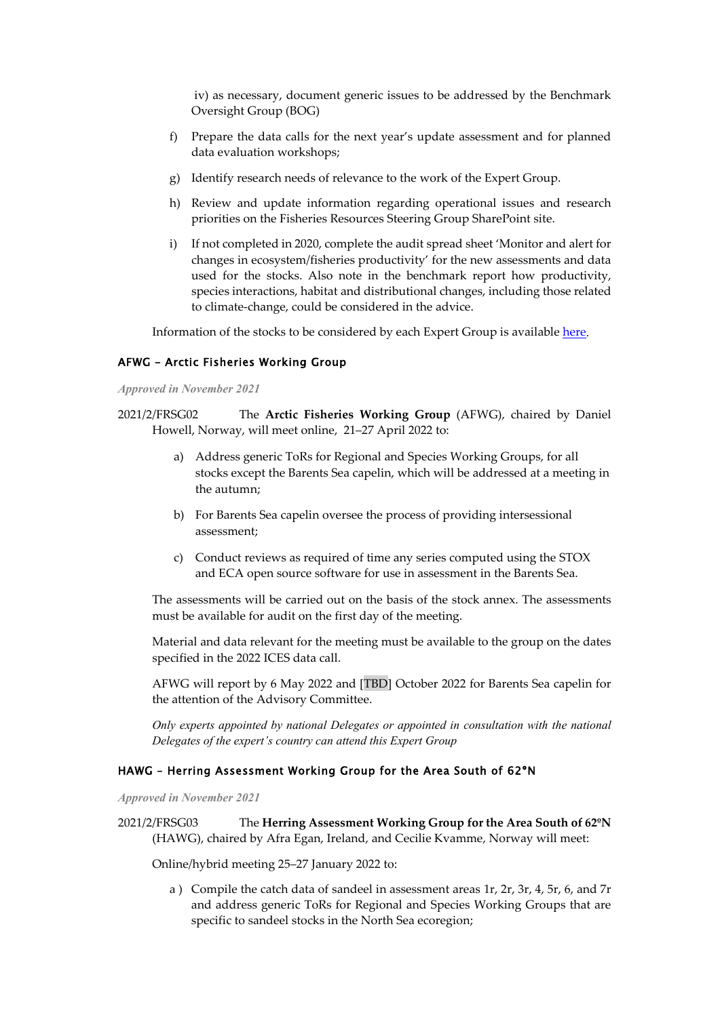iv) as necessary, document generic issues to be addressed by the Benchmark Oversight Group (BOG)

- f) Prepare the data calls for the next year's update assessment and for planned data evaluation workshops;
- g) Identify research needs of relevance to the work of the Expert Group.
- h) Review and update information regarding operational issues and research priorities on the Fisheries Resources Steering Group SharePoint site.
- i) If not completed in 2020, complete the audit spread sheet 'Monitor and alert for changes in ecosystem/fisheries productivity' for the new assessments and data used for the stocks. Also note in the benchmark report how productivity, species interactions, habitat and distributional changes, including those related to climate-change, could be considered in the advice.

Information of the stocks to be considered by each Expert Group is available [here.](https://sld.ices.dk/)

### <span id="page-4-0"></span>AFWG – Arctic Fisheries Working Group

#### *Approved in November 2021*

2021/2/FRSG02 The **Arctic Fisheries Working Group** (AFWG), chaired by Daniel Howell, Norway, will meet online, 21–27 April 2022 to:

- a) Address generic ToRs for Regional and Species Working Groups, for all stocks except the Barents Sea capelin, which will be addressed at a meeting in the autumn;
- b) For Barents Sea capelin oversee the process of providing intersessional assessment;
- c) Conduct reviews as required of time any series computed using the STOX and ECA open source software for use in assessment in the Barents Sea.

The assessments will be carried out on the basis of the stock annex. The assessments must be available for audit on the first day of the meeting.

Material and data relevant for the meeting must be available to the group on the dates specified in the 2022 ICES data call.

AFWG will report by 6 May 2022 and [TBD] October 2022 for Barents Sea capelin for the attention of the Advisory Committee.

*Only experts appointed by national Delegates or appointed in consultation with the national Delegates of the expert's country can attend this Expert Group*

#### <span id="page-4-1"></span>HAWG – Herring Assessment Working Group for the Area South of 62ºN

*Approved in November 2021*

2021/2/FRSG03 The **Herring Assessment Working Group for the Area South of 62ºN** (HAWG), chaired by Afra Egan, Ireland, and Cecilie Kvamme, Norway will meet:

Online/hybrid meeting 25–27 January 2022 to:

a ) Compile the catch data of sandeel in assessment areas 1r, 2r, 3r, 4, 5r, 6, and 7r and address generic ToRs for Regional and Species Working Groups that are specific to sandeel stocks in the North Sea ecoregion;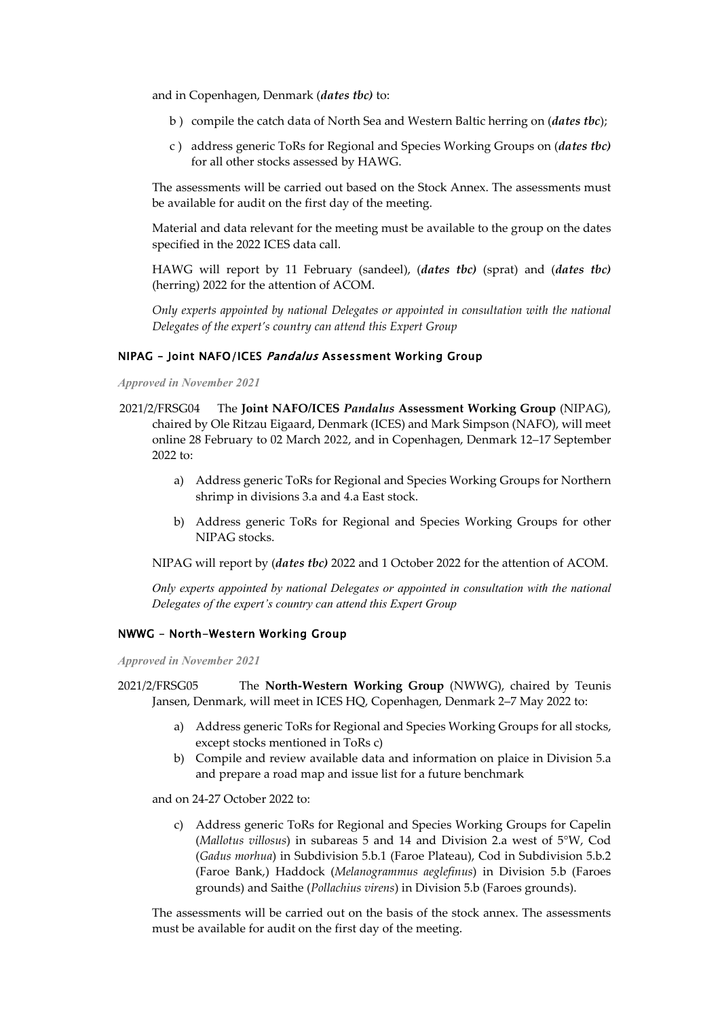and in Copenhagen, Denmark (*dates tbc)* to:

- b ) compile the catch data of North Sea and Western Baltic herring on (*dates tbc*);
- c ) address generic ToRs for Regional and Species Working Groups on (*dates tbc)* for all other stocks assessed by HAWG.

The assessments will be carried out based on the Stock Annex. The assessments must be available for audit on the first day of the meeting.

Material and data relevant for the meeting must be available to the group on the dates specified in the 2022 ICES data call.

HAWG will report by 11 February (sandeel), (*dates tbc)* (sprat) and (*dates tbc)* (herring) 2022 for the attention of ACOM.

*Only experts appointed by national Delegates or appointed in consultation with the national Delegates of the expert's country can attend this Expert Group*

### <span id="page-5-0"></span>NIPAG - Joint NAFO/ICES Pandalus Assessment Working Group

*Approved in November 2021*

- 2021/2/FRSG04 The **Joint NAFO/ICES** *Pandalus* **Assessment Working Group** (NIPAG), chaired by Ole Ritzau Eigaard, Denmark (ICES) and Mark Simpson (NAFO), will meet online 28 February to 02 March 2022, and in Copenhagen, Denmark 12–17 September 2022 to:
	- a) Address generic ToRs for Regional and Species Working Groups for Northern shrimp in divisions 3.a and 4.a East stock.
	- b) Address generic ToRs for Regional and Species Working Groups for other NIPAG stocks.

NIPAG will report by (*dates tbc)* 2022 and 1 October 2022 for the attention of ACOM.

*Only experts appointed by national Delegates or appointed in consultation with the national Delegates of the expert's country can attend this Expert Group*

### <span id="page-5-1"></span>NWWG – North-Western Working Group

*Approved in November 2021*

2021/2/FRSG05 The **North-Western Working Group** (NWWG), chaired by Teunis Jansen, Denmark, will meet in ICES HQ, Copenhagen, Denmark 2–7 May 2022 to:

- a) Address generic ToRs for Regional and Species Working Groups for all stocks, except stocks mentioned in ToRs c)
- b) Compile and review available data and information on plaice in Division 5.a and prepare a road map and issue list for a future benchmark

and on 24-27 October 2022 to:

c) Address generic ToRs for Regional and Species Working Groups for Capelin (*Mallotus villosus*) in subareas 5 and 14 and Division 2.a west of 5°W, Cod (*Gadus morhua*) in Subdivision 5.b.1 (Faroe Plateau), Cod in Subdivision 5.b.2 (Faroe Bank,) Haddock (*Melanogrammus aeglefinus*) in Division 5.b (Faroes grounds) and Saithe (*Pollachius virens*) in Division 5.b (Faroes grounds).

The assessments will be carried out on the basis of the stock annex. The assessments must be available for audit on the first day of the meeting.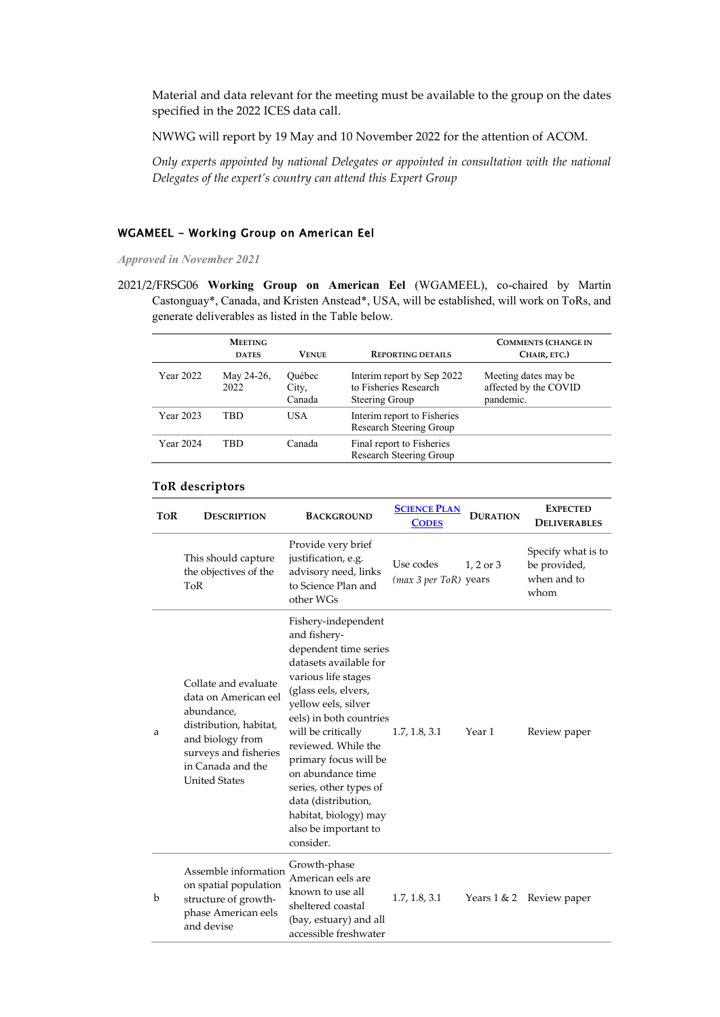Material and data relevant for the meeting must be available to the group on the dates specified in the 2022 ICES data call.

NWWG will report by 19 May and 10 November 2022 for the attention of ACOM.

*Only experts appointed by national Delegates or appointed in consultation with the national Delegates of the expert's country can attend this Expert Group*

### <span id="page-6-0"></span>WGAMEEL - Working Group on American Eel

*Approved in November 2021*

2021/2/FRSG06 **Working Group on American Eel** (WGAMEEL), co-chaired by Martin Castonguay\*, Canada, and Kristen Anstead\*, USA, will be established, will work on ToRs, and generate deliverables as listed in the Table below.

|                  | <b>MEETING</b><br><b>DATES</b> | <b>VENUE</b>              | <b>REPORTING DETAILS</b>                                              | <b>COMMENTS (CHANGE IN</b><br>CHAIR, ETC.)                 |
|------------------|--------------------------------|---------------------------|-----------------------------------------------------------------------|------------------------------------------------------------|
| <b>Year 2022</b> | May 24-26,<br>2022             | Ouébec<br>City,<br>Canada | Interim report by Sep 2022<br>to Fisheries Research<br>Steering Group | Meeting dates may be<br>affected by the COVID<br>pandemic. |
| <b>Year 2023</b> | TBD                            | USA.                      | Interim report to Fisheries<br>Research Steering Group                |                                                            |
| <b>Year 2024</b> | TRD.                           | Canada                    | Final report to Fisheries<br>Research Steering Group                  |                                                            |

#### **ToR descriptors**

| <b>TOR</b> | <b>DESCRIPTION</b>                                                                                                                                                             | <b>BACKGROUND</b>                                                                                                                                                                                                                                                                                                                                                                                 | <b>SCIENCE PLAN</b><br><b>CODES</b> | <b>DURATION</b> | <b>EXPECTED</b><br><b>DELIVERABLES</b>                    |
|------------|--------------------------------------------------------------------------------------------------------------------------------------------------------------------------------|---------------------------------------------------------------------------------------------------------------------------------------------------------------------------------------------------------------------------------------------------------------------------------------------------------------------------------------------------------------------------------------------------|-------------------------------------|-----------------|-----------------------------------------------------------|
|            | This should capture<br>the objectives of the<br>ToR                                                                                                                            | Provide very brief<br>justification, e.g.<br>advisory need, links<br>to Science Plan and<br>other WGs                                                                                                                                                                                                                                                                                             | Use codes<br>(max 3 per ToR) years  | $1, 2$ or $3$   | Specify what is to<br>be provided,<br>when and to<br>whom |
| a          | Collate and evaluate<br>data on American eel<br>abundance,<br>distribution, habitat,<br>and biology from<br>surveys and fisheries<br>in Canada and the<br><b>United States</b> | Fishery-independent<br>and fishery-<br>dependent time series<br>datasets available for<br>various life stages<br>(glass eels, elvers,<br>yellow eels, silver<br>eels) in both countries<br>will be critically<br>reviewed. While the<br>primary focus will be<br>on abundance time<br>series, other types of<br>data (distribution,<br>habitat, biology) may<br>also be important to<br>consider. | 1.7, 1.8, 3.1                       | Year 1          | Review paper                                              |
| b          | Assemble information<br>on spatial population<br>structure of growth-<br>phase American eels<br>and devise                                                                     | Growth-phase<br>American eels are<br>known to use all<br>sheltered coastal<br>(bay, estuary) and all<br>accessible freshwater                                                                                                                                                                                                                                                                     | 1.7, 1.8, 3.1                       | Years $1 & 2$   | Review paper                                              |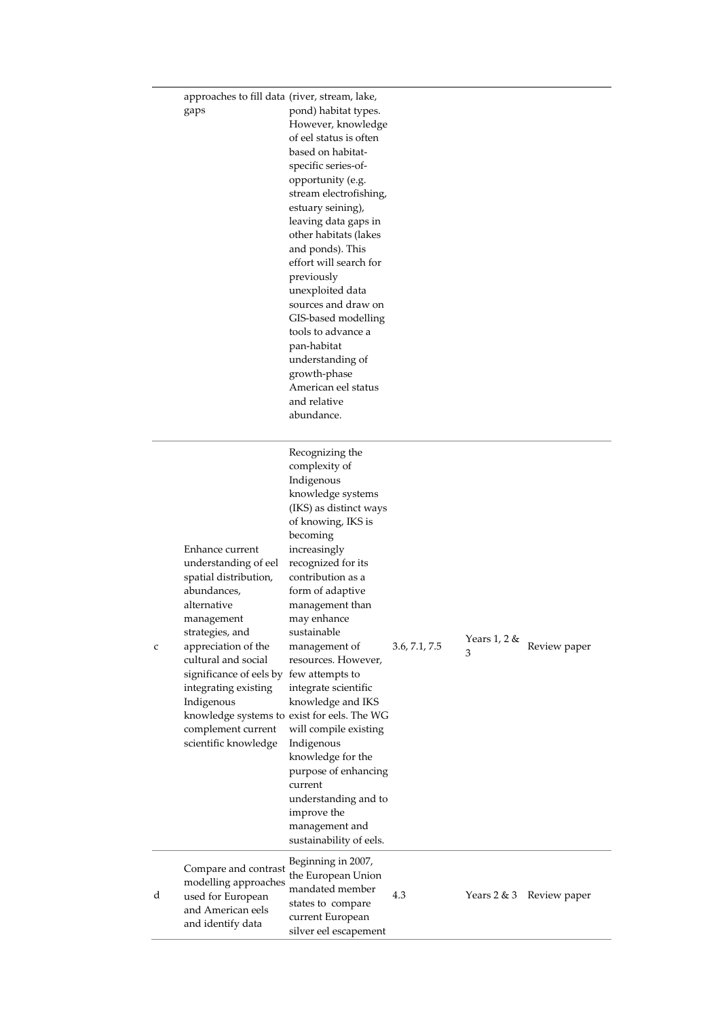|   | approaches to fill data (river, stream, lake,<br>gaps                                                                                                                                                                                                                                                        | pond) habitat types.<br>However, knowledge<br>of eel status is often<br>based on habitat-<br>specific series-of-<br>opportunity (e.g.<br>stream electrofishing,<br>estuary seining),<br>leaving data gaps in<br>other habitats (lakes<br>and ponds). This<br>effort will search for<br>previously<br>unexploited data<br>sources and draw on<br>GIS-based modelling<br>tools to advance a<br>pan-habitat<br>understanding of<br>growth-phase<br>American eel status<br>and relative<br>abundance.                                                                                      |               |                   |              |
|---|--------------------------------------------------------------------------------------------------------------------------------------------------------------------------------------------------------------------------------------------------------------------------------------------------------------|----------------------------------------------------------------------------------------------------------------------------------------------------------------------------------------------------------------------------------------------------------------------------------------------------------------------------------------------------------------------------------------------------------------------------------------------------------------------------------------------------------------------------------------------------------------------------------------|---------------|-------------------|--------------|
| c | Enhance current<br>understanding of eel<br>spatial distribution,<br>abundances,<br>alternative<br>management<br>strategies, and<br>appreciation of the<br>cultural and social<br>significance of eels by few attempts to<br>integrating existing<br>Indigenous<br>complement current<br>scientific knowledge | Recognizing the<br>complexity of<br>Indigenous<br>knowledge systems<br>(IKS) as distinct ways<br>of knowing, IKS is<br>becoming<br>increasingly<br>recognized for its<br>contribution as a<br>form of adaptive<br>management than<br>may enhance<br>sustainable<br>management of<br>resources. However,<br>integrate scientific<br>knowledge and IKS<br>knowledge systems to exist for eels. The WG<br>will compile existing<br>Indigenous<br>knowledge for the<br>purpose of enhancing<br>current<br>understanding and to<br>improve the<br>management and<br>sustainability of eels. | 3.6, 7.1, 7.5 | Years 1, 2 &<br>3 | Review paper |
| d | Compare and contrast<br>modelling approaches<br>used for European<br>and American eels<br>and identify data                                                                                                                                                                                                  | Beginning in 2007,<br>the European Union<br>mandated member<br>states to compare<br>current European<br>silver eel escapement                                                                                                                                                                                                                                                                                                                                                                                                                                                          | 4.3           | Years 2 & 3       | Review paper |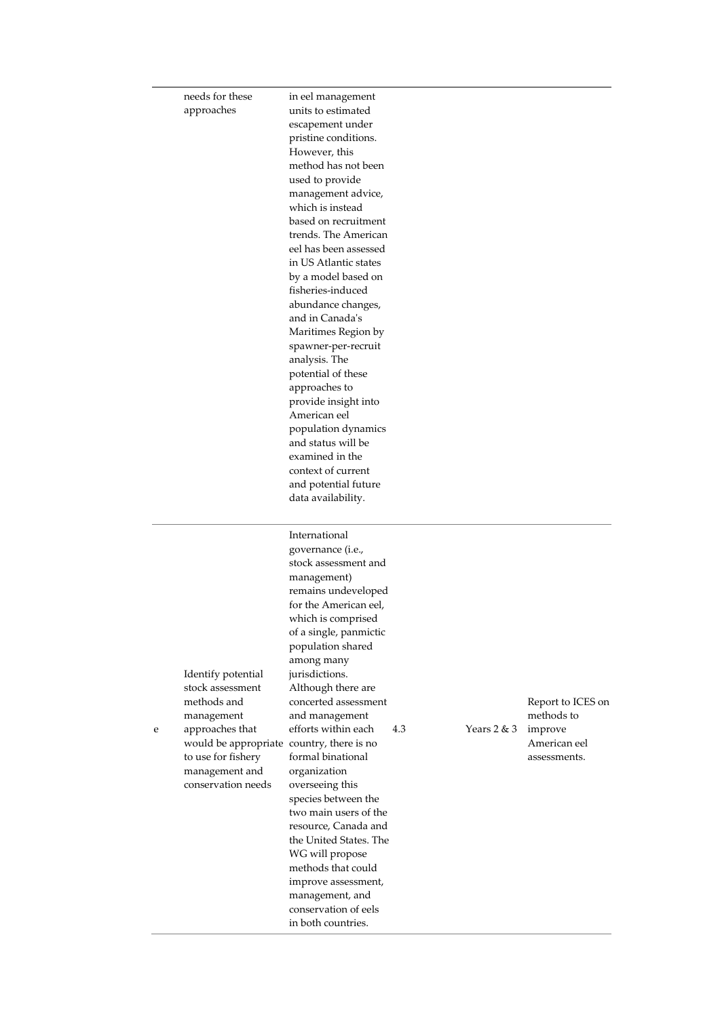|   | needs for these<br>approaches                                                                                                                                                                     | in eel management<br>units to estimated<br>escapement under<br>pristine conditions.<br>However, this<br>method has not been<br>used to provide<br>management advice,<br>which is instead<br>based on recruitment<br>trends. The American<br>eel has been assessed<br>in US Atlantic states<br>by a model based on<br>fisheries-induced<br>abundance changes,<br>and in Canada's<br>Maritimes Region by<br>spawner-per-recruit<br>analysis. The<br>potential of these<br>approaches to<br>provide insight into<br>American eel<br>population dynamics<br>and status will be<br>examined in the<br>context of current<br>and potential future<br>data availability. |     |               |                                                                            |
|---|---------------------------------------------------------------------------------------------------------------------------------------------------------------------------------------------------|-------------------------------------------------------------------------------------------------------------------------------------------------------------------------------------------------------------------------------------------------------------------------------------------------------------------------------------------------------------------------------------------------------------------------------------------------------------------------------------------------------------------------------------------------------------------------------------------------------------------------------------------------------------------|-----|---------------|----------------------------------------------------------------------------|
| e | Identify potential<br>stock assessment<br>methods and<br>management<br>approaches that<br>would be appropriate country, there is no<br>to use for fishery<br>management and<br>conservation needs | International<br>governance (i.e.,<br>stock assessment and<br>management)<br>remains undeveloped<br>for the American eel,<br>which is comprised<br>of a single, panmictic<br>population shared<br>among many<br>jurisdictions.<br>Although there are<br>concerted assessment<br>and management<br>efforts within each<br>formal binational<br>organization<br>overseeing this<br>species between the<br>two main users of the<br>resource, Canada and<br>the United States. The<br>WG will propose<br>methods that could<br>improve assessment,<br>management, and<br>conservation of eels<br>in both countries.                                                  | 4.3 | Years $2 & 3$ | Report to ICES on<br>methods to<br>improve<br>American eel<br>assessments. |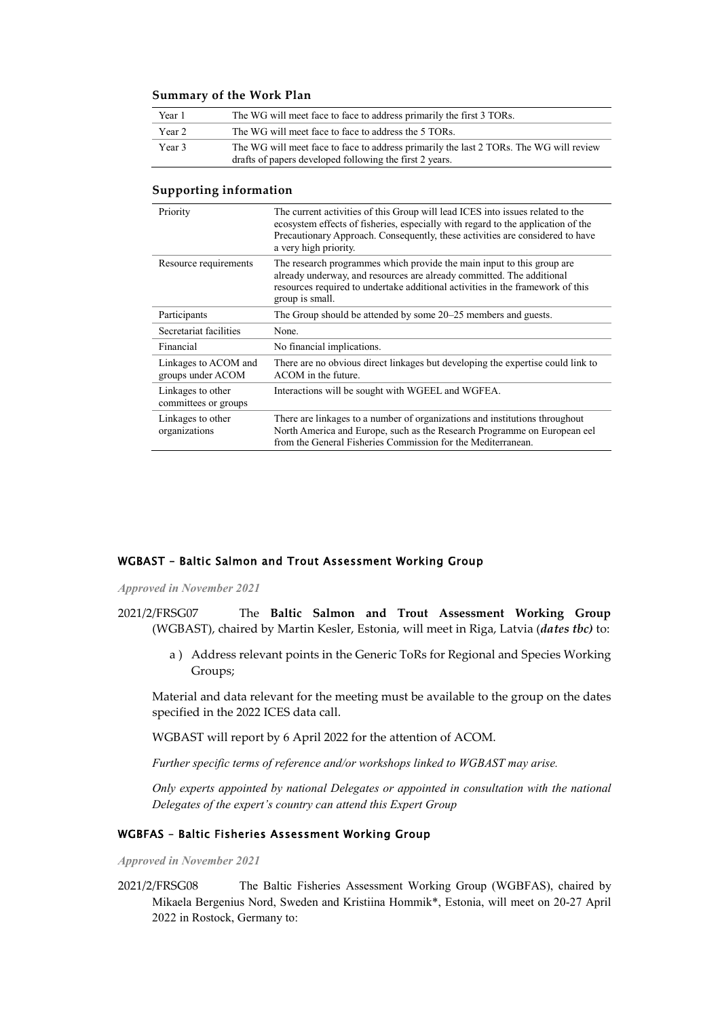#### **Summary of the Work Plan**

| Year 1 | The WG will meet face to face to address primarily the first 3 TORs.                                                                              |
|--------|---------------------------------------------------------------------------------------------------------------------------------------------------|
| Year 2 | The WG will meet face to face to address the 5 TORs.                                                                                              |
| Year 3 | The WG will meet face to face to address primarily the last 2 TORs. The WG will review<br>drafts of papers developed following the first 2 years. |

#### **Supporting information**

| Priority                                  | The current activities of this Group will lead ICES into issues related to the<br>ecosystem effects of fisheries, especially with regard to the application of the<br>Precautionary Approach. Consequently, these activities are considered to have<br>a very high priority. |
|-------------------------------------------|------------------------------------------------------------------------------------------------------------------------------------------------------------------------------------------------------------------------------------------------------------------------------|
| Resource requirements                     | The research programmes which provide the main input to this group are<br>already underway, and resources are already committed. The additional<br>resources required to undertake additional activities in the framework of this<br>group is small.                         |
| Participants                              | The Group should be attended by some 20–25 members and guests.                                                                                                                                                                                                               |
| Secretariat facilities                    | None.                                                                                                                                                                                                                                                                        |
| Financial                                 | No financial implications.                                                                                                                                                                                                                                                   |
| Linkages to ACOM and<br>groups under ACOM | There are no obvious direct linkages but developing the expertise could link to<br>ACOM in the future.                                                                                                                                                                       |
| Linkages to other<br>committees or groups | Interactions will be sought with WGEEL and WGFEA.                                                                                                                                                                                                                            |
| Linkages to other<br>organizations        | There are linkages to a number of organizations and institutions throughout<br>North America and Europe, such as the Research Programme on European eel<br>from the General Fisheries Commission for the Mediterranean.                                                      |

### <span id="page-9-0"></span>WGBAST – Baltic Salmon and Trout Assessment Working Group

*Approved in November 2021*

- 2021/2/FRSG07 The **Baltic Salmon and Trout Assessment Working Group** (WGBAST), chaired by Martin Kesler, Estonia, will meet in Riga, Latvia (*dates tbc)* to:
	- a ) Address relevant points in the Generic ToRs for Regional and Species Working Groups;

Material and data relevant for the meeting must be available to the group on the dates specified in the 2022 ICES data call.

WGBAST will report by 6 April 2022 for the attention of ACOM.

*Further specific terms of reference and/or workshops linked to WGBAST may arise.*

*Only experts appointed by national Delegates or appointed in consultation with the national Delegates of the expert's country can attend this Expert Group*

#### <span id="page-9-1"></span>WGBFAS – Baltic Fisheries Assessment Working Group

*Approved in November 2021*

2021/2/FRSG08 The Baltic Fisheries Assessment Working Group (WGBFAS), chaired by Mikaela Bergenius Nord, Sweden and Kristiina Hommik\*, Estonia, will meet on 20-27 April 2022 in Rostock, Germany to: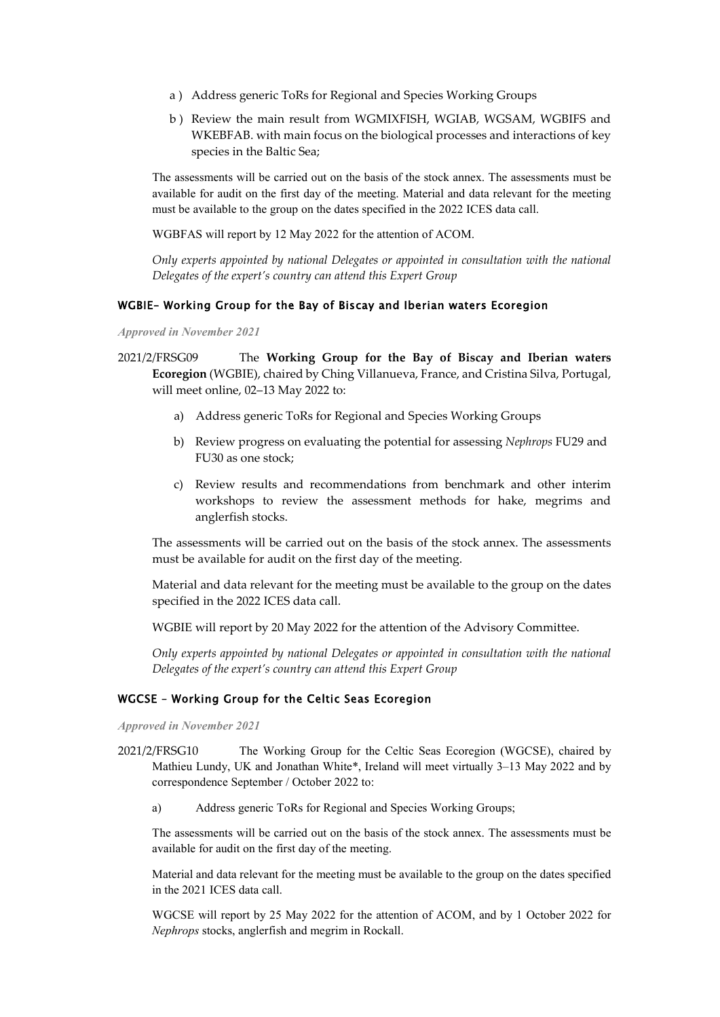- a ) Address generic ToRs for Regional and Species Working Groups
- b ) Review the main result from WGMIXFISH, WGIAB, WGSAM, WGBIFS and WKEBFAB. with main focus on the biological processes and interactions of key species in the Baltic Sea;

The assessments will be carried out on the basis of the stock annex. The assessments must be available for audit on the first day of the meeting. Material and data relevant for the meeting must be available to the group on the dates specified in the 2022 ICES data call.

WGBFAS will report by 12 May 2022 for the attention of ACOM.

*Only experts appointed by national Delegates or appointed in consultation with the national Delegates of the expert's country can attend this Expert Group*

#### <span id="page-10-0"></span>WGBIE– Working Group for the Bay of Biscay and Iberian waters Ecoregion

*Approved in November 2021*

- 2021/2/FRSG09 The **Working Group for the Bay of Biscay and Iberian waters Ecoregion** (WGBIE), chaired by Ching Villanueva, France, and Cristina Silva, Portugal, will meet online, 02–13 May 2022 to:
	- a) Address generic ToRs for Regional and Species Working Groups
	- b) Review progress on evaluating the potential for assessing *Nephrops* FU29 and FU30 as one stock;
	- c) Review results and recommendations from benchmark and other interim workshops to review the assessment methods for hake, megrims and anglerfish stocks.

The assessments will be carried out on the basis of the stock annex. The assessments must be available for audit on the first day of the meeting.

Material and data relevant for the meeting must be available to the group on the dates specified in the 2022 ICES data call.

WGBIE will report by 20 May 2022 for the attention of the Advisory Committee.

*Only experts appointed by national Delegates or appointed in consultation with the national Delegates of the expert's country can attend this Expert Group*

### <span id="page-10-1"></span>WGCSE – Working Group for the Celtic Seas Ecoregion

*Approved in November 2021*

- 2021/2/FRSG10 The Working Group for the Celtic Seas Ecoregion (WGCSE), chaired by Mathieu Lundy, UK and Jonathan White\*, Ireland will meet virtually 3–13 May 2022 and by correspondence September / October 2022 to:
	- a) Address generic ToRs for Regional and Species Working Groups;

The assessments will be carried out on the basis of the stock annex. The assessments must be available for audit on the first day of the meeting.

Material and data relevant for the meeting must be available to the group on the dates specified in the 2021 ICES data call.

WGCSE will report by 25 May 2022 for the attention of ACOM, and by 1 October 2022 for *Nephrops* stocks, anglerfish and megrim in Rockall.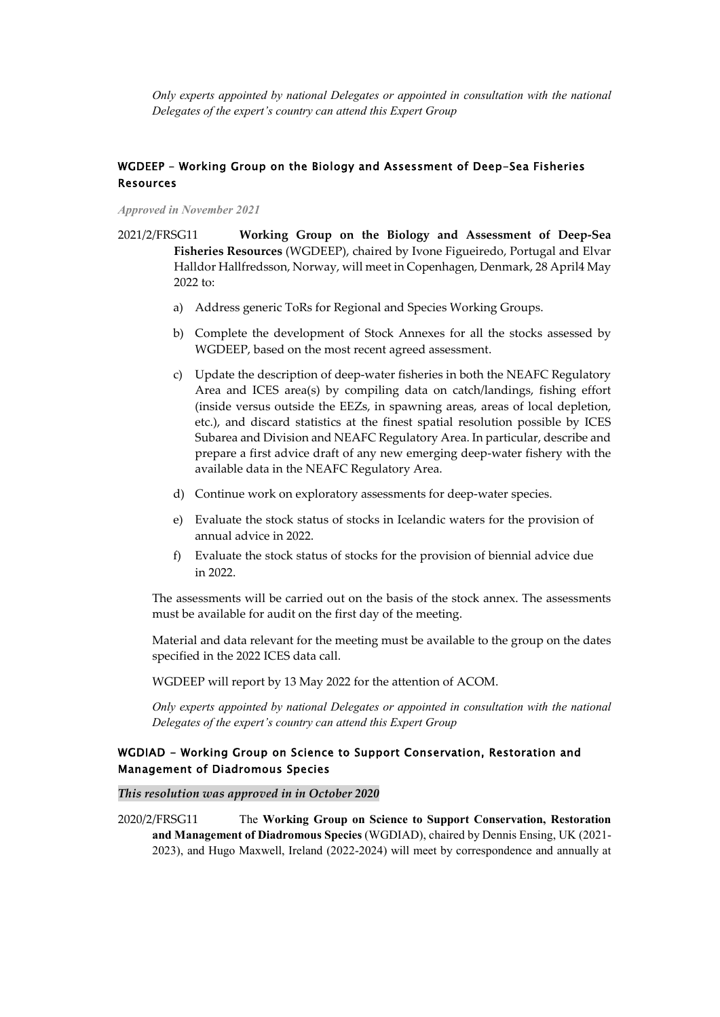*Only experts appointed by national Delegates or appointed in consultation with the national Delegates of the expert's country can attend this Expert Group*

### <span id="page-11-0"></span>WGDEEP – Working Group on the Biology and Assessment of Deep-Sea Fisheries Resources

*Approved in November 2021*

2021/2/FRSG11 **Working Group on the Biology and Assessment of Deep-Sea Fisheries Resources** (WGDEEP), chaired by Ivone Figueiredo, Portugal and Elvar Halldor Hallfredsson, Norway, will meet in Copenhagen, Denmark, 28 April4 May 2022 to:

- a) Address generic ToRs for Regional and Species Working Groups.
- b) Complete the development of Stock Annexes for all the stocks assessed by WGDEEP, based on the most recent agreed assessment.
- c) Update the description of deep-water fisheries in both the NEAFC Regulatory Area and ICES area(s) by compiling data on catch/landings, fishing effort (inside versus outside the EEZs, in spawning areas, areas of local depletion, etc.), and discard statistics at the finest spatial resolution possible by ICES Subarea and Division and NEAFC Regulatory Area. In particular, describe and prepare a first advice draft of any new emerging deep-water fishery with the available data in the NEAFC Regulatory Area.
- d) Continue work on exploratory assessments for deep-water species.
- e) Evaluate the stock status of stocks in Icelandic waters for the provision of annual advice in 2022.
- f) Evaluate the stock status of stocks for the provision of biennial advice due in 2022.

The assessments will be carried out on the basis of the stock annex. The assessments must be available for audit on the first day of the meeting.

Material and data relevant for the meeting must be available to the group on the dates specified in the 2022 ICES data call.

WGDEEP will report by 13 May 2022 for the attention of ACOM.

*Only experts appointed by national Delegates or appointed in consultation with the national Delegates of the expert's country can attend this Expert Group*

### <span id="page-11-1"></span>WGDIAD - Working Group on Science to Support Conservation, Restoration and Management of Diadromous Species

*This resolution was approved in in October 2020*

2020/2/FRSG11 The **Working Group on Science to Support Conservation, Restoration and Management of Diadromous Species** (WGDIAD), chaired by Dennis Ensing, UK (2021- 2023), and Hugo Maxwell, Ireland (2022-2024) will meet by correspondence and annually at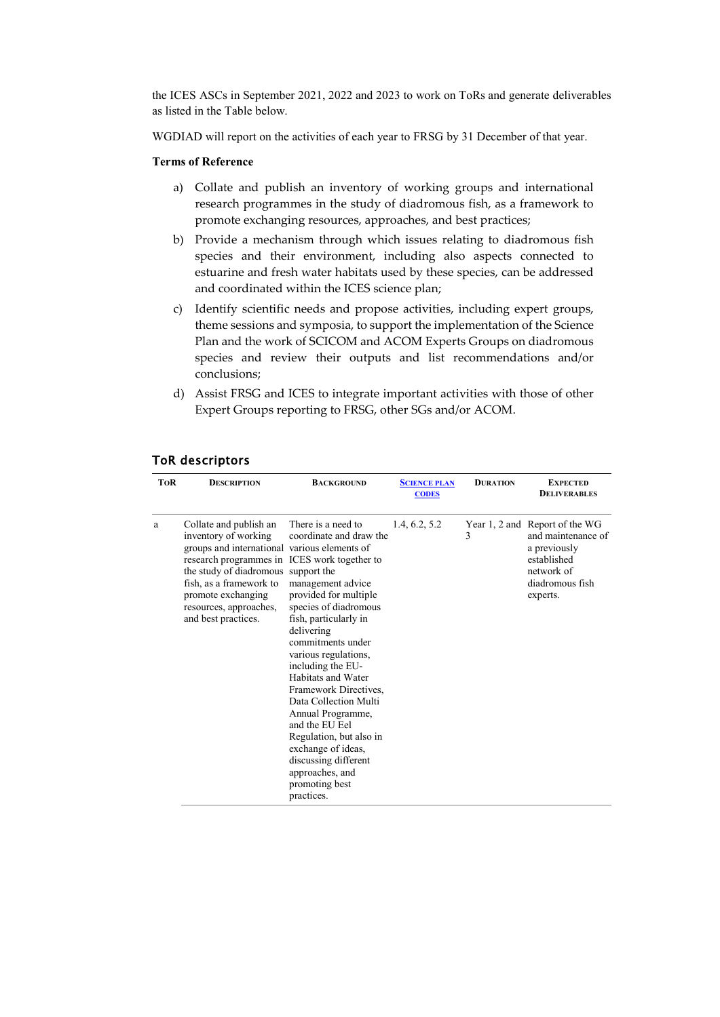the ICES ASCs in September 2021, 2022 and 2023 to work on ToRs and generate deliverables as listed in the Table below.

WGDIAD will report on the activities of each year to FRSG by 31 December of that year.

#### **Terms of Reference**

- a) Collate and publish an inventory of working groups and international research programmes in the study of diadromous fish, as a framework to promote exchanging resources, approaches, and best practices;
- b) Provide a mechanism through which issues relating to diadromous fish species and their environment, including also aspects connected to estuarine and fresh water habitats used by these species, can be addressed and coordinated within the ICES science plan;
- c) Identify scientific needs and propose activities, including expert groups, theme sessions and symposia, to support the implementation of the Science Plan and the work of SCICOM and ACOM Experts Groups on diadromous species and review their outputs and list recommendations and/or conclusions;
- d) Assist FRSG and ICES to integrate important activities with those of other Expert Groups reporting to FRSG, other SGs and/or ACOM.

| <b>TOR</b> | <b>DESCRIPTION</b>                                                                                                                                                                                                                                                                      | <b>BACKGROUND</b>                                                                                                                                                                                                                                                                                                                                                                                                                                                        | <b>SCIENCE PLAN</b><br><b>CODES</b> | <b>DURATION</b> | <b>EXPECTED</b><br><b>DELIVERABLES</b>                                                                                           |
|------------|-----------------------------------------------------------------------------------------------------------------------------------------------------------------------------------------------------------------------------------------------------------------------------------------|--------------------------------------------------------------------------------------------------------------------------------------------------------------------------------------------------------------------------------------------------------------------------------------------------------------------------------------------------------------------------------------------------------------------------------------------------------------------------|-------------------------------------|-----------------|----------------------------------------------------------------------------------------------------------------------------------|
| a          | Collate and publish an<br>inventory of working<br>groups and international various elements of<br>research programmes in ICES work together to<br>the study of diadromous support the<br>fish, as a framework to<br>promote exchanging<br>resources, approaches,<br>and best practices. | There is a need to<br>coordinate and draw the<br>management advice<br>provided for multiple<br>species of diadromous<br>fish, particularly in<br>delivering<br>commitments under<br>various regulations,<br>including the EU-<br>Habitats and Water<br>Framework Directives,<br>Data Collection Multi<br>Annual Programme,<br>and the EU Eel<br>Regulation, but also in<br>exchange of ideas,<br>discussing different<br>approaches, and<br>promoting best<br>practices. | 1.4, 6.2, 5.2                       | 3               | Year 1, 2 and Report of the WG<br>and maintenance of<br>a previously<br>established<br>network of<br>diadromous fish<br>experts. |

### ToR descriptors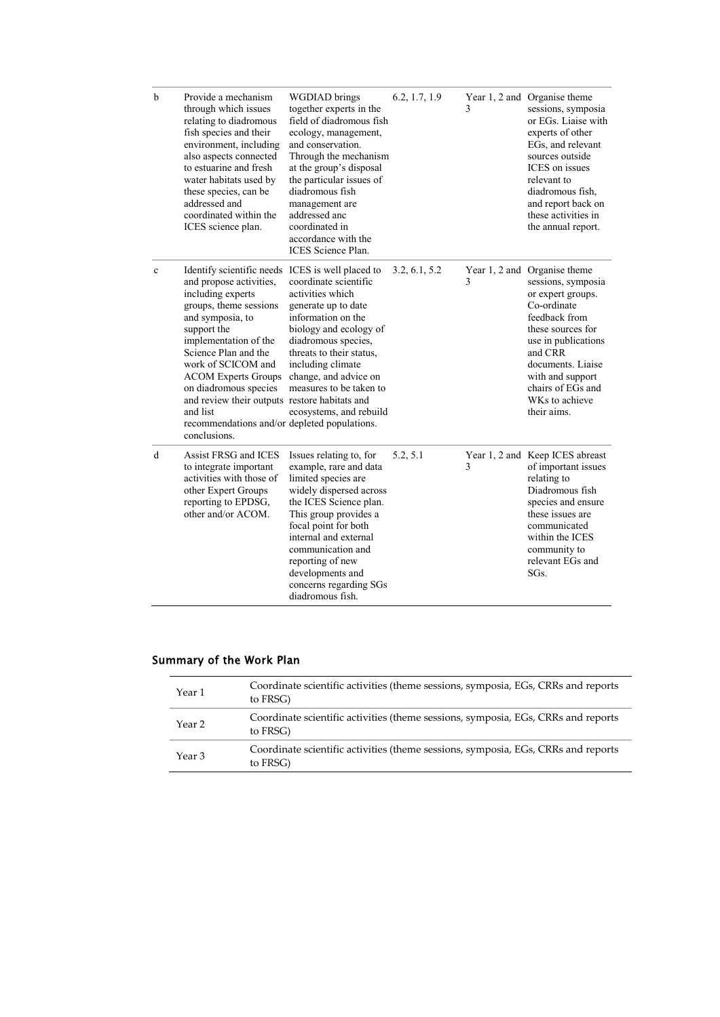| $\mathbf b$  | Provide a mechanism<br>through which issues<br>relating to diadromous<br>fish species and their<br>environment, including<br>also aspects connected<br>to estuarine and fresh<br>water habitats used by<br>these species, can be<br>addressed and<br>coordinated within the<br>ICES science plan.                                                                                                                        | <b>WGDIAD</b> brings<br>together experts in the<br>field of diadromous fish<br>ecology, management,<br>and conservation.<br>Through the mechanism<br>at the group's disposal<br>the particular issues of<br>diadromous fish<br>management are<br>addressed anc<br>coordinated in<br>accordance with the<br><b>ICES</b> Science Plan. | 6.2, 1.7, 1.9 | 3 | Year 1, 2 and Organise theme<br>sessions, symposia<br>or EGs. Liaise with<br>experts of other<br>EGs, and relevant<br>sources outside<br>ICES on issues<br>relevant to<br>diadromous fish,<br>and report back on<br>these activities in<br>the annual report. |
|--------------|--------------------------------------------------------------------------------------------------------------------------------------------------------------------------------------------------------------------------------------------------------------------------------------------------------------------------------------------------------------------------------------------------------------------------|--------------------------------------------------------------------------------------------------------------------------------------------------------------------------------------------------------------------------------------------------------------------------------------------------------------------------------------|---------------|---|---------------------------------------------------------------------------------------------------------------------------------------------------------------------------------------------------------------------------------------------------------------|
| $\mathbf c$  | Identify scientific needs ICES is well placed to<br>and propose activities,<br>including experts<br>groups, theme sessions<br>and symposia, to<br>support the<br>implementation of the<br>Science Plan and the<br>work of SCICOM and<br><b>ACOM Experts Groups</b><br>on diadromous species<br>and review their outputs restore habitats and<br>and list<br>recommendations and/or depleted populations.<br>conclusions. | coordinate scientific<br>activities which<br>generate up to date<br>information on the<br>biology and ecology of<br>diadromous species,<br>threats to their status,<br>including climate<br>change, and advice on<br>measures to be taken to<br>ecosystems, and rebuild                                                              | 3.2, 6.1, 5.2 | 3 | Year 1, 2 and Organise theme<br>sessions, symposia<br>or expert groups.<br>Co-ordinate<br>feedback from<br>these sources for<br>use in publications<br>and CRR<br>documents. Liaise<br>with and support<br>chairs of EGs and<br>WKs to achieve<br>their aims. |
| $\mathbf{d}$ | Assist FRSG and ICES<br>to integrate important<br>activities with those of<br>other Expert Groups<br>reporting to EPDSG,<br>other and/or ACOM.                                                                                                                                                                                                                                                                           | Issues relating to, for<br>example, rare and data<br>limited species are<br>widely dispersed across<br>the ICES Science plan.<br>This group provides a<br>focal point for both<br>internal and external<br>communication and<br>reporting of new<br>developments and<br>concerns regarding SGs<br>diadromous fish.                   | 5.2, 5.1      | 3 | Year 1, 2 and Keep ICES abreast<br>of important issues<br>relating to<br>Diadromous fish<br>species and ensure<br>these issues are<br>communicated<br>within the ICES<br>community to<br>relevant EGs and<br>SGs.                                             |

### Summary of the Work Plan

| Year 1 | Coordinate scientific activities (theme sessions, symposia, EGs, CRRs and reports<br>to FRSG) |
|--------|-----------------------------------------------------------------------------------------------|
| Year 2 | Coordinate scientific activities (theme sessions, symposia, EGs, CRRs and reports<br>to FRSG) |
| Year 3 | Coordinate scientific activities (theme sessions, symposia, EGs, CRRs and reports<br>to FRSG) |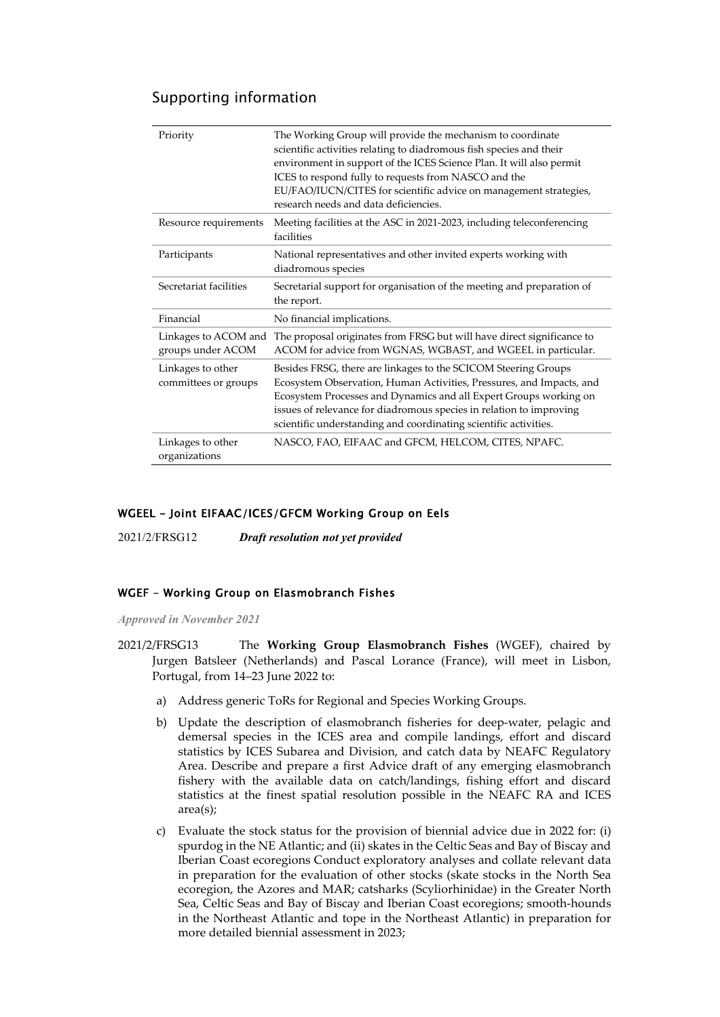# Supporting information

| Priority                                  | The Working Group will provide the mechanism to coordinate<br>scientific activities relating to diadromous fish species and their<br>environment in support of the ICES Science Plan. It will also permit<br>ICES to respond fully to requests from NASCO and the<br>EU/FAO/IUCN/CITES for scientific advice on management strategies,<br>research needs and data deficiencies. |
|-------------------------------------------|---------------------------------------------------------------------------------------------------------------------------------------------------------------------------------------------------------------------------------------------------------------------------------------------------------------------------------------------------------------------------------|
| Resource requirements                     | Meeting facilities at the ASC in 2021-2023, including teleconferencing<br>facilities                                                                                                                                                                                                                                                                                            |
| Participants                              | National representatives and other invited experts working with<br>diadromous species                                                                                                                                                                                                                                                                                           |
| Secretariat facilities                    | Secretarial support for organisation of the meeting and preparation of<br>the report.                                                                                                                                                                                                                                                                                           |
| Financial                                 | No financial implications.                                                                                                                                                                                                                                                                                                                                                      |
| Linkages to ACOM and<br>groups under ACOM | The proposal originates from FRSG but will have direct significance to<br>ACOM for advice from WGNAS, WGBAST, and WGEEL in particular.                                                                                                                                                                                                                                          |
| Linkages to other<br>committees or groups | Besides FRSG, there are linkages to the SCICOM Steering Groups<br>Ecosystem Observation, Human Activities, Pressures, and Impacts, and<br>Ecosystem Processes and Dynamics and all Expert Groups working on<br>issues of relevance for diadromous species in relation to improving<br>scientific understanding and coordinating scientific activities.                          |
| Linkages to other<br>organizations        | NASCO, FAO, EIFAAC and GFCM, HELCOM, CITES, NPAFC.                                                                                                                                                                                                                                                                                                                              |

### <span id="page-14-0"></span>WGEEL – Joint EIFAAC/ICES/GFCM Working Group on Eels

2021/2/FRSG12 *Draft resolution not yet provided*

### <span id="page-14-1"></span>WGEF – Working Group on Elasmobranch Fishes

*Approved in November 2021*

- 2021/2/FRSG13 The **Working Group Elasmobranch Fishes** (WGEF), chaired by Jurgen Batsleer (Netherlands) and Pascal Lorance (France), will meet in Lisbon, Portugal, from 14–23 June 2022 to:
	- a) Address generic ToRs for Regional and Species Working Groups.
	- b) Update the description of elasmobranch fisheries for deep-water, pelagic and demersal species in the ICES area and compile landings, effort and discard statistics by ICES Subarea and Division, and catch data by NEAFC Regulatory Area. Describe and prepare a first Advice draft of any emerging elasmobranch fishery with the available data on catch/landings, fishing effort and discard statistics at the finest spatial resolution possible in the NEAFC RA and ICES area(s);
	- c) Evaluate the stock status for the provision of biennial advice due in 2022 for: (i) spurdog in the NE Atlantic; and (ii) skates in the Celtic Seas and Bay of Biscay and Iberian Coast ecoregions Conduct exploratory analyses and collate relevant data in preparation for the evaluation of other stocks (skate stocks in the North Sea ecoregion, the Azores and MAR; catsharks (Scyliorhinidae) in the Greater North Sea, Celtic Seas and Bay of Biscay and Iberian Coast ecoregions; smooth-hounds in the Northeast Atlantic and tope in the Northeast Atlantic) in preparation for more detailed biennial assessment in 2023;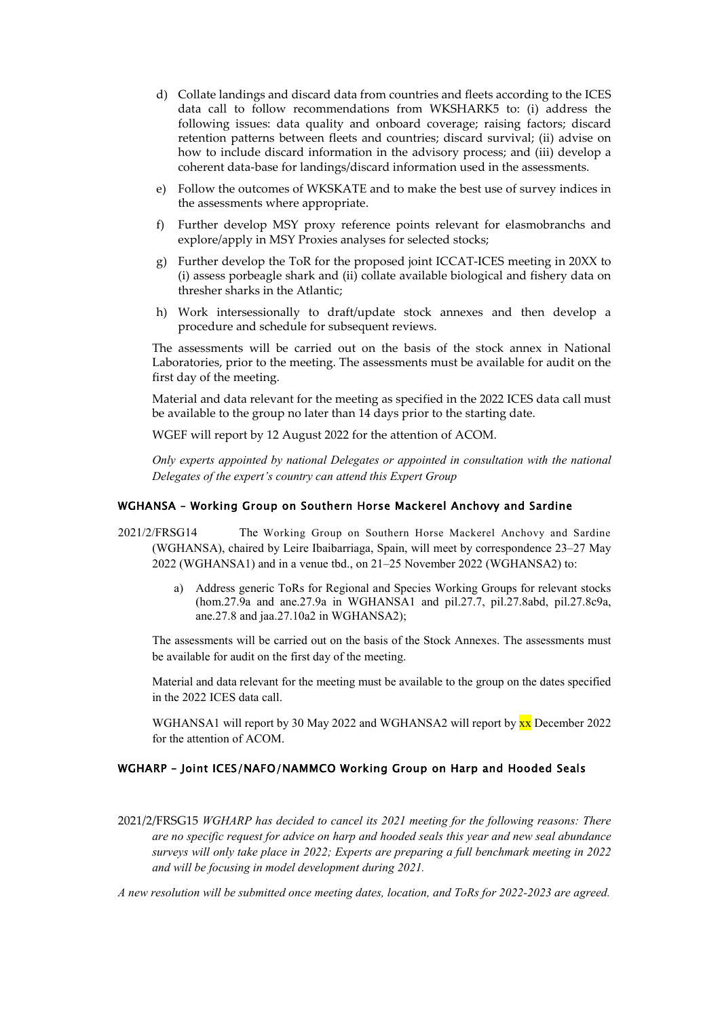- d) Collate landings and discard data from countries and fleets according to the ICES data call to follow recommendations from WKSHARK5 to: (i) address the following issues: data quality and onboard coverage; raising factors; discard retention patterns between fleets and countries; discard survival; (ii) advise on how to include discard information in the advisory process; and (iii) develop a coherent data-base for landings/discard information used in the assessments.
- e) Follow the outcomes of WKSKATE and to make the best use of survey indices in the assessments where appropriate.
- f) Further develop MSY proxy reference points relevant for elasmobranchs and explore/apply in MSY Proxies analyses for selected stocks;
- g) Further develop the ToR for the proposed joint ICCAT-ICES meeting in 20XX to (i) assess porbeagle shark and (ii) collate available biological and fishery data on thresher sharks in the Atlantic;
- h) Work intersessionally to draft/update stock annexes and then develop a procedure and schedule for subsequent reviews.

The assessments will be carried out on the basis of the stock annex in National Laboratories, prior to the meeting. The assessments must be available for audit on the first day of the meeting.

Material and data relevant for the meeting as specified in the 2022 ICES data call must be available to the group no later than 14 days prior to the starting date.

WGEF will report by 12 August 2022 for the attention of ACOM.

*Only experts appointed by national Delegates or appointed in consultation with the national Delegates of the expert's country can attend this Expert Group*

#### <span id="page-15-0"></span>WGHANSA – Working Group on Southern Horse Mackerel Anchovy and Sardine

- 2021/2/FRSG14 The Working Group on Southern Horse Mackerel Anchovy and Sardine (WGHANSA), chaired by Leire Ibaibarriaga, Spain, will meet by correspondence 23–27 May 2022 (WGHANSA1) and in a venue tbd., on 21–25 November 2022 (WGHANSA2) to:
	- a) Address generic ToRs for Regional and Species Working Groups for relevant stocks (hom.27.9a and ane.27.9a in WGHANSA1 and pil.27.7, pil.27.8abd, pil.27.8c9a, ane.27.8 and jaa.27.10a2 in WGHANSA2);

The assessments will be carried out on the basis of the Stock Annexes. The assessments must be available for audit on the first day of the meeting.

Material and data relevant for the meeting must be available to the group on the dates specified in the 2022 ICES data call.

WGHANSA1 will report by 30 May 2022 and WGHANSA2 will report by xx December 2022 for the attention of ACOM.

#### <span id="page-15-1"></span>WGHARP – Joint ICES/NAFO/NAMMCO Working Group on Harp and Hooded Seals

2021/2/FRSG15 *WGHARP has decided to cancel its 2021 meeting for the following reasons: There are no specific request for advice on harp and hooded seals this year and new seal abundance surveys will only take place in 2022; Experts are preparing a full benchmark meeting in 2022 and will be focusing in model development during 2021.* 

*A new resolution will be submitted once meeting dates, location, and ToRs for 2022-2023 are agreed.*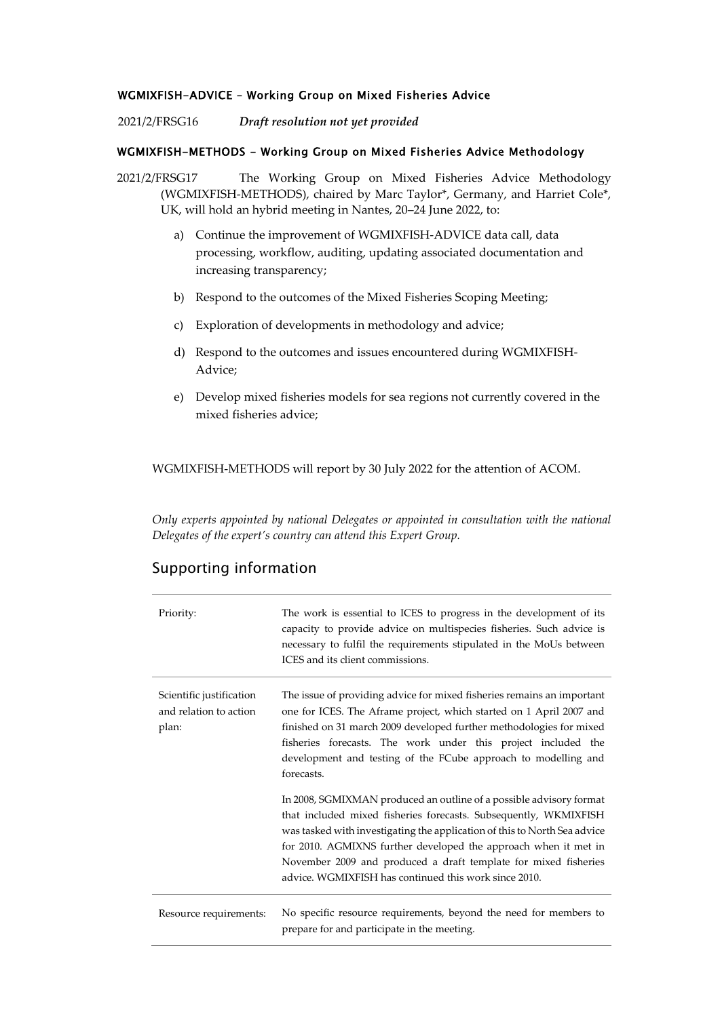### <span id="page-16-0"></span>WGMIXFISH-ADVICE – Working Group on Mixed Fisheries Advice

2021/2/FRSG16 *Draft resolution not yet provided*

### <span id="page-16-1"></span>WGMIXFISH-METHODS - Working Group on Mixed Fisheries Advice Methodology

2021/2/FRSG17 The Working Group on Mixed Fisheries Advice Methodology (WGMIXFISH-METHODS), chaired by Marc Taylor\*, Germany, and Harriet Cole\*, UK, will hold an hybrid meeting in Nantes, 20–24 June 2022, to:

- a) Continue the improvement of WGMIXFISH-ADVICE data call, data processing, workflow, auditing, updating associated documentation and increasing transparency;
- b) Respond to the outcomes of the Mixed Fisheries Scoping Meeting;
- c) Exploration of developments in methodology and advice;
- d) Respond to the outcomes and issues encountered during WGMIXFISH-Advice;
- e) Develop mixed fisheries models for sea regions not currently covered in the mixed fisheries advice;

WGMIXFISH-METHODS will report by 30 July 2022 for the attention of ACOM.

*Only experts appointed by national Delegates or appointed in consultation with the national Delegates of the expert's country can attend this Expert Group.*

## Supporting information

| Priority:                                                   | The work is essential to ICES to progress in the development of its<br>capacity to provide advice on multispecies fisheries. Such advice is<br>necessary to fulfil the requirements stipulated in the MoUs between<br>ICES and its client commissions.                                                                                                                                                              |
|-------------------------------------------------------------|---------------------------------------------------------------------------------------------------------------------------------------------------------------------------------------------------------------------------------------------------------------------------------------------------------------------------------------------------------------------------------------------------------------------|
| Scientific justification<br>and relation to action<br>plan: | The issue of providing advice for mixed fisheries remains an important<br>one for ICES. The Aframe project, which started on 1 April 2007 and<br>finished on 31 march 2009 developed further methodologies for mixed<br>fisheries forecasts. The work under this project included the<br>development and testing of the FCube approach to modelling and<br>forecasts.                                               |
|                                                             | In 2008, SGMIXMAN produced an outline of a possible advisory format<br>that included mixed fisheries forecasts. Subsequently, WKMIXFISH<br>was tasked with investigating the application of this to North Sea advice<br>for 2010. AGMIXNS further developed the approach when it met in<br>November 2009 and produced a draft template for mixed fisheries<br>advice. WGMIXFISH has continued this work since 2010. |
| Resource requirements:                                      | No specific resource requirements, beyond the need for members to<br>prepare for and participate in the meeting.                                                                                                                                                                                                                                                                                                    |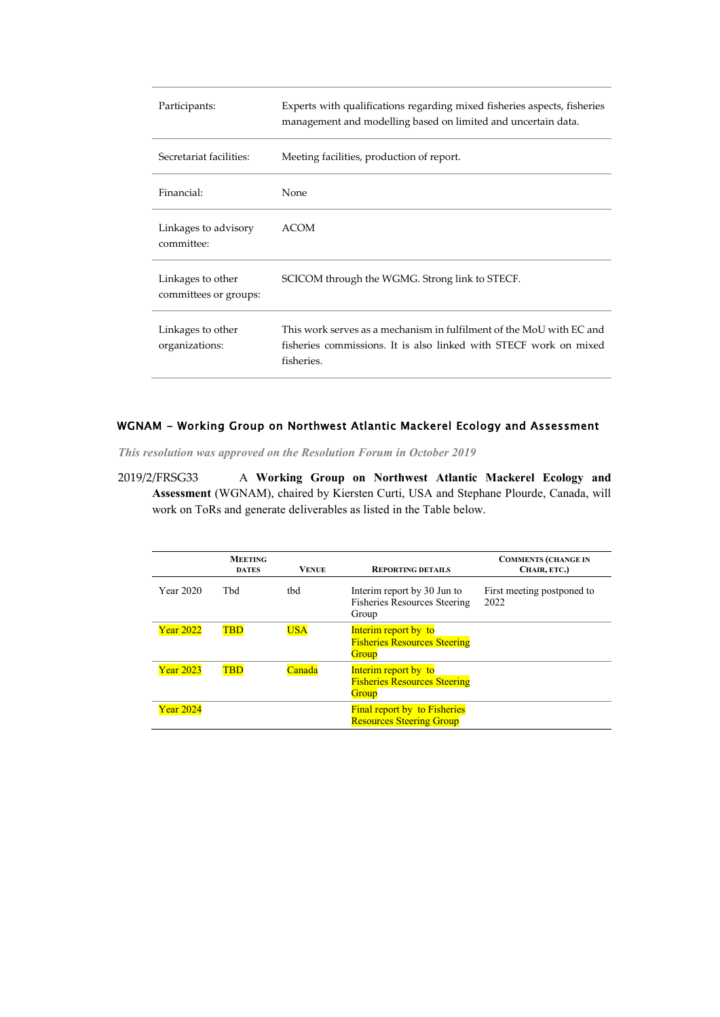| Participants:                              | Experts with qualifications regarding mixed fisheries aspects, fisheries<br>management and modelling based on limited and uncertain data.               |
|--------------------------------------------|---------------------------------------------------------------------------------------------------------------------------------------------------------|
| Secretariat facilities:                    | Meeting facilities, production of report.                                                                                                               |
| Financial:                                 | None                                                                                                                                                    |
| Linkages to advisory<br>committee:         | <b>ACOM</b>                                                                                                                                             |
| Linkages to other<br>committees or groups: | SCICOM through the WGMG. Strong link to STECF.                                                                                                          |
| Linkages to other<br>organizations:        | This work serves as a mechanism in fulfilment of the MoU with EC and<br>fisheries commissions. It is also linked with STECF work on mixed<br>fisheries. |

### <span id="page-17-0"></span>WGNAM - Working Group on Northwest Atlantic Mackerel Ecology and Assessment

*This resolution was approved on the Resolution Forum in October 2019*

2019/2/FRSG33 A **Working Group on Northwest Atlantic Mackerel Ecology and Assessment** (WGNAM), chaired by Kiersten Curti, USA and Stephane Plourde, Canada, will work on ToRs and generate deliverables as listed in the Table below.

|                  | <b>MEETING</b><br><b>DATES</b> | <b>VENUE</b> | <b>REPORTING DETAILS</b>                                                    | <b>COMMENTS (CHANGE IN</b><br>CHAIR, ETC.) |
|------------------|--------------------------------|--------------|-----------------------------------------------------------------------------|--------------------------------------------|
| Year 2020        | Thd                            | tbd          | Interim report by 30 Jun to<br><b>Fisheries Resources Steering</b><br>Group | First meeting postponed to<br>2022         |
| <b>Year 2022</b> | <b>TBD</b>                     | <b>USA</b>   | Interim report by to<br><b>Fisheries Resources Steering</b><br>Group        |                                            |
| <b>Year 2023</b> | <b>TBD</b>                     | Canada       | Interim report by to<br><b>Fisheries Resources Steering</b><br>Group        |                                            |
| <b>Year 2024</b> |                                |              | <b>Final report by to Fisheries</b><br><b>Resources Steering Group</b>      |                                            |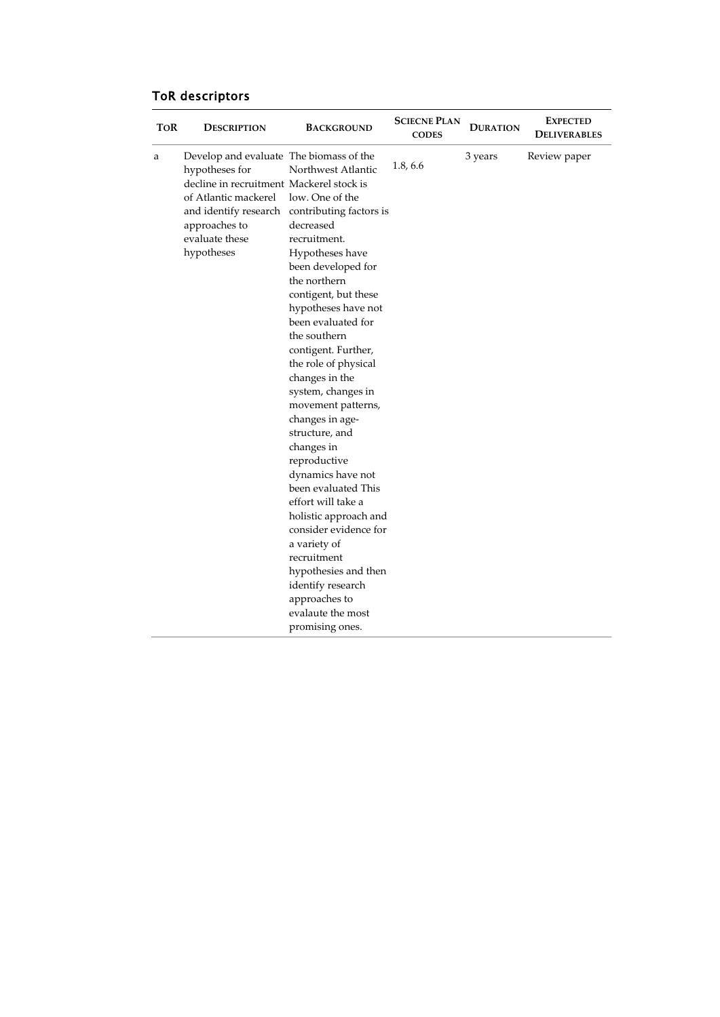# ToR descriptors

| TOR | <b>DESCRIPTION</b>                                                                                                                                                             | <b>BACKGROUND</b>                                                                                                                                                                                                                                                                                                                                                                                                                                                                                                                                                                                                                                                  | <b>SCIECNE PLAN</b><br><b>CODES</b> | <b>DURATION</b> | <b>EXPECTED</b><br><b>DELIVERABLES</b> |
|-----|--------------------------------------------------------------------------------------------------------------------------------------------------------------------------------|--------------------------------------------------------------------------------------------------------------------------------------------------------------------------------------------------------------------------------------------------------------------------------------------------------------------------------------------------------------------------------------------------------------------------------------------------------------------------------------------------------------------------------------------------------------------------------------------------------------------------------------------------------------------|-------------------------------------|-----------------|----------------------------------------|
| a   | Develop and evaluate The biomass of the<br>hypotheses for<br>decline in recruitment Mackerel stock is<br>of Atlantic mackerel<br>approaches to<br>evaluate these<br>hypotheses | Northwest Atlantic<br>low. One of the<br>and identify research contributing factors is<br>decreased<br>recruitment.<br>Hypotheses have<br>been developed for<br>the northern<br>contigent, but these<br>hypotheses have not<br>been evaluated for<br>the southern<br>contigent. Further,<br>the role of physical<br>changes in the<br>system, changes in<br>movement patterns,<br>changes in age-<br>structure, and<br>changes in<br>reproductive<br>dynamics have not<br>been evaluated This<br>effort will take a<br>holistic approach and<br>consider evidence for<br>a variety of<br>recruitment<br>hypothesies and then<br>identify research<br>approaches to | 1.8, 6.6                            | 3 years         | Review paper                           |
|     |                                                                                                                                                                                | evalaute the most<br>promising ones.                                                                                                                                                                                                                                                                                                                                                                                                                                                                                                                                                                                                                               |                                     |                 |                                        |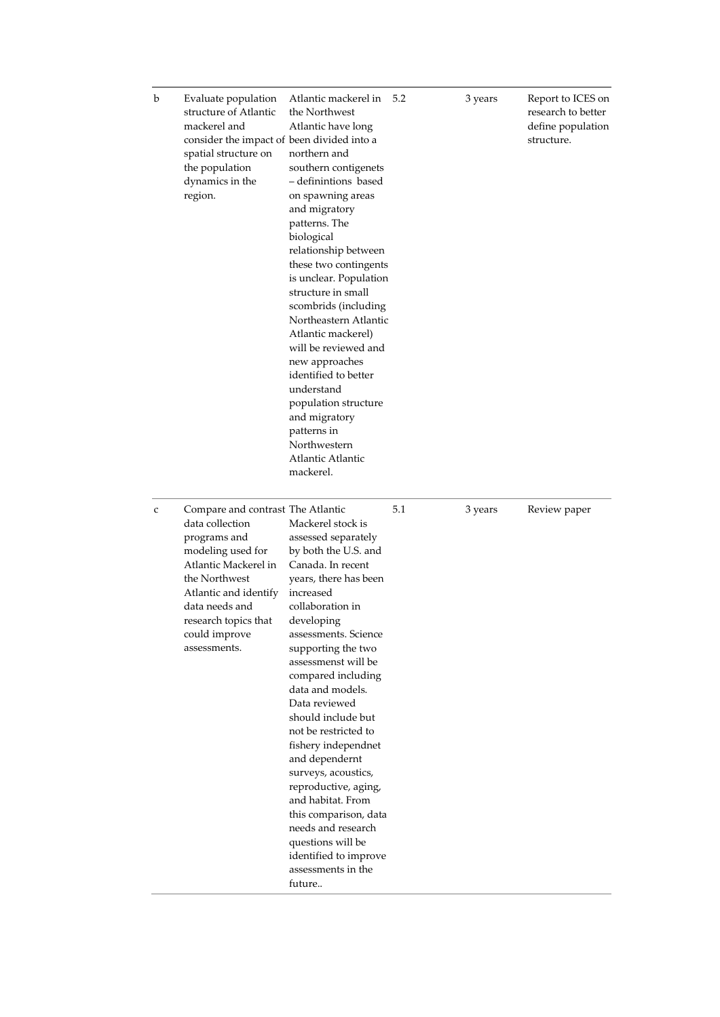| b            | Evaluate population<br>structure of Atlantic<br>mackerel and<br>consider the impact of been divided into a<br>spatial structure on<br>the population<br>dynamics in the<br>region.                                                     | Atlantic mackerel in<br>the Northwest<br>Atlantic have long<br>northern and<br>southern contigenets<br>- definintions based<br>on spawning areas<br>and migratory<br>patterns. The<br>biological<br>relationship between<br>these two contingents<br>is unclear. Population<br>structure in small<br>scombrids (including<br>Northeastern Atlantic<br>Atlantic mackerel)<br>will be reviewed and<br>new approaches<br>identified to better<br>understand<br>population structure<br>and migratory<br>patterns in<br>Northwestern<br>Atlantic Atlantic<br>mackerel.                    | 5.2 | 3 years | Report to ICES on<br>research to better<br>define population<br>structure. |
|--------------|----------------------------------------------------------------------------------------------------------------------------------------------------------------------------------------------------------------------------------------|---------------------------------------------------------------------------------------------------------------------------------------------------------------------------------------------------------------------------------------------------------------------------------------------------------------------------------------------------------------------------------------------------------------------------------------------------------------------------------------------------------------------------------------------------------------------------------------|-----|---------|----------------------------------------------------------------------------|
| $\mathsf{C}$ | Compare and contrast The Atlantic<br>data collection<br>programs and<br>modeling used for<br>Atlantic Mackerel in<br>the Northwest<br>Atlantic and identify<br>data needs and<br>research topics that<br>could improve<br>assessments. | Mackerel stock is<br>assessed separately<br>by both the U.S. and<br>Canada. In recent<br>years, there has been<br>increased<br>collaboration in<br>developing<br>assessments. Science<br>supporting the two<br>assessmenst will be<br>compared including<br>data and models.<br>Data reviewed<br>should include but<br>not be restricted to<br>fishery independnet<br>and dependernt<br>surveys, acoustics,<br>reproductive, aging,<br>and habitat. From<br>this comparison, data<br>needs and research<br>questions will be<br>identified to improve<br>assessments in the<br>future | 5.1 | 3 years | Review paper                                                               |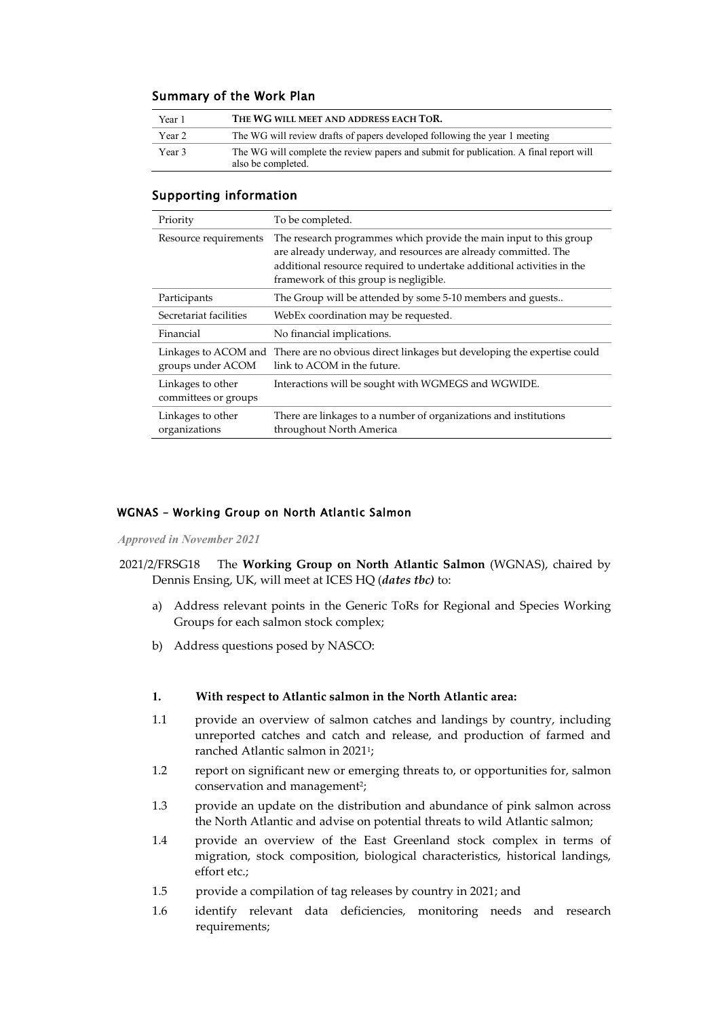### Summary of the Work Plan

| Year 1 | THE WG WILL MEET AND ADDRESS EACH TOR.                                                                       |
|--------|--------------------------------------------------------------------------------------------------------------|
| Year 2 | The WG will review drafts of papers developed following the year 1 meeting                                   |
| Year 3 | The WG will complete the review papers and submit for publication. A final report will<br>also be completed. |

### Supporting information

| Priority                                  | To be completed.                                                                                                                                                                                                                                         |
|-------------------------------------------|----------------------------------------------------------------------------------------------------------------------------------------------------------------------------------------------------------------------------------------------------------|
| Resource requirements                     | The research programmes which provide the main input to this group<br>are already underway, and resources are already committed. The<br>additional resource required to undertake additional activities in the<br>framework of this group is negligible. |
| Participants                              | The Group will be attended by some 5-10 members and guests                                                                                                                                                                                               |
| Secretariat facilities                    | WebEx coordination may be requested.                                                                                                                                                                                                                     |
| Financial                                 | No financial implications.                                                                                                                                                                                                                               |
| groups under ACOM                         | Linkages to ACOM and There are no obvious direct linkages but developing the expertise could<br>link to ACOM in the future.                                                                                                                              |
| Linkages to other<br>committees or groups | Interactions will be sought with WGMEGS and WGWIDE.                                                                                                                                                                                                      |
| Linkages to other<br>organizations        | There are linkages to a number of organizations and institutions<br>throughout North America                                                                                                                                                             |

### <span id="page-20-0"></span>WGNAS – Working Group on North Atlantic Salmon

*Approved in November 2021*

- 2021/2/FRSG18 The **Working Group on North Atlantic Salmon** (WGNAS), chaired by Dennis Ensing, UK, will meet at ICES HQ (*dates tbc)* to:
	- a) Address relevant points in the Generic ToRs for Regional and Species Working Groups for each salmon stock complex;
	- b) Address questions posed by NASCO:

### **1. With respect to Atlantic salmon in the North Atlantic area:**

- 1.1 provide an overview of salmon catches and landings by country, including unreported catches and catch and release, and production of farmed and ranched Atlantic salmon in 20211;
- 1.2 report on significant new or emerging threats to, or opportunities for, salmon conservation and management<sup>2</sup>;
- 1.3 provide an update on the distribution and abundance of pink salmon across the North Atlantic and advise on potential threats to wild Atlantic salmon;
- 1.4 provide an overview of the East Greenland stock complex in terms of migration, stock composition, biological characteristics, historical landings, effort etc.;
- 1.5 provide a compilation of tag releases by country in 2021; and
- 1.6 identify relevant data deficiencies, monitoring needs and research requirements;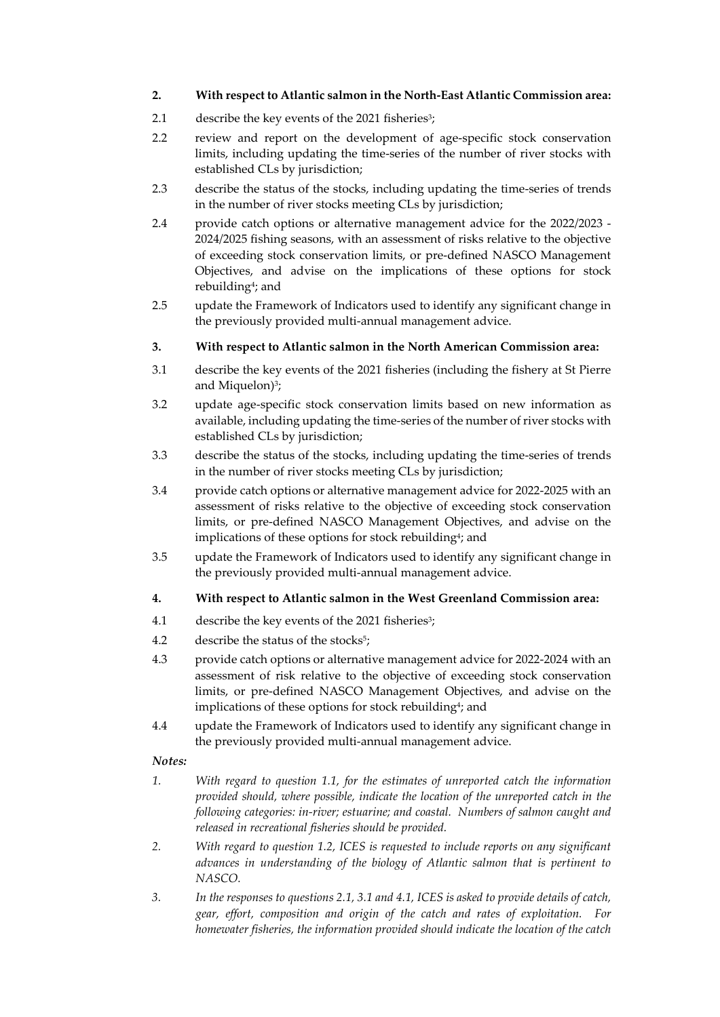### **2. With respect to Atlantic salmon in the North-East Atlantic Commission area:**

- 2.1 describe the key events of the 2021 fisheries<sup>3</sup>;
- 2.2 review and report on the development of age-specific stock conservation limits, including updating the time-series of the number of river stocks with established CLs by jurisdiction;
- 2.3 describe the status of the stocks, including updating the time-series of trends in the number of river stocks meeting CLs by jurisdiction;
- 2.4 provide catch options or alternative management advice for the 2022/2023 2024/2025 fishing seasons, with an assessment of risks relative to the objective of exceeding stock conservation limits, or pre-defined NASCO Management Objectives, and advise on the implications of these options for stock rebuilding4; and
- 2.5 update the Framework of Indicators used to identify any significant change in the previously provided multi-annual management advice.

### **3. With respect to Atlantic salmon in the North American Commission area:**

- 3.1 describe the key events of the 2021 fisheries (including the fishery at St Pierre and Miquelon)<sup>3</sup>;
- 3.2 update age-specific stock conservation limits based on new information as available, including updating the time-series of the number of river stocks with established CLs by jurisdiction;
- 3.3 describe the status of the stocks, including updating the time-series of trends in the number of river stocks meeting CLs by jurisdiction;
- 3.4 provide catch options or alternative management advice for 2022-2025 with an assessment of risks relative to the objective of exceeding stock conservation limits, or pre-defined NASCO Management Objectives, and advise on the implications of these options for stock rebuilding4; and
- 3.5 update the Framework of Indicators used to identify any significant change in the previously provided multi-annual management advice.

### **4. With respect to Atlantic salmon in the West Greenland Commission area:**

- 4.1 describe the key events of the 2021 fisheries<sup>3</sup>;
- 4.2 describe the status of the stocks<sup>5</sup>;
- 4.3 provide catch options or alternative management advice for 2022-2024 with an assessment of risk relative to the objective of exceeding stock conservation limits, or pre-defined NASCO Management Objectives, and advise on the implications of these options for stock rebuilding<sup>4</sup>; and
- 4.4 update the Framework of Indicators used to identify any significant change in the previously provided multi-annual management advice.

### *Notes:*

- *1. With regard to question 1.1, for the estimates of unreported catch the information provided should, where possible, indicate the location of the unreported catch in the following categories: in-river; estuarine; and coastal. Numbers of salmon caught and released in recreational fisheries should be provided.*
- *2. With regard to question 1.2, ICES is requested to include reports on any significant advances in understanding of the biology of Atlantic salmon that is pertinent to NASCO.*
- *3. In the responses to questions 2.1, 3.1 and 4.1, ICES is asked to provide details of catch, gear, effort, composition and origin of the catch and rates of exploitation. For homewater fisheries, the information provided should indicate the location of the catch*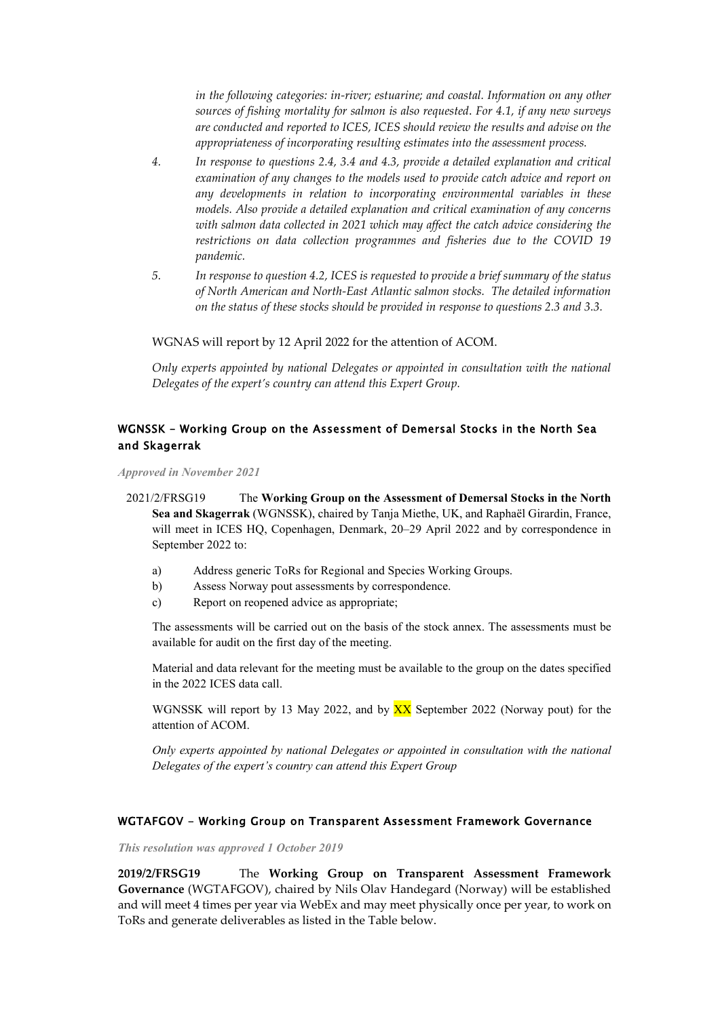*in the following categories: in-river; estuarine; and coastal. Information on any other sources of fishing mortality for salmon is also requested*. *For 4.1, if any new surveys are conducted and reported to ICES, ICES should review the results and advise on the appropriateness of incorporating resulting estimates into the assessment process.*

- *4. In response to questions 2.4, 3.4 and 4.3, provide a detailed explanation and critical examination of any changes to the models used to provide catch advice and report on any developments in relation to incorporating environmental variables in these models. Also provide a detailed explanation and critical examination of any concerns with salmon data collected in 2021 which may affect the catch advice considering the restrictions on data collection programmes and fisheries due to the COVID 19 pandemic.*
- *5. In response to question 4.2, ICES is requested to provide a brief summary of the status of North American and North-East Atlantic salmon stocks. The detailed information on the status of these stocks should be provided in response to questions 2.3 and 3.3.*

WGNAS will report by 12 April 2022 for the attention of ACOM.

*Only experts appointed by national Delegates or appointed in consultation with the national Delegates of the expert's country can attend this Expert Group.*

## <span id="page-22-0"></span>WGNSSK – Working Group on the Assessment of Demersal Stocks in the North Sea and Skagerrak

*Approved in November 2021*

2021/2/FRSG19 The **Working Group on the Assessment of Demersal Stocks in the North Sea and Skagerrak** (WGNSSK), chaired by Tanja Miethe, UK, and Raphaël Girardin, France, will meet in ICES HQ, Copenhagen, Denmark, 20–29 April 2022 and by correspondence in September 2022 to:

- a) Address generic ToRs for Regional and Species Working Groups.
- b) Assess Norway pout assessments by correspondence.
- c) Report on reopened advice as appropriate;

The assessments will be carried out on the basis of the stock annex. The assessments must be available for audit on the first day of the meeting.

Material and data relevant for the meeting must be available to the group on the dates specified in the 2022 ICES data call.

WGNSSK will report by 13 May 2022, and by  $\overline{XX}$  September 2022 (Norway pout) for the attention of ACOM.

*Only experts appointed by national Delegates or appointed in consultation with the national Delegates of the expert's country can attend this Expert Group*

### <span id="page-22-1"></span>WGTAFGOV - Working Group on Transparent Assessment Framework Governance

*This resolution was approved 1 October 2019*

**2019/2/FRSG19** The **Working Group on Transparent Assessment Framework Governance** (WGTAFGOV), chaired by Nils Olav Handegard (Norway) will be established and will meet 4 times per year via WebEx and may meet physically once per year, to work on ToRs and generate deliverables as listed in the Table below.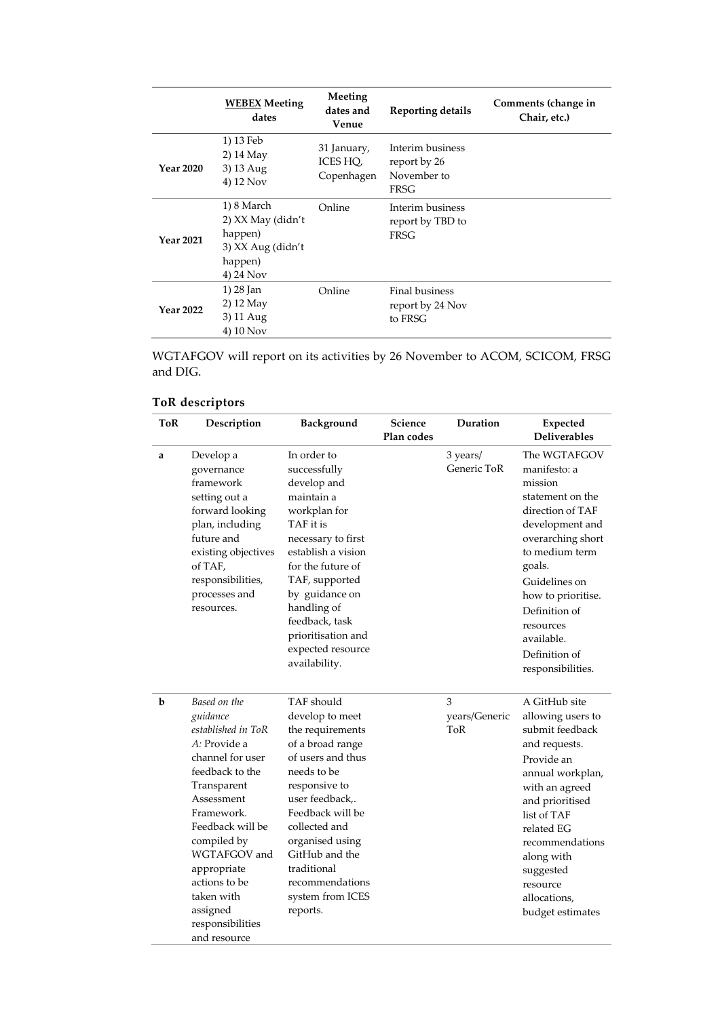|                  | <b>WEBEX Meeting</b><br>dates                                                           | Meeting<br>dates and<br>Venue         | <b>Reporting details</b>                                | Comments (change in<br>Chair, etc.) |
|------------------|-----------------------------------------------------------------------------------------|---------------------------------------|---------------------------------------------------------|-------------------------------------|
| <b>Year 2020</b> | 1) 13 Feb<br>2) 14 May<br>3) 13 Aug<br>4) 12 Nov                                        | 31 January,<br>ICES HQ,<br>Copenhagen | Interim business<br>report by 26<br>November to<br>FRSG |                                     |
| <b>Year 2021</b> | 1) 8 March<br>2) XX May (didn't<br>happen)<br>3) XX Aug (didn't<br>happen)<br>4) 24 Nov | Online                                | Interim business<br>report by TBD to<br><b>FRSG</b>     |                                     |
| <b>Year 2022</b> | 1) 28 Jan<br>2) 12 May<br>3) 11 Aug<br>4) 10 Nov                                        | Online                                | Final business<br>report by 24 Nov<br>to FRSG           |                                     |

WGTAFGOV will report on its activities by 26 November to ACOM, SCICOM, FRSG and DIG.

# **ToR descriptors**

| ToR | Description                                                                                                                                                                                                                                                                                       | Background                                                                                                                                                                                                                                                                                | Science<br>Plan codes | Duration                         | Expected<br><b>Deliverables</b>                                                                                                                                                                                                                                              |
|-----|---------------------------------------------------------------------------------------------------------------------------------------------------------------------------------------------------------------------------------------------------------------------------------------------------|-------------------------------------------------------------------------------------------------------------------------------------------------------------------------------------------------------------------------------------------------------------------------------------------|-----------------------|----------------------------------|------------------------------------------------------------------------------------------------------------------------------------------------------------------------------------------------------------------------------------------------------------------------------|
| a   | Develop a<br>governance<br>framework<br>setting out a<br>forward looking<br>plan, including<br>future and<br>existing objectives<br>of TAF,<br>responsibilities,<br>processes and<br>resources.                                                                                                   | In order to<br>successfully<br>develop and<br>maintain a<br>workplan for<br>TAF it is<br>necessary to first<br>establish a vision<br>for the future of<br>TAF, supported<br>by guidance on<br>handling of<br>feedback, task<br>prioritisation and<br>expected resource<br>availability.   |                       | 3 years/<br>Generic ToR          | The WGTAFGOV<br>manifesto: a<br>mission<br>statement on the<br>direction of TAF<br>development and<br>overarching short<br>to medium term<br>goals.<br>Guidelines on<br>how to prioritise.<br>Definition of<br>resources<br>available.<br>Definition of<br>responsibilities. |
| b   | Based on the<br>guidance<br>established in ToR<br>A: Provide a<br>channel for user<br>feedback to the<br>Transparent<br>Assessment<br>Framework.<br>Feedback will be<br>compiled by<br>WGTAFGOV and<br>appropriate<br>actions to be<br>taken with<br>assigned<br>responsibilities<br>and resource | TAF should<br>develop to meet<br>the requirements<br>of a broad range<br>of users and thus<br>needs to be<br>responsive to<br>user feedback,.<br>Feedback will be<br>collected and<br>organised using<br>GitHub and the<br>traditional<br>recommendations<br>system from ICES<br>reports. |                       | 3<br>years/Generic<br><b>ToR</b> | A GitHub site<br>allowing users to<br>submit feedback<br>and requests.<br>Provide an<br>annual workplan,<br>with an agreed<br>and prioritised<br>list of TAF<br>related EG<br>recommendations<br>along with<br>suggested<br>resource<br>allocations,<br>budget estimates     |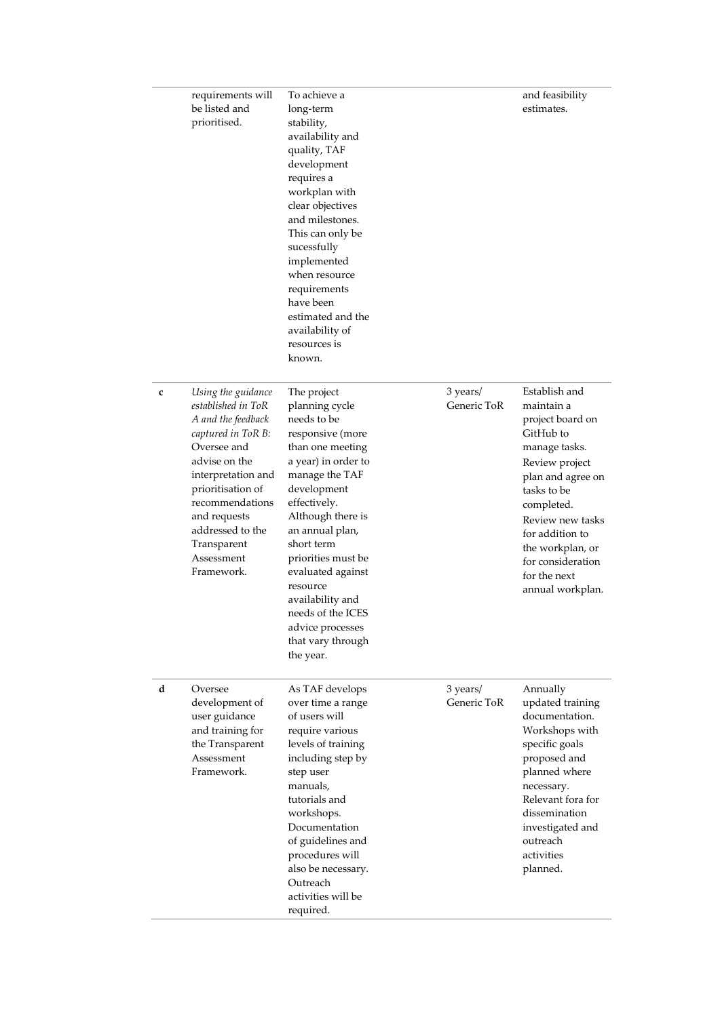|   | requirements will<br>be listed and<br>prioritised.                                                                                                                                                                                                                | To achieve a<br>long-term<br>stability,<br>availability and<br>quality, TAF<br>development<br>requires a<br>workplan with<br>clear objectives<br>and milestones.<br>This can only be<br>sucessfully<br>implemented<br>when resource<br>requirements<br>have been<br>estimated and the<br>availability of<br>resources is<br>known.                                       |                         | and feasibility<br>estimates.                                                                                                                                                                                                                                         |
|---|-------------------------------------------------------------------------------------------------------------------------------------------------------------------------------------------------------------------------------------------------------------------|--------------------------------------------------------------------------------------------------------------------------------------------------------------------------------------------------------------------------------------------------------------------------------------------------------------------------------------------------------------------------|-------------------------|-----------------------------------------------------------------------------------------------------------------------------------------------------------------------------------------------------------------------------------------------------------------------|
| c | Using the guidance<br>established in ToR<br>A and the feedback<br>captured in ToR B:<br>Oversee and<br>advise on the<br>interpretation and<br>prioritisation of<br>recommendations<br>and requests<br>addressed to the<br>Transparent<br>Assessment<br>Framework. | The project<br>planning cycle<br>needs to be<br>responsive (more<br>than one meeting<br>a year) in order to<br>manage the TAF<br>development<br>effectively.<br>Although there is<br>an annual plan,<br>short term<br>priorities must be<br>evaluated against<br>resource<br>availability and<br>needs of the ICES<br>advice processes<br>that vary through<br>the year. | 3 years/<br>Generic ToR | Establish and<br>maintain a<br>project board on<br>GitHub to<br>manage tasks.<br>Review project<br>plan and agree on<br>tasks to be<br>completed.<br>Review new tasks<br>for addition to<br>the workplan, or<br>for consideration<br>for the next<br>annual workplan. |
| d | Oversee<br>development of<br>user guidance<br>and training for<br>the Transparent<br>Assessment<br>Framework.                                                                                                                                                     | As TAF develops<br>over time a range<br>of users will<br>require various<br>levels of training<br>including step by<br>step user<br>manuals,<br>tutorials and<br>workshops.<br>Documentation<br>of guidelines and<br>procedures will<br>also be necessary.<br>Outreach<br>activities will be<br>required.                                                                | 3 years/<br>Generic ToR | Annually<br>updated training<br>documentation.<br>Workshops with<br>specific goals<br>proposed and<br>planned where<br>necessary.<br>Relevant fora for<br>dissemination<br>investigated and<br>outreach<br>activities<br>planned.                                     |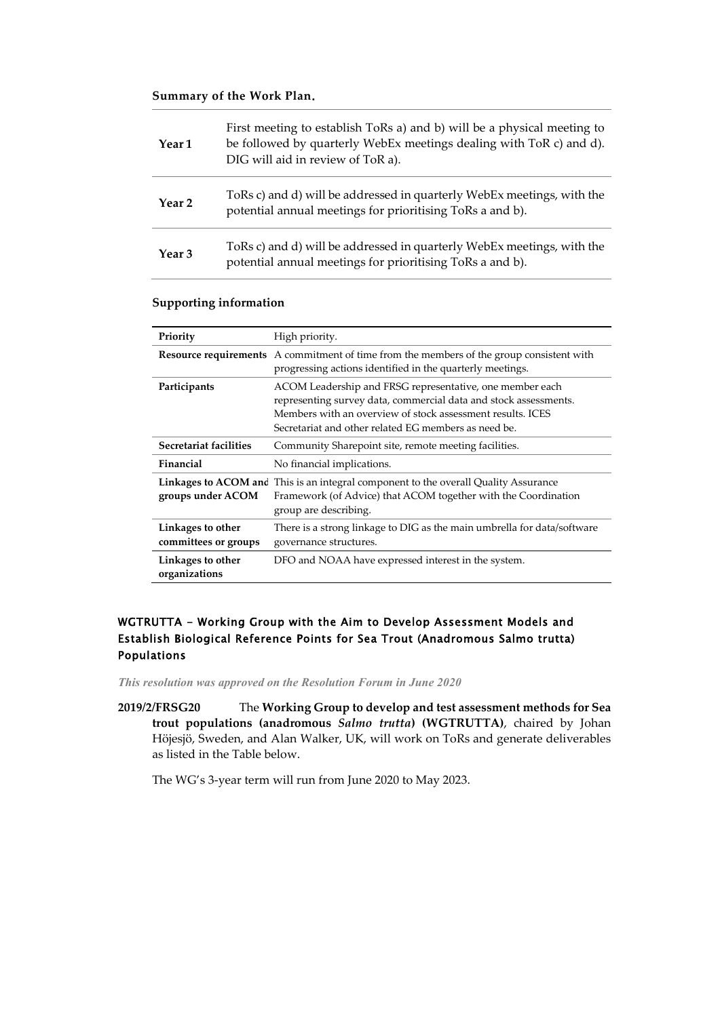#### **Summary of the Work Plan**.

| Year 1            | First meeting to establish ToRs a) and b) will be a physical meeting to<br>be followed by quarterly WebEx meetings dealing with ToR c) and d).<br>DIG will aid in review of ToR a). |
|-------------------|-------------------------------------------------------------------------------------------------------------------------------------------------------------------------------------|
| Year 2            | ToRs c) and d) will be addressed in quarterly WebEx meetings, with the<br>potential annual meetings for prioritising ToRs a and b).                                                 |
| Year <sub>3</sub> | ToRs c) and d) will be addressed in quarterly WebEx meetings, with the<br>potential annual meetings for prioritising ToRs a and b).                                                 |

### **Supporting information**

| Priority                                  | High priority.                                                                                                                                                                                                                                     |
|-------------------------------------------|----------------------------------------------------------------------------------------------------------------------------------------------------------------------------------------------------------------------------------------------------|
|                                           | <b>Resource requirements</b> A commitment of time from the members of the group consistent with<br>progressing actions identified in the quarterly meetings.                                                                                       |
| Participants                              | ACOM Leadership and FRSG representative, one member each<br>representing survey data, commercial data and stock assessments.<br>Members with an overview of stock assessment results. ICES<br>Secretariat and other related EG members as need be. |
| Secretariat facilities                    | Community Sharepoint site, remote meeting facilities.                                                                                                                                                                                              |
| Financial                                 | No financial implications.                                                                                                                                                                                                                         |
| groups under ACOM                         | Linkages to ACOM and This is an integral component to the overall Quality Assurance<br>Framework (of Advice) that ACOM together with the Coordination<br>group are describing.                                                                     |
| Linkages to other<br>committees or groups | There is a strong linkage to DIG as the main umbrella for data/software<br>governance structures.                                                                                                                                                  |
| Linkages to other<br>organizations        | DFO and NOAA have expressed interest in the system.                                                                                                                                                                                                |

## <span id="page-25-0"></span>WGTRUTTA - Working Group with the Aim to Develop Assessment Models and Establish Biological Reference Points for Sea Trout (Anadromous Salmo trutta) Populations

*This resolution was approved on the Resolution Forum in June 2020*

**2019/2/FRSG20** The **Working Group to develop and test assessment methods for Sea trout populations (anadromous** *Salmo trutta***) (WGTRUTTA)**, chaired by Johan Höjesjö, Sweden, and Alan Walker, UK, will work on ToRs and generate deliverables as listed in the Table below.

The WG's 3-year term will run from June 2020 to May 2023.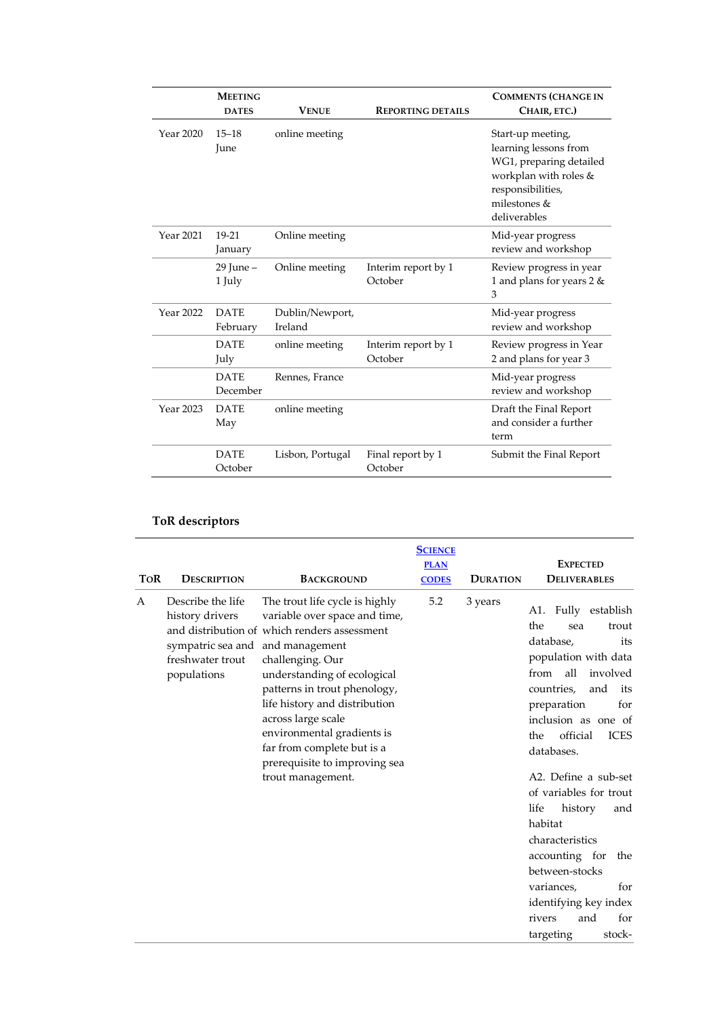|           | <b>MEETING</b><br><b>DATES</b> | <b>VENUE</b>               | <b>REPORTING DETAILS</b>       | <b>COMMENTS (CHANGE IN</b><br>CHAIR, ETC.)                                                                                                            |
|-----------|--------------------------------|----------------------------|--------------------------------|-------------------------------------------------------------------------------------------------------------------------------------------------------|
| Year 2020 | $15 - 18$<br>June              | online meeting             |                                | Start-up meeting,<br>learning lessons from<br>WG1, preparing detailed<br>workplan with roles &<br>responsibilities,<br>milestones $&$<br>deliverables |
| Year 2021 | 19-21<br>January               | Online meeting             |                                | Mid-year progress<br>review and workshop                                                                                                              |
|           | $29$ June $-$<br>1 July        | Online meeting             | Interim report by 1<br>October | Review progress in year<br>1 and plans for years 2 &<br>3                                                                                             |
| Year 2022 | <b>DATE</b><br>February        | Dublin/Newport,<br>Ireland |                                | Mid-year progress<br>review and workshop                                                                                                              |
|           | <b>DATE</b><br>July            | online meeting             | Interim report by 1<br>October | Review progress in Year<br>2 and plans for year 3                                                                                                     |
|           | <b>DATE</b><br>December        | Rennes, France             |                                | Mid-year progress<br>review and workshop                                                                                                              |
| Year 2023 | <b>DATE</b><br>May             | online meeting             |                                | Draft the Final Report<br>and consider a further<br>term                                                                                              |
|           | <b>DATE</b><br>October         | Lisbon, Portugal           | Final report by 1<br>October   | Submit the Final Report                                                                                                                               |

# **ToR descriptors**

| <b>TOR</b> | <b>DESCRIPTION</b>                                                                                          | <b>BACKGROUND</b>                                                                                                                                                                                                                                                                                                                                                           | <b>SCIENCE</b><br><b>PLAN</b><br><b>CODES</b> | <b>DURATION</b> | <b>EXPECTED</b><br><b>DELIVERABLES</b>                                                                                                                                                                                                                                                                                                                                                                                                                                                       |
|------------|-------------------------------------------------------------------------------------------------------------|-----------------------------------------------------------------------------------------------------------------------------------------------------------------------------------------------------------------------------------------------------------------------------------------------------------------------------------------------------------------------------|-----------------------------------------------|-----------------|----------------------------------------------------------------------------------------------------------------------------------------------------------------------------------------------------------------------------------------------------------------------------------------------------------------------------------------------------------------------------------------------------------------------------------------------------------------------------------------------|
| A          | Describe the life<br>history drivers<br>sympatric sea and and management<br>freshwater trout<br>populations | The trout life cycle is highly<br>variable over space and time,<br>and distribution of which renders assessment<br>challenging. Our<br>understanding of ecological<br>patterns in trout phenology,<br>life history and distribution<br>across large scale<br>environmental gradients is<br>far from complete but is a<br>prerequisite to improving sea<br>trout management. | 5.2                                           | 3 years         | Fully establish<br>A1.<br>the<br>trout<br>sea<br>database,<br>its<br>population with data<br>from all<br>involved<br>countries,<br>and<br>its<br>for<br>preparation<br>inclusion as one of<br>official<br><b>ICES</b><br>the<br>databases.<br>A2. Define a sub-set<br>of variables for trout<br>life<br>history<br>and<br>habitat<br>characteristics<br>accounting for<br>the<br>between-stocks<br>for<br>variances,<br>identifying key index<br>for<br>rivers<br>and<br>targeting<br>stock- |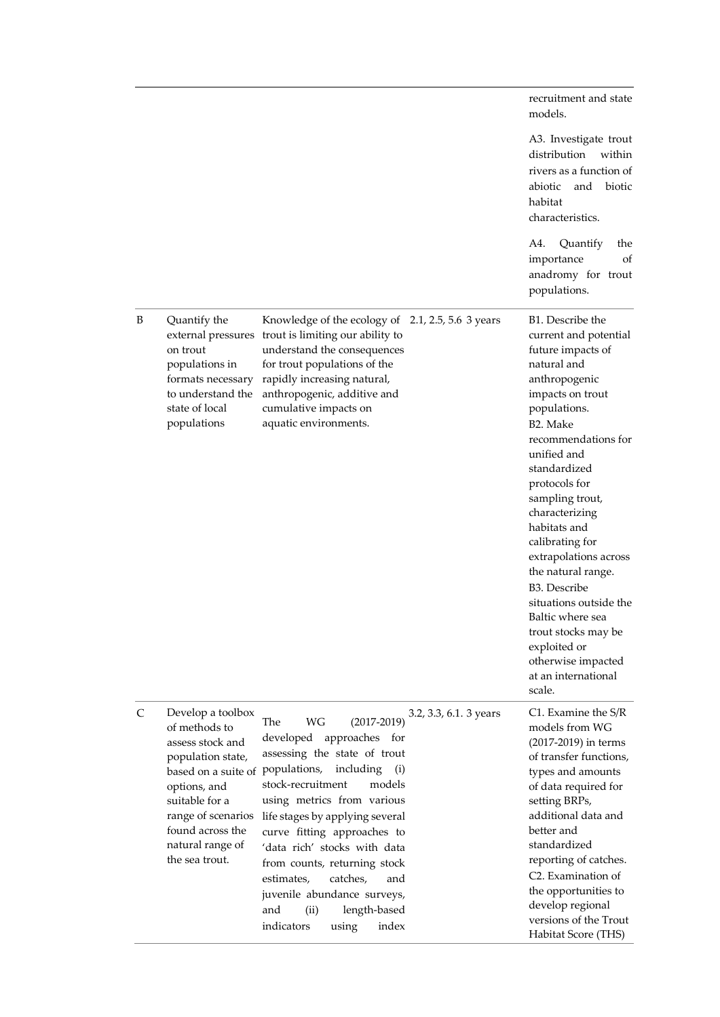|              |                                                                                                                                                                                                                                   |                                                                                                                                                                                                                                                                                                                                                                                                                                                                         | recruitment and state<br>models.                                                                                                                                                                                                                                                                                                                                                                                                                                                                                      |
|--------------|-----------------------------------------------------------------------------------------------------------------------------------------------------------------------------------------------------------------------------------|-------------------------------------------------------------------------------------------------------------------------------------------------------------------------------------------------------------------------------------------------------------------------------------------------------------------------------------------------------------------------------------------------------------------------------------------------------------------------|-----------------------------------------------------------------------------------------------------------------------------------------------------------------------------------------------------------------------------------------------------------------------------------------------------------------------------------------------------------------------------------------------------------------------------------------------------------------------------------------------------------------------|
|              |                                                                                                                                                                                                                                   |                                                                                                                                                                                                                                                                                                                                                                                                                                                                         | A3. Investigate trout<br>distribution<br>within<br>rivers as a function of<br>abiotic<br>and biotic<br>habitat<br>characteristics.                                                                                                                                                                                                                                                                                                                                                                                    |
|              |                                                                                                                                                                                                                                   |                                                                                                                                                                                                                                                                                                                                                                                                                                                                         | Quantify<br>A4.<br>the<br>importance<br>οf<br>anadromy for trout<br>populations.                                                                                                                                                                                                                                                                                                                                                                                                                                      |
| B            | Quantify the<br>external pressures<br>on trout<br>populations in<br>formats necessary<br>to understand the<br>state of local<br>populations                                                                                       | Knowledge of the ecology of 2.1, 2.5, 5.6 3 years<br>trout is limiting our ability to<br>understand the consequences<br>for trout populations of the<br>rapidly increasing natural,<br>anthropogenic, additive and<br>cumulative impacts on<br>aquatic environments.                                                                                                                                                                                                    | B1. Describe the<br>current and potential<br>future impacts of<br>natural and<br>anthropogenic<br>impacts on trout<br>populations.<br>B2. Make<br>recommendations for<br>unified and<br>standardized<br>protocols for<br>sampling trout,<br>characterizing<br>habitats and<br>calibrating for<br>extrapolations across<br>the natural range.<br>B <sub>3</sub> . Describe<br>situations outside the<br>Baltic where sea<br>trout stocks may be<br>exploited or<br>otherwise impacted<br>at an international<br>scale. |
| $\mathsf{C}$ | Develop a toolbox<br>of methods to<br>assess stock and<br>population state,<br>based on a suite of populations,<br>options, and<br>suitable for a<br>range of scenarios<br>found across the<br>natural range of<br>the sea trout. | 3.2, 3.3, 6.1. 3 years<br>$(2017 - 2019)$<br>WG<br>The<br>developed<br>approaches for<br>assessing the state of trout<br>including<br>(i)<br>stock-recruitment<br>models<br>using metrics from various<br>life stages by applying several<br>curve fitting approaches to<br>'data rich' stocks with data<br>from counts, returning stock<br>catches,<br>estimates,<br>and<br>juvenile abundance surveys,<br>length-based<br>and<br>(ii)<br>indicators<br>index<br>using | C1. Examine the S/R<br>models from WG<br>(2017-2019) in terms<br>of transfer functions,<br>types and amounts<br>of data required for<br>setting BRPs,<br>additional data and<br>better and<br>standardized<br>reporting of catches.<br>C <sub>2</sub> . Examination of<br>the opportunities to<br>develop regional<br>versions of the Trout<br>Habitat Score (THS)                                                                                                                                                    |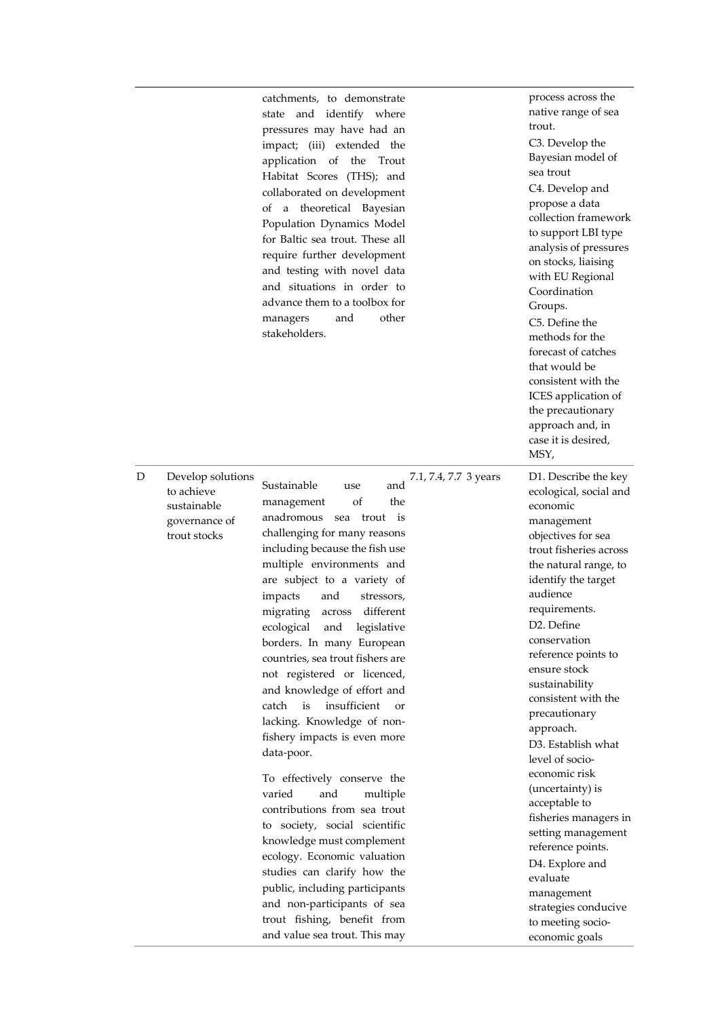|   |                                                                                 | catchments, to demonstrate<br>state and identify where<br>pressures may have had an<br>impact; (iii) extended the<br>application of the<br>Trout<br>Habitat Scores (THS); and<br>collaborated on development<br>of a theoretical Bayesian<br>Population Dynamics Model<br>for Baltic sea trout. These all<br>require further development<br>and testing with novel data<br>and situations in order to<br>advance them to a toolbox for<br>and<br>other<br>managers<br>stakeholders.                                                                                                                                                                                                                                                                                                                                                                                                                                                   |                       | process across the<br>native range of sea<br>trout.<br>C3. Develop the<br>Bayesian model of<br>sea trout<br>C4. Develop and<br>propose a data<br>collection framework<br>to support LBI type<br>analysis of pressures<br>on stocks, liaising<br>with EU Regional<br>Coordination<br>Groups.<br>C5. Define the<br>methods for the<br>forecast of catches<br>that would be<br>consistent with the<br>ICES application of<br>the precautionary<br>approach and, in<br>case it is desired,<br>MSY,                                                                                                                                   |
|---|---------------------------------------------------------------------------------|---------------------------------------------------------------------------------------------------------------------------------------------------------------------------------------------------------------------------------------------------------------------------------------------------------------------------------------------------------------------------------------------------------------------------------------------------------------------------------------------------------------------------------------------------------------------------------------------------------------------------------------------------------------------------------------------------------------------------------------------------------------------------------------------------------------------------------------------------------------------------------------------------------------------------------------|-----------------------|----------------------------------------------------------------------------------------------------------------------------------------------------------------------------------------------------------------------------------------------------------------------------------------------------------------------------------------------------------------------------------------------------------------------------------------------------------------------------------------------------------------------------------------------------------------------------------------------------------------------------------|
| D | Develop solutions<br>to achieve<br>sustainable<br>governance of<br>trout stocks | Sustainable<br>and<br>use<br>of<br>the<br>management<br>anadromous<br>trout is<br>sea<br>challenging for many reasons<br>including because the fish use<br>multiple environments and<br>are subject to a variety of<br>impacts<br>and<br>stressors,<br>different<br>migrating<br>across<br>ecological and legislative<br>borders. In many European<br>countries, sea trout fishers are<br>not registered or licenced,<br>and knowledge of effort and<br>is<br>insufficient<br>catch<br><b>or</b><br>lacking. Knowledge of non-<br>fishery impacts is even more<br>data-poor.<br>To effectively conserve the<br>varied<br>and<br>multiple<br>contributions from sea trout<br>to society, social scientific<br>knowledge must complement<br>ecology. Economic valuation<br>studies can clarify how the<br>public, including participants<br>and non-participants of sea<br>trout fishing, benefit from<br>and value sea trout. This may | 7.1, 7.4, 7.7 3 years | D1. Describe the key<br>ecological, social and<br>economic<br>management<br>objectives for sea<br>trout fisheries across<br>the natural range, to<br>identify the target<br>audience<br>requirements.<br>D2. Define<br>conservation<br>reference points to<br>ensure stock<br>sustainability<br>consistent with the<br>precautionary<br>approach.<br>D3. Establish what<br>level of socio-<br>economic risk<br>(uncertainty) is<br>acceptable to<br>fisheries managers in<br>setting management<br>reference points.<br>D4. Explore and<br>evaluate<br>management<br>strategies conducive<br>to meeting socio-<br>economic goals |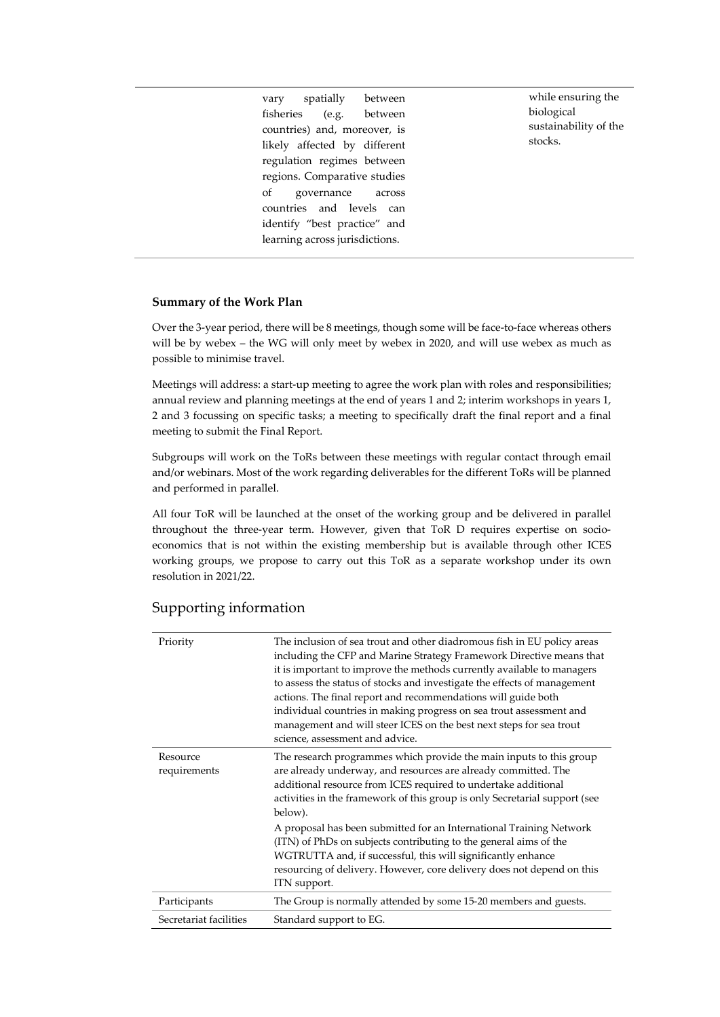vary spatially between fisheries (e.g. between countries) and, moreover, is likely affected by different regulation regimes between regions. Comparative studies of governance across countries and levels can identify "best practice" and learning across jurisdictions.

while ensuring the biological sustainability of the stocks.

### **Summary of the Work Plan**

Over the 3-year period, there will be 8 meetings, though some will be face-to-face whereas others will be by webex – the WG will only meet by webex in 2020, and will use webex as much as possible to minimise travel.

Meetings will address: a start-up meeting to agree the work plan with roles and responsibilities; annual review and planning meetings at the end of years 1 and 2; interim workshops in years 1, 2 and 3 focussing on specific tasks; a meeting to specifically draft the final report and a final meeting to submit the Final Report.

Subgroups will work on the ToRs between these meetings with regular contact through email and/or webinars. Most of the work regarding deliverables for the different ToRs will be planned and performed in parallel.

All four ToR will be launched at the onset of the working group and be delivered in parallel throughout the three-year term. However, given that ToR D requires expertise on socioeconomics that is not within the existing membership but is available through other ICES working groups, we propose to carry out this ToR as a separate workshop under its own resolution in 2021/22.

| Priority                 | The inclusion of sea trout and other diadromous fish in EU policy areas<br>including the CFP and Marine Strategy Framework Directive means that<br>it is important to improve the methods currently available to managers<br>to assess the status of stocks and investigate the effects of management<br>actions. The final report and recommendations will guide both<br>individual countries in making progress on sea trout assessment and<br>management and will steer ICES on the best next steps for sea trout<br>science, assessment and advice.                                |
|--------------------------|----------------------------------------------------------------------------------------------------------------------------------------------------------------------------------------------------------------------------------------------------------------------------------------------------------------------------------------------------------------------------------------------------------------------------------------------------------------------------------------------------------------------------------------------------------------------------------------|
| Resource<br>requirements | The research programmes which provide the main inputs to this group<br>are already underway, and resources are already committed. The<br>additional resource from ICES required to undertake additional<br>activities in the framework of this group is only Secretarial support (see<br>below).<br>A proposal has been submitted for an International Training Network<br>(ITN) of PhDs on subjects contributing to the general aims of the<br>WGTRUTTA and, if successful, this will significantly enhance<br>resourcing of delivery. However, core delivery does not depend on this |
|                          | ITN support.                                                                                                                                                                                                                                                                                                                                                                                                                                                                                                                                                                           |
| Participants             | The Group is normally attended by some 15-20 members and guests.                                                                                                                                                                                                                                                                                                                                                                                                                                                                                                                       |
| Secretariat facilities   | Standard support to EG.                                                                                                                                                                                                                                                                                                                                                                                                                                                                                                                                                                |

### Supporting information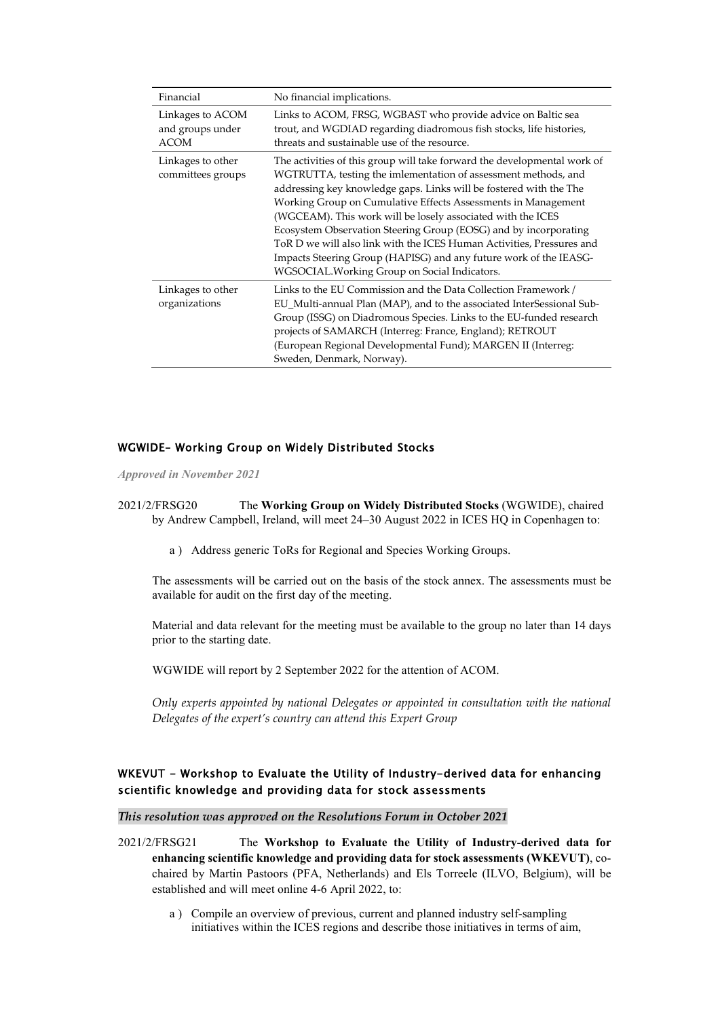| Financial                                    | No financial implications.                                                                                                                                                                                                                                                                                                                                                                                                                                                                                                                                                                                          |
|----------------------------------------------|---------------------------------------------------------------------------------------------------------------------------------------------------------------------------------------------------------------------------------------------------------------------------------------------------------------------------------------------------------------------------------------------------------------------------------------------------------------------------------------------------------------------------------------------------------------------------------------------------------------------|
| Linkages to ACOM<br>and groups under<br>ACOM | Links to ACOM, FRSG, WGBAST who provide advice on Baltic sea<br>trout, and WGDIAD regarding diadromous fish stocks, life histories,<br>threats and sustainable use of the resource.                                                                                                                                                                                                                                                                                                                                                                                                                                 |
| Linkages to other<br>committees groups       | The activities of this group will take forward the developmental work of<br>WGTRUTTA, testing the imlementation of assessment methods, and<br>addressing key knowledge gaps. Links will be fostered with the The<br>Working Group on Cumulative Effects Assessments in Management<br>(WGCEAM). This work will be losely associated with the ICES<br>Ecosystem Observation Steering Group (EOSG) and by incorporating<br>ToR D we will also link with the ICES Human Activities, Pressures and<br>Impacts Steering Group (HAPISG) and any future work of the IEASG-<br>WGSOCIAL. Working Group on Social Indicators. |
| Linkages to other<br>organizations           | Links to the EU Commission and the Data Collection Framework /<br>EU_Multi-annual Plan (MAP), and to the associated InterSessional Sub-<br>Group (ISSG) on Diadromous Species. Links to the EU-funded research<br>projects of SAMARCH (Interreg: France, England); RETROUT<br>(European Regional Developmental Fund); MARGEN II (Interreg:<br>Sweden, Denmark, Norway).                                                                                                                                                                                                                                             |

### <span id="page-30-0"></span>WGWIDE– Working Group on Widely Distributed Stocks

*Approved in November 2021*

2021/2/FRSG20 The **Working Group on Widely Distributed Stocks** (WGWIDE), chaired by Andrew Campbell, Ireland, will meet 24–30 August 2022 in ICES HQ in Copenhagen to:

a ) Address generic ToRs for Regional and Species Working Groups.

The assessments will be carried out on the basis of the stock annex. The assessments must be available for audit on the first day of the meeting.

Material and data relevant for the meeting must be available to the group no later than 14 days prior to the starting date.

WGWIDE will report by 2 September 2022 for the attention of ACOM.

*Only experts appointed by national Delegates or appointed in consultation with the national Delegates of the expert's country can attend this Expert Group*

### <span id="page-30-1"></span>WKEVUT - Workshop to Evaluate the Utility of Industry-derived data for enhancing scientific knowledge and providing data for stock assessments

*This resolution was approved on the Resolutions Forum in October 2021* 

- 2021/2/FRSG21 The **Workshop to Evaluate the Utility of Industry-derived data for enhancing scientific knowledge and providing data for stock assessments (WKEVUT)**, cochaired by Martin Pastoors (PFA, Netherlands) and Els Torreele (ILVO, Belgium), will be established and will meet online 4-6 April 2022, to:
	- a ) Compile an overview of previous, current and planned industry self-sampling initiatives within the ICES regions and describe those initiatives in terms of aim,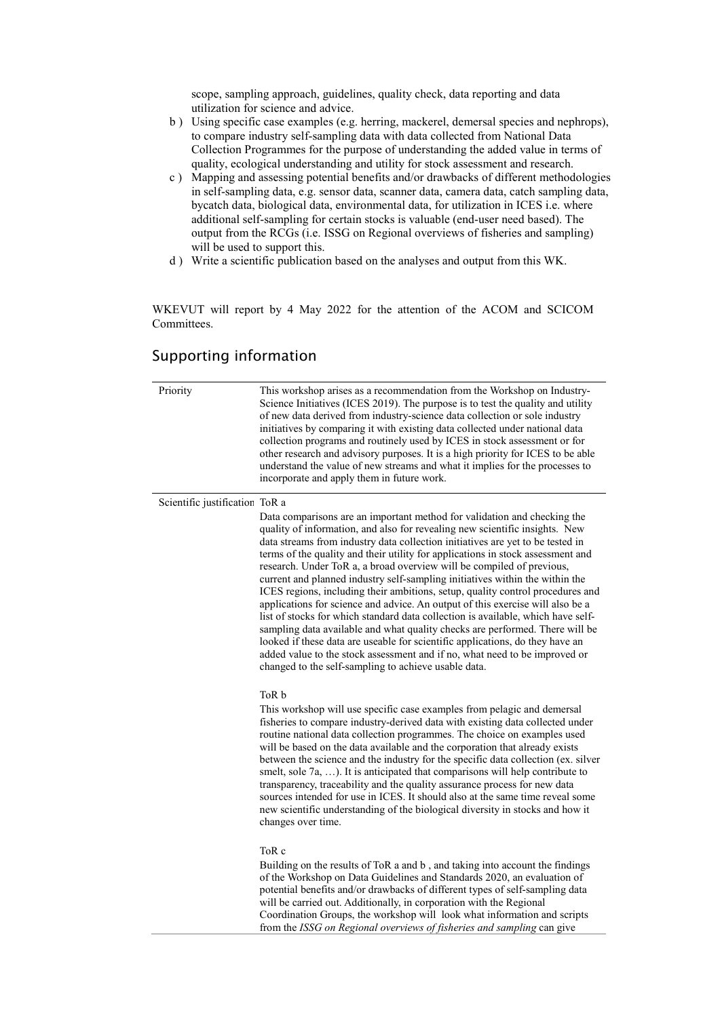scope, sampling approach, guidelines, quality check, data reporting and data utilization for science and advice.

- b ) Using specific case examples (e.g. herring, mackerel, demersal species and nephrops), to compare industry self-sampling data with data collected from National Data Collection Programmes for the purpose of understanding the added value in terms of quality, ecological understanding and utility for stock assessment and research.
- c ) Mapping and assessing potential benefits and/or drawbacks of different methodologies in self-sampling data, e.g. sensor data, scanner data, camera data, catch sampling data, bycatch data, biological data, environmental data, for utilization in ICES i.e. where additional self-sampling for certain stocks is valuable (end-user need based). The output from the RCGs (i.e. ISSG on Regional overviews of fisheries and sampling) will be used to support this.
- d ) Write a scientific publication based on the analyses and output from this WK.

WKEVUT will report by 4 May 2022 for the attention of the ACOM and SCICOM Committees.

## Supporting information

| Priority                       | This workshop arises as a recommendation from the Workshop on Industry-<br>Science Initiatives (ICES 2019). The purpose is to test the quality and utility<br>of new data derived from industry-science data collection or sole industry<br>initiatives by comparing it with existing data collected under national data<br>collection programs and routinely used by ICES in stock assessment or for<br>other research and advisory purposes. It is a high priority for ICES to be able<br>understand the value of new streams and what it implies for the processes to<br>incorporate and apply them in future work.                                                                                                                                                                                                                                                                                                                                                                                                                               |
|--------------------------------|------------------------------------------------------------------------------------------------------------------------------------------------------------------------------------------------------------------------------------------------------------------------------------------------------------------------------------------------------------------------------------------------------------------------------------------------------------------------------------------------------------------------------------------------------------------------------------------------------------------------------------------------------------------------------------------------------------------------------------------------------------------------------------------------------------------------------------------------------------------------------------------------------------------------------------------------------------------------------------------------------------------------------------------------------|
| Scientific justification ToR a | Data comparisons are an important method for validation and checking the<br>quality of information, and also for revealing new scientific insights. New<br>data streams from industry data collection initiatives are yet to be tested in<br>terms of the quality and their utility for applications in stock assessment and<br>research. Under ToR a, a broad overview will be compiled of previous,<br>current and planned industry self-sampling initiatives within the within the<br>ICES regions, including their ambitions, setup, quality control procedures and<br>applications for science and advice. An output of this exercise will also be a<br>list of stocks for which standard data collection is available, which have self-<br>sampling data available and what quality checks are performed. There will be<br>looked if these data are useable for scientific applications, do they have an<br>added value to the stock assessment and if no, what need to be improved or<br>changed to the self-sampling to achieve usable data. |
|                                | ToR b<br>This workshop will use specific case examples from pelagic and demersal<br>fisheries to compare industry-derived data with existing data collected under<br>routine national data collection programmes. The choice on examples used<br>will be based on the data available and the corporation that already exists<br>between the science and the industry for the specific data collection (ex. silver<br>smelt, sole 7a, ). It is anticipated that comparisons will help contribute to<br>transparency, traceability and the quality assurance process for new data<br>sources intended for use in ICES. It should also at the same time reveal some<br>new scientific understanding of the biological diversity in stocks and how it<br>changes over time.                                                                                                                                                                                                                                                                              |
|                                | ToR c<br>Building on the results of ToR a and b, and taking into account the findings<br>of the Workshop on Data Guidelines and Standards 2020, an evaluation of<br>potential benefits and/or drawbacks of different types of self-sampling data<br>will be carried out. Additionally, in corporation with the Regional<br>Coordination Groups, the workshop will look what information and scripts<br>from the ISSG on Regional overviews of fisheries and sampling can give                                                                                                                                                                                                                                                                                                                                                                                                                                                                                                                                                                        |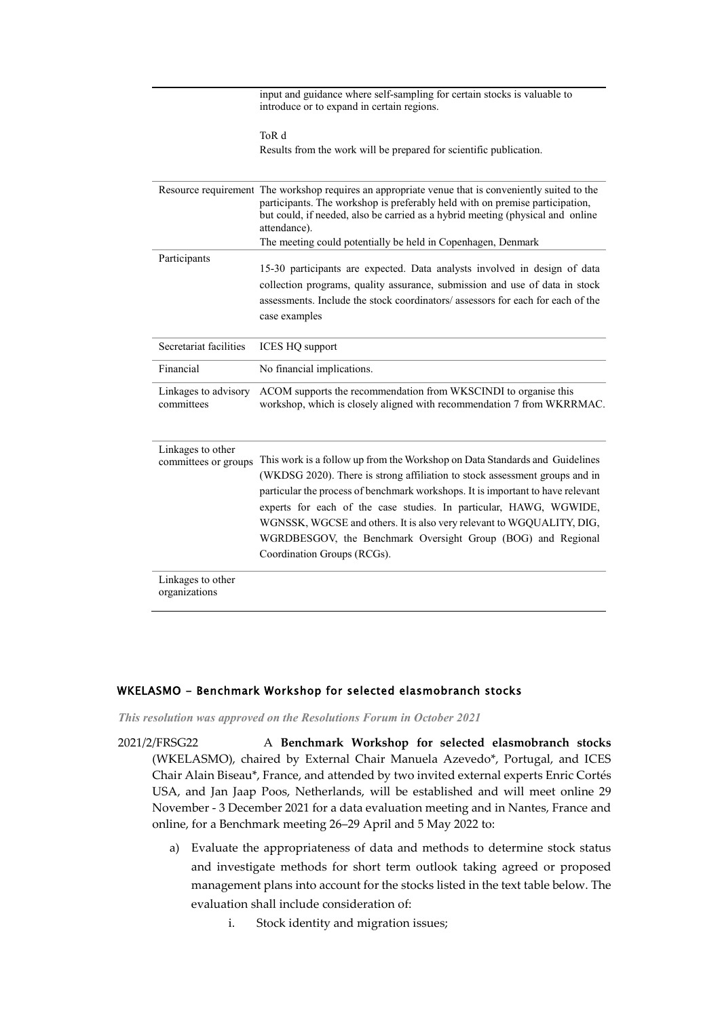|                                           | input and guidance where self-sampling for certain stocks is valuable to<br>introduce or to expand in certain regions.                                                                                                                                                                                                                                                                                                                                                                      |
|-------------------------------------------|---------------------------------------------------------------------------------------------------------------------------------------------------------------------------------------------------------------------------------------------------------------------------------------------------------------------------------------------------------------------------------------------------------------------------------------------------------------------------------------------|
|                                           | ToR d<br>Results from the work will be prepared for scientific publication.                                                                                                                                                                                                                                                                                                                                                                                                                 |
|                                           | Resource requirement The workshop requires an appropriate venue that is conveniently suited to the<br>participants. The workshop is preferably held with on premise participation,<br>but could, if needed, also be carried as a hybrid meeting (physical and online<br>attendance).                                                                                                                                                                                                        |
|                                           | The meeting could potentially be held in Copenhagen, Denmark                                                                                                                                                                                                                                                                                                                                                                                                                                |
| Participants                              | 15-30 participants are expected. Data analysts involved in design of data<br>collection programs, quality assurance, submission and use of data in stock<br>assessments. Include the stock coordinators/ assessors for each for each of the<br>case examples                                                                                                                                                                                                                                |
| Secretariat facilities                    | <b>ICES HQ support</b>                                                                                                                                                                                                                                                                                                                                                                                                                                                                      |
| Financial                                 | No financial implications.                                                                                                                                                                                                                                                                                                                                                                                                                                                                  |
| Linkages to advisory<br>committees        | ACOM supports the recommendation from WKSCINDI to organise this<br>workshop, which is closely aligned with recommendation 7 from WKRRMAC.                                                                                                                                                                                                                                                                                                                                                   |
| Linkages to other<br>committees or groups | This work is a follow up from the Workshop on Data Standards and Guidelines<br>(WKDSG 2020). There is strong affiliation to stock assessment groups and in<br>particular the process of benchmark workshops. It is important to have relevant<br>experts for each of the case studies. In particular, HAWG, WGWIDE,<br>WGNSSK, WGCSE and others. It is also very relevant to WGQUALITY, DIG,<br>WGRDBESGOV, the Benchmark Oversight Group (BOG) and Regional<br>Coordination Groups (RCGs). |
| Linkages to other<br>organizations        |                                                                                                                                                                                                                                                                                                                                                                                                                                                                                             |

### <span id="page-32-0"></span>WKELASMO - Benchmark Workshop for selected elasmobranch stocks

*This resolution was approved on the Resolutions Forum in October 2021*

2021/2/FRSG22 A **Benchmark Workshop for selected elasmobranch stocks** (WKELASMO), chaired by External Chair Manuela Azevedo\*, Portugal, and ICES Chair Alain Biseau\*, France, and attended by two invited external experts Enric Cortés USA, and Jan Jaap Poos, Netherlands, will be established and will meet online 29 November - 3 December 2021 for a data evaluation meeting and in Nantes, France and online, for a Benchmark meeting 26–29 April and 5 May 2022 to:

- a) Evaluate the appropriateness of data and methods to determine stock status and investigate methods for short term outlook taking agreed or proposed management plans into account for the stocks listed in the text table below. The evaluation shall include consideration of:
	- i. Stock identity and migration issues;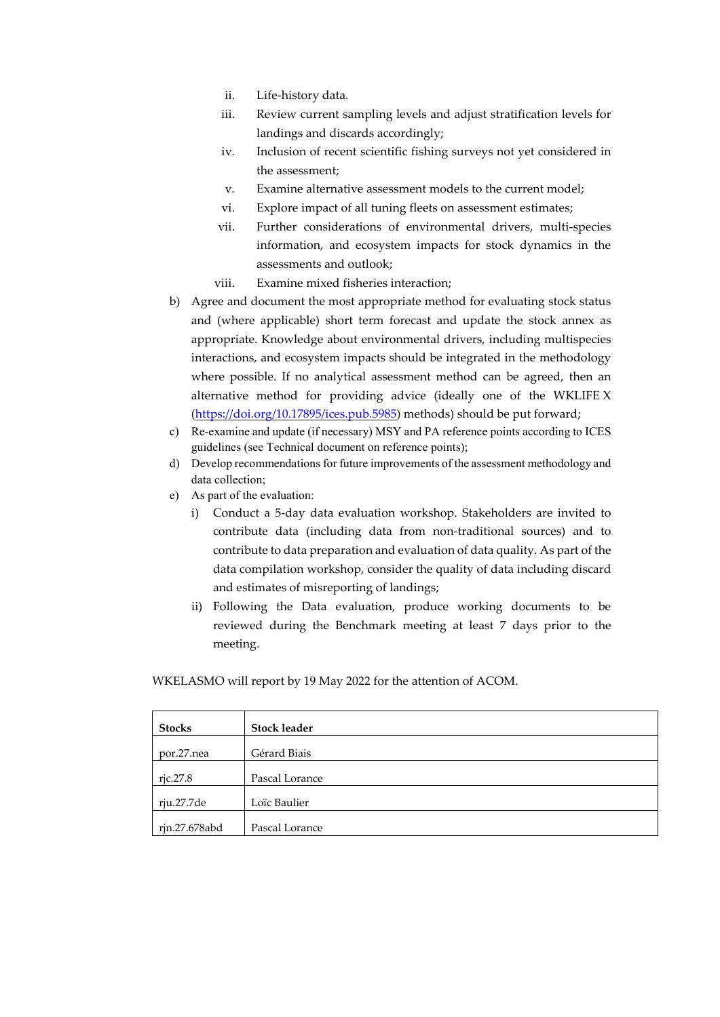- ii. Life-history data.
- iii. Review current sampling levels and adjust stratification levels for landings and discards accordingly;
- iv. Inclusion of recent scientific fishing surveys not yet considered in the assessment;
- v. Examine alternative assessment models to the current model;
- vi. Explore impact of all tuning fleets on assessment estimates;
- vii. Further considerations of environmental drivers, multi-species information, and ecosystem impacts for stock dynamics in the assessments and outlook;
- viii. Examine mixed fisheries interaction;
- b) Agree and document the most appropriate method for evaluating stock status and (where applicable) short term forecast and update the stock annex as appropriate. Knowledge about environmental drivers, including multispecies interactions, and ecosystem impacts should be integrated in the methodology where possible. If no analytical assessment method can be agreed, then an alternative method for providing advice (ideally one of the WKLIFE X [\(https://doi.org/10.17895/ices.pub.5985\)](https://doi.org/10.17895/ices.pub.5985) methods) should be put forward;
- c) Re-examine and update (if necessary) MSY and PA reference points according to ICES guidelines (see Technical document on reference points);
- d) Develop recommendations for future improvements of the assessment methodology and data collection;
- e) As part of the evaluation:
	- i) Conduct a 5-day data evaluation workshop. Stakeholders are invited to contribute data (including data from non-traditional sources) and to contribute to data preparation and evaluation of data quality. As part of the data compilation workshop, consider the quality of data including discard and estimates of misreporting of landings;
	- ii) Following the Data evaluation, produce working documents to be reviewed during the Benchmark meeting at least 7 days prior to the meeting.

WKELASMO will report by 19 May 2022 for the attention of ACOM.

| <b>Stocks</b> | <b>Stock leader</b> |
|---------------|---------------------|
| por.27.nea    | Gérard Biais        |
| ric.27.8      | Pascal Lorance      |
| rju.27.7de    | Loïc Baulier        |
| rjn.27.678abd | Pascal Lorance      |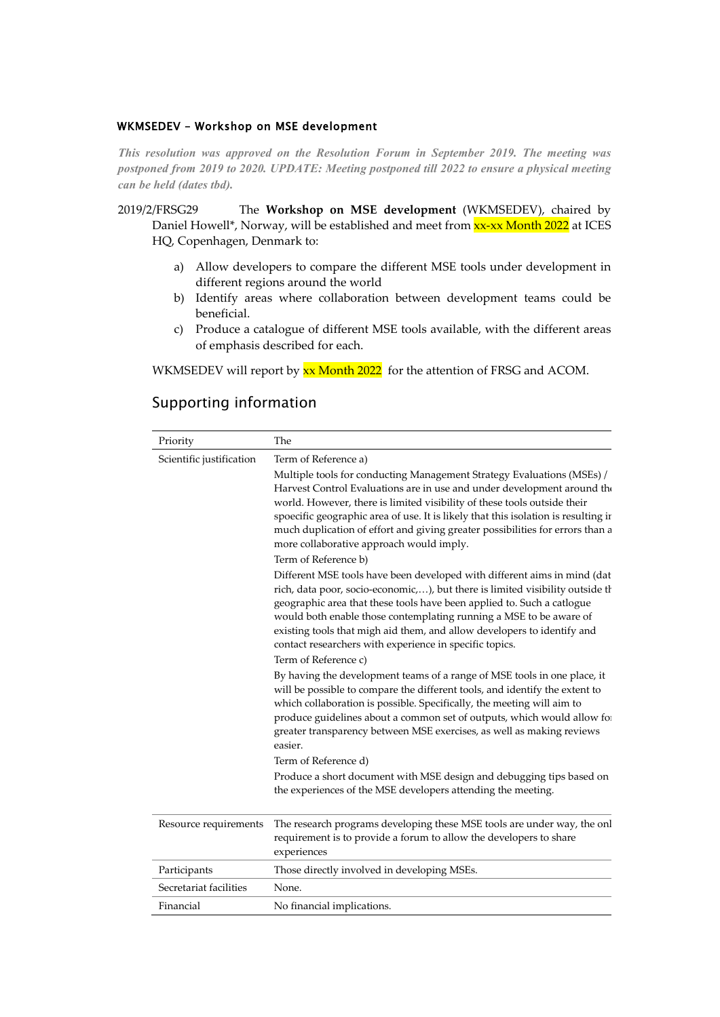### <span id="page-34-0"></span>WKMSEDEV – Workshop on MSE development

*This resolution was approved on the Resolution Forum in September 2019. The meeting was postponed from 2019 to 2020. UPDATE: Meeting postponed till 2022 to ensure a physical meeting can be held (dates tbd).*

2019/2/FRSG29 The **Workshop on MSE development** (WKMSEDEV), chaired by Daniel Howell\*, Norway, will be established and meet from xx-xx Month 2022 at ICES HQ, Copenhagen, Denmark to:

- a) Allow developers to compare the different MSE tools under development in different regions around the world
- b) Identify areas where collaboration between development teams could be beneficial.
- c) Produce a catalogue of different MSE tools available, with the different areas of emphasis described for each.

WKMSEDEV will report by  $xx$  Month 2022 for the attention of FRSG and ACOM.

# Supporting information

| Priority                 | The                                                                                                                                                                                                                                                                                                                                                                                                                                                                      |
|--------------------------|--------------------------------------------------------------------------------------------------------------------------------------------------------------------------------------------------------------------------------------------------------------------------------------------------------------------------------------------------------------------------------------------------------------------------------------------------------------------------|
| Scientific justification | Term of Reference a)                                                                                                                                                                                                                                                                                                                                                                                                                                                     |
|                          | Multiple tools for conducting Management Strategy Evaluations (MSEs) /<br>Harvest Control Evaluations are in use and under development around the<br>world. However, there is limited visibility of these tools outside their<br>spoecific geographic area of use. It is likely that this isolation is resulting ir<br>much duplication of effort and giving greater possibilities for errors than a<br>more collaborative approach would imply.<br>Term of Reference b) |
|                          | Different MSE tools have been developed with different aims in mind (dat<br>rich, data poor, socio-economic,), but there is limited visibility outside th<br>geographic area that these tools have been applied to. Such a catlogue<br>would both enable those contemplating running a MSE to be aware of<br>existing tools that migh aid them, and allow developers to identify and<br>contact researchers with experience in specific topics.<br>Term of Reference c)  |
|                          | By having the development teams of a range of MSE tools in one place, it<br>will be possible to compare the different tools, and identify the extent to<br>which collaboration is possible. Specifically, the meeting will aim to<br>produce guidelines about a common set of outputs, which would allow for<br>greater transparency between MSE exercises, as well as making reviews<br>easier.                                                                         |
|                          | Term of Reference d)                                                                                                                                                                                                                                                                                                                                                                                                                                                     |
|                          | Produce a short document with MSE design and debugging tips based on<br>the experiences of the MSE developers attending the meeting.                                                                                                                                                                                                                                                                                                                                     |
| Resource requirements    | The research programs developing these MSE tools are under way, the onl<br>requirement is to provide a forum to allow the developers to share<br>experiences                                                                                                                                                                                                                                                                                                             |
| Participants             | Those directly involved in developing MSEs.                                                                                                                                                                                                                                                                                                                                                                                                                              |
| Secretariat facilities   | None.                                                                                                                                                                                                                                                                                                                                                                                                                                                                    |
| Financial                | No financial implications.                                                                                                                                                                                                                                                                                                                                                                                                                                               |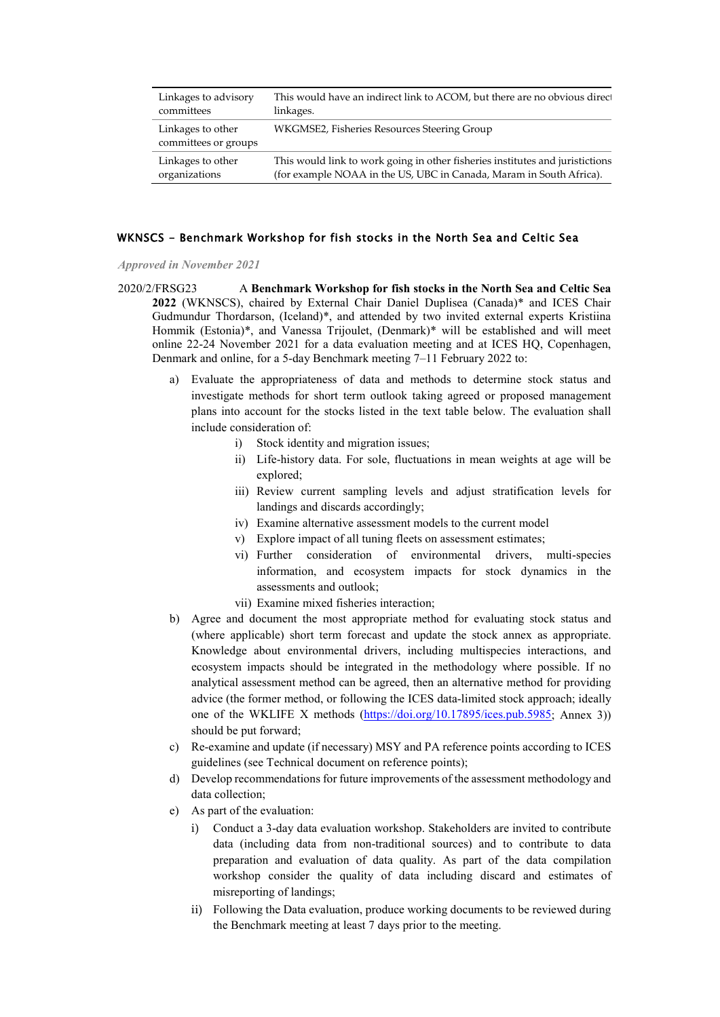| Linkages to advisory                      | This would have an indirect link to ACOM, but there are no obvious direct     |
|-------------------------------------------|-------------------------------------------------------------------------------|
| committees                                | linkages.                                                                     |
| Linkages to other<br>committees or groups | WKGMSE2, Fisheries Resources Steering Group                                   |
| Linkages to other                         | This would link to work going in other fisheries institutes and juristictions |
| organizations                             | (for example NOAA in the US, UBC in Canada, Maram in South Africa).           |

### <span id="page-35-0"></span>WKNSCS - Benchmark Workshop for fish stocks in the North Sea and Celtic Sea

*Approved in November 2021*

- 2020/2/FRSG23 A **Benchmark Workshop for fish stocks in the North Sea and Celtic Sea 2022** (WKNSCS), chaired by External Chair Daniel Duplisea (Canada)\* and ICES Chair Gudmundur Thordarson, (Iceland)\*, and attended by two invited external experts Kristiina Hommik (Estonia)\*, and Vanessa Trijoulet, (Denmark)\* will be established and will meet online 22-24 November 2021 for a data evaluation meeting and at ICES HQ, Copenhagen, Denmark and online, for a 5-day Benchmark meeting 7–11 February 2022 to:
	- a) Evaluate the appropriateness of data and methods to determine stock status and investigate methods for short term outlook taking agreed or proposed management plans into account for the stocks listed in the text table below. The evaluation shall include consideration of:
		- i) Stock identity and migration issues;
		- ii) Life-history data. For sole, fluctuations in mean weights at age will be explored;
		- iii) Review current sampling levels and adjust stratification levels for landings and discards accordingly;
		- iv) Examine alternative assessment models to the current model
		- v) Explore impact of all tuning fleets on assessment estimates;
		- vi) Further consideration of environmental drivers, multi-species information, and ecosystem impacts for stock dynamics in the assessments and outlook;
		- vii) Examine mixed fisheries interaction;
	- b) Agree and document the most appropriate method for evaluating stock status and (where applicable) short term forecast and update the stock annex as appropriate. Knowledge about environmental drivers, including multispecies interactions, and ecosystem impacts should be integrated in the methodology where possible. If no analytical assessment method can be agreed, then an alternative method for providing advice (the former method, or following the ICES data-limited stock approach; ideally one of the WKLIFE X methods [\(https://doi.org/10.17895/ices.pub.5985;](https://doi.org/10.17895/ices.pub.5985) Annex 3)) should be put forward;
	- c) Re-examine and update (if necessary) MSY and PA reference points according to ICES guidelines (see Technical document on reference points);
	- d) Develop recommendations for future improvements of the assessment methodology and data collection;
	- e) As part of the evaluation:
		- i) Conduct a 3-day data evaluation workshop. Stakeholders are invited to contribute data (including data from non-traditional sources) and to contribute to data preparation and evaluation of data quality. As part of the data compilation workshop consider the quality of data including discard and estimates of misreporting of landings;
		- ii) Following the Data evaluation, produce working documents to be reviewed during the Benchmark meeting at least 7 days prior to the meeting.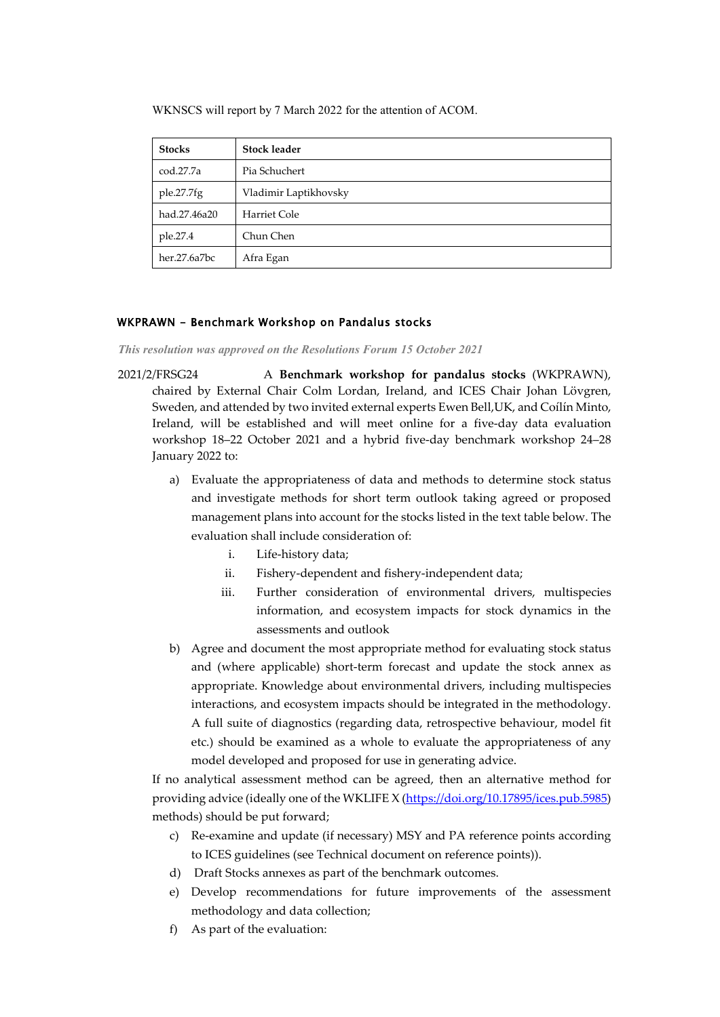WKNSCS will report by 7 March 2022 for the attention of ACOM.

| <b>Stocks</b> | <b>Stock leader</b>   |
|---------------|-----------------------|
| cod.27.7a     | Pia Schuchert         |
| ple.27.7fg    | Vladimir Laptikhovsky |
| had.27.46a20  | Harriet Cole          |
| ple.27.4      | Chun Chen             |
| her.27.6a7bc  | Afra Egan             |

### <span id="page-36-0"></span>WKPRAWN - Benchmark Workshop on Pandalus stocks

*This resolution was approved on the Resolutions Forum 15 October 2021*

- 2021/2/FRSG24 A **Benchmark workshop for pandalus stocks** (WKPRAWN), chaired by External Chair Colm Lordan, Ireland, and ICES Chair Johan Lövgren, Sweden, and attended by two invited external experts Ewen Bell,UK, and Coílín Minto, Ireland, will be established and will meet online for a five-day data evaluation workshop 18–22 October 2021 and a hybrid five-day benchmark workshop 24–28 January 2022 to:
	- a) Evaluate the appropriateness of data and methods to determine stock status and investigate methods for short term outlook taking agreed or proposed management plans into account for the stocks listed in the text table below. The evaluation shall include consideration of:
		- i. Life-history data;
		- ii. Fishery-dependent and fishery-independent data;
		- iii. Further consideration of environmental drivers, multispecies information, and ecosystem impacts for stock dynamics in the assessments and outlook
	- b) Agree and document the most appropriate method for evaluating stock status and (where applicable) short-term forecast and update the stock annex as appropriate. Knowledge about environmental drivers, including multispecies interactions, and ecosystem impacts should be integrated in the methodology. A full suite of diagnostics (regarding data, retrospective behaviour, model fit etc.) should be examined as a whole to evaluate the appropriateness of any model developed and proposed for use in generating advice.

If no analytical assessment method can be agreed, then an alternative method for providing advice (ideally one of the WKLIFE X [\(https://doi.org/10.17895/ices.pub.5985\)](https://doi.org/10.17895/ices.pub.5985) methods) should be put forward;

- c) Re-examine and update (if necessary) MSY and PA reference points according to ICES guidelines (see Technical document on reference points)).
- d) Draft Stocks annexes as part of the benchmark outcomes.
- e) Develop recommendations for future improvements of the assessment methodology and data collection;
- f) As part of the evaluation: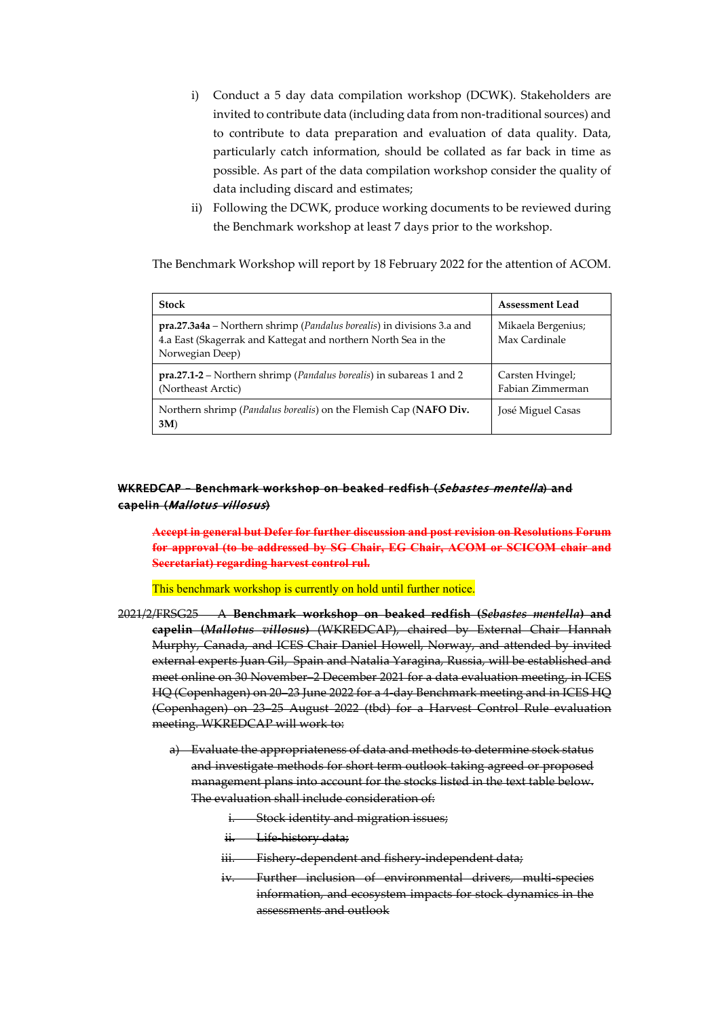- i) Conduct a 5 day data compilation workshop (DCWK). Stakeholders are invited to contribute data (including data from non-traditional sources) and to contribute to data preparation and evaluation of data quality. Data, particularly catch information, should be collated as far back in time as possible. As part of the data compilation workshop consider the quality of data including discard and estimates;
- ii) Following the DCWK, produce working documents to be reviewed during the Benchmark workshop at least 7 days prior to the workshop.

The Benchmark Workshop will report by 18 February 2022 for the attention of ACOM.

| Stock                                                                                                                                                                       | <b>Assessment Lead</b>               |
|-----------------------------------------------------------------------------------------------------------------------------------------------------------------------------|--------------------------------------|
| <b>pra.27.3a4a</b> – Northern shrimp ( <i>Pandalus borealis</i> ) in divisions 3.a and<br>4.a East (Skagerrak and Kattegat and northern North Sea in the<br>Norwegian Deep) | Mikaela Bergenius;<br>Max Cardinale  |
| <b>pra.27.1-2</b> – Northern shrimp ( <i>Pandalus borealis</i> ) in subareas 1 and 2<br>(Northeast Arctic)                                                                  | Carsten Hyingel;<br>Fabian Zimmerman |
| Northern shrimp ( <i>Pandalus borealis</i> ) on the Flemish Cap ( <b>NAFO Div.</b><br>3M)                                                                                   | José Miguel Casas                    |

### <span id="page-37-0"></span>WKREDCAP – Benchmark workshop on beaked redfish (Sebastes mentella) and capelin (Mallotus villosus)

**Accept in general but Defer for further discussion and post revision on Resolutions Forum for approval (to be addressed by SG Chair, EG Chair, ACOM or SCICOM chair and Secretariat) regarding harvest control rul.**

This benchmark workshop is currently on hold until further notice.

- 2021/2/FRSG25 A **Benchmark workshop on beaked redfish (***Sebastes mentella***) and capelin (***Mallotus villosus***)** (WKREDCAP), chaired by External Chair Hannah Murphy, Canada, and ICES Chair Daniel Howell, Norway, and attended by invited external experts Juan Gil, Spain and Natalia Yaragina, Russia, will be established and meet online on 30 November–2 December 2021 for a data evaluation meeting, in ICES HQ (Copenhagen) on 20–23 June 2022 for a 4-day Benchmark meeting and in ICES HQ (Copenhagen) on 23–25 August 2022 (tbd) for a Harvest Control Rule evaluation meeting. WKREDCAP will work to:
	- a) Evaluate the appropriateness of data and methods to determine stock status and investigate methods for short term outlook taking agreed or proposed management plans into account for the stocks listed in the text table below. The evaluation shall include consideration of:
		- i. Stock identity and migration issues;
		- ii. Life-history data;
		- iii. Fishery-dependent and fishery-independent data;
		- iv. Further inclusion of environmental drivers, multi-species information, and ecosystem impacts for stock dynamics in the assessments and outlook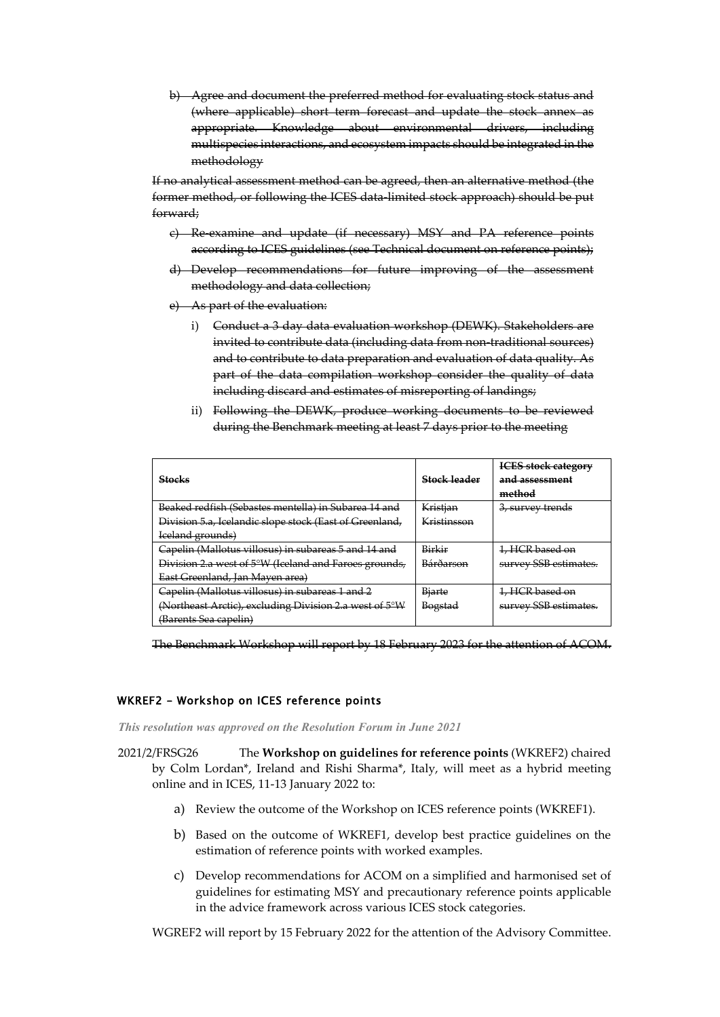b) Agree and document the preferred method for evaluating stock status and (where applicable) short term forecast and update the stock annex as appropriate. Knowledge about environmental drivers, including multispecies interactions, and ecosystem impacts should be integrated in the methodology

If no analytical assessment method can be agreed, then an alternative method (the former method, or following the ICES data-limited stock approach) should be put forward;

- c) Re-examine and update (if necessary) MSY and PA reference points according to ICES guidelines (see Technical document on reference points);
- d) Develop recommendations for future improving of the assessment methodology and data collection;
- e) As part of the evaluation:
	- i) Conduct a 3 day data evaluation workshop (DEWK). Stakeholders are invited to contribute data (including data from non-traditional sources) and to contribute to data preparation and evaluation of data quality. As part of the data compilation workshop consider the quality of data including discard and estimates of misreporting of landings;
	- ii) Following the DEWK, produce working documents to be reviewed during the Benchmark meeting at least 7 days prior to the meeting

|                                                         |                | <b>ICES</b> stock category  |
|---------------------------------------------------------|----------------|-----------------------------|
| <b>Stocks</b>                                           | Stock-leader   | and assessment              |
|                                                         |                | method                      |
| Beaked redfish (Sebastes mentella) in Subarea 14 and    | Kristian       | <del>3, survey trends</del> |
| Division 5.a, Icelandic slope stock (East of Greenland, | Kristinsson    |                             |
| Iceland grounds)                                        |                |                             |
| Capelin (Mallotus villosus) in subareas 5 and 14 and    | Birkir         | 1, HCR based on             |
| Division 2.a west of 5°W (Iceland and Faroes grounds,   | Bárðarson      | survey SSB estimates.       |
| East Greenland, Jan Mayen area)                         |                |                             |
| Capelin (Mallotus villosus) in subareas 1 and 2         | <b>Biarte</b>  | 1, HCR based on             |
| (Northeast Arctic), excluding Division 2.a west of 5°W  | <b>Bogstad</b> | survey SSB estimates.       |
| <del>(Barents Sea capelin)</del>                        |                |                             |

The Benchmark Workshop will report by 18 February 2023 for the attention of ACOM.

### <span id="page-38-0"></span>WKREF2 – Workshop on ICES reference points

*This resolution was approved on the Resolution Forum in June 2021*

2021/2/FRSG26 The **Workshop on guidelines for reference points** (WKREF2) chaired by Colm Lordan\*, Ireland and Rishi Sharma\*, Italy, will meet as a hybrid meeting online and in ICES, 11-13 January 2022 to:

- a) Review the outcome of the Workshop on ICES reference points (WKREF1).
- b) Based on the outcome of WKREF1, develop best practice guidelines on the estimation of reference points with worked examples.
- c) Develop recommendations for ACOM on a simplified and harmonised set of guidelines for estimating MSY and precautionary reference points applicable in the advice framework across various ICES stock categories.

WGREF2 will report by 15 February 2022 for the attention of the Advisory Committee.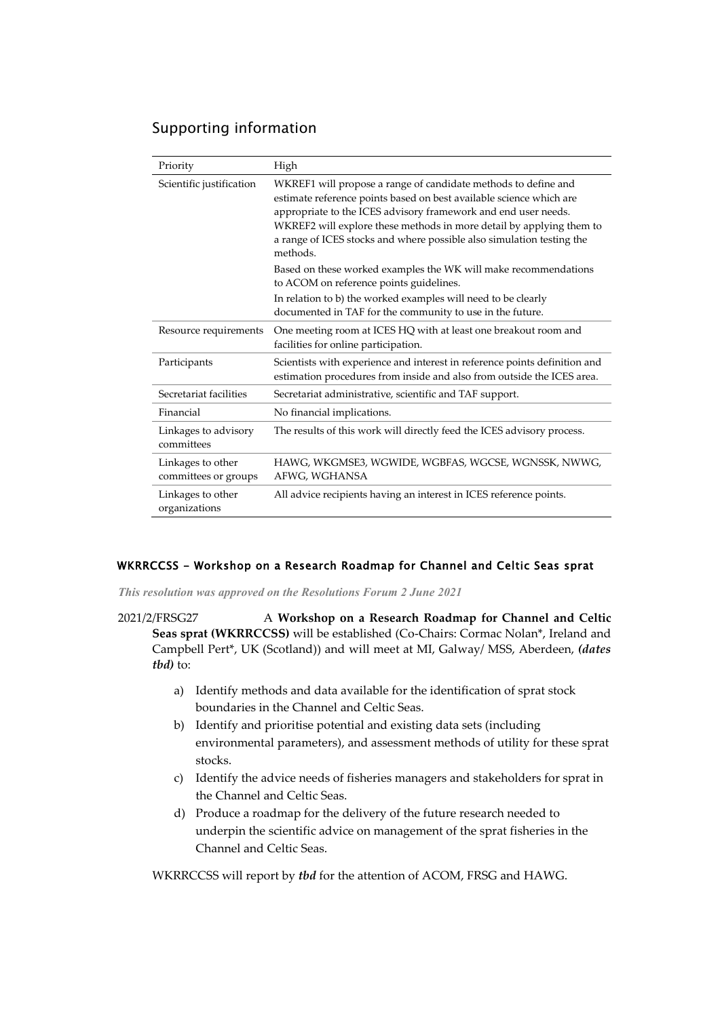# Supporting information

| Priority                                  | High                                                                                                                                                                                                                                                                                                                                                                 |
|-------------------------------------------|----------------------------------------------------------------------------------------------------------------------------------------------------------------------------------------------------------------------------------------------------------------------------------------------------------------------------------------------------------------------|
| Scientific justification                  | WKREF1 will propose a range of candidate methods to define and<br>estimate reference points based on best available science which are<br>appropriate to the ICES advisory framework and end user needs.<br>WKREF2 will explore these methods in more detail by applying them to<br>a range of ICES stocks and where possible also simulation testing the<br>methods. |
|                                           | Based on these worked examples the WK will make recommendations<br>to ACOM on reference points guidelines.                                                                                                                                                                                                                                                           |
|                                           | In relation to b) the worked examples will need to be clearly<br>documented in TAF for the community to use in the future.                                                                                                                                                                                                                                           |
| Resource requirements                     | One meeting room at ICES HQ with at least one breakout room and<br>facilities for online participation.                                                                                                                                                                                                                                                              |
| Participants                              | Scientists with experience and interest in reference points definition and<br>estimation procedures from inside and also from outside the ICES area.                                                                                                                                                                                                                 |
| Secretariat facilities                    | Secretariat administrative, scientific and TAF support.                                                                                                                                                                                                                                                                                                              |
| Financial                                 | No financial implications.                                                                                                                                                                                                                                                                                                                                           |
| Linkages to advisory<br>committees        | The results of this work will directly feed the ICES advisory process.                                                                                                                                                                                                                                                                                               |
| Linkages to other<br>committees or groups | HAWG, WKGMSE3, WGWIDE, WGBFAS, WGCSE, WGNSSK, NWWG,<br>AFWG, WGHANSA                                                                                                                                                                                                                                                                                                 |
| Linkages to other<br>organizations        | All advice recipients having an interest in ICES reference points.                                                                                                                                                                                                                                                                                                   |

### <span id="page-39-0"></span>WKRRCCSS - Workshop on a Research Roadmap for Channel and Celtic Seas sprat

*This resolution was approved on the Resolutions Forum 2 June 2021*

2021/2/FRSG27 A **Workshop on a Research Roadmap for Channel and Celtic Seas sprat (WKRRCCSS)** will be established (Co-Chairs: Cormac Nolan\*, Ireland and Campbell Pert\*, UK (Scotland)) and will meet at MI, Galway/ MSS, Aberdeen, *(dates tbd)* to:

- a) Identify methods and data available for the identification of sprat stock boundaries in the Channel and Celtic Seas.
- b) Identify and prioritise potential and existing data sets (including environmental parameters), and assessment methods of utility for these sprat stocks.
- c) Identify the advice needs of fisheries managers and stakeholders for sprat in the Channel and Celtic Seas.
- d) Produce a roadmap for the delivery of the future research needed to underpin the scientific advice on management of the sprat fisheries in the Channel and Celtic Seas.

WKRRCCSS will report by *tbd* for the attention of ACOM, FRSG and HAWG.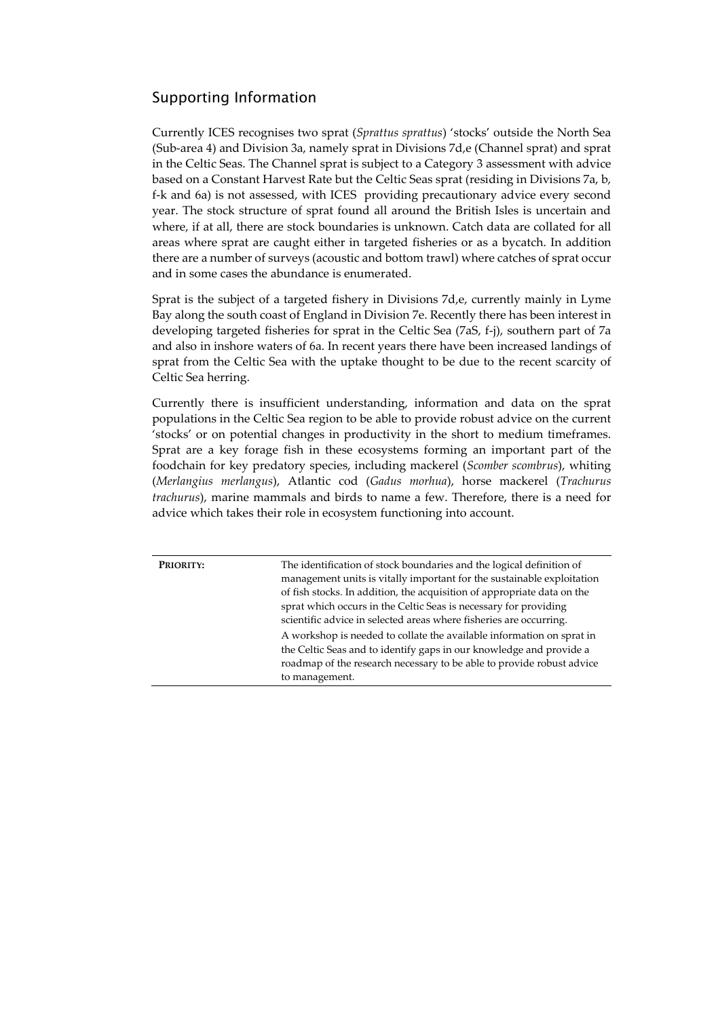# Supporting Information

Currently ICES recognises two sprat (*Sprattus sprattus*) 'stocks' outside the North Sea (Sub-area 4) and Division 3a, namely sprat in Divisions 7d,e (Channel sprat) and sprat in the Celtic Seas. The Channel sprat is subject to a Category 3 assessment with advice based on a Constant Harvest Rate but the Celtic Seas sprat (residing in Divisions 7a, b, f-k and 6a) is not assessed, with ICES providing precautionary advice every second year. The stock structure of sprat found all around the British Isles is uncertain and where, if at all, there are stock boundaries is unknown. Catch data are collated for all areas where sprat are caught either in targeted fisheries or as a bycatch. In addition there are a number of surveys (acoustic and bottom trawl) where catches of sprat occur and in some cases the abundance is enumerated.

Sprat is the subject of a targeted fishery in Divisions 7d,e, currently mainly in Lyme Bay along the south coast of England in Division 7e. Recently there has been interest in developing targeted fisheries for sprat in the Celtic Sea (7aS, f-j), southern part of 7a and also in inshore waters of 6a. In recent years there have been increased landings of sprat from the Celtic Sea with the uptake thought to be due to the recent scarcity of Celtic Sea herring.

Currently there is insufficient understanding, information and data on the sprat populations in the Celtic Sea region to be able to provide robust advice on the current 'stocks' or on potential changes in productivity in the short to medium timeframes. Sprat are a key forage fish in these ecosystems forming an important part of the foodchain for key predatory species, including mackerel (*Scomber scombrus*), whiting (*Merlangius merlangus*), Atlantic cod (*Gadus morhua*), horse mackerel (*Trachurus trachurus*), marine mammals and birds to name a few. Therefore, there is a need for advice which takes their role in ecosystem functioning into account.

| The identification of stock boundaries and the logical definition of<br>PRIORITY:<br>management units is vitally important for the sustainable exploitation<br>of fish stocks. In addition, the acquisition of appropriate data on the<br>sprat which occurs in the Celtic Seas is necessary for providing<br>scientific advice in selected areas where fisheries are occurring.<br>A workshop is needed to collate the available information on sprat in<br>the Celtic Seas and to identify gaps in our knowledge and provide a<br>roadmap of the research necessary to be able to provide robust advice<br>to management. |  |
|-----------------------------------------------------------------------------------------------------------------------------------------------------------------------------------------------------------------------------------------------------------------------------------------------------------------------------------------------------------------------------------------------------------------------------------------------------------------------------------------------------------------------------------------------------------------------------------------------------------------------------|--|
|-----------------------------------------------------------------------------------------------------------------------------------------------------------------------------------------------------------------------------------------------------------------------------------------------------------------------------------------------------------------------------------------------------------------------------------------------------------------------------------------------------------------------------------------------------------------------------------------------------------------------------|--|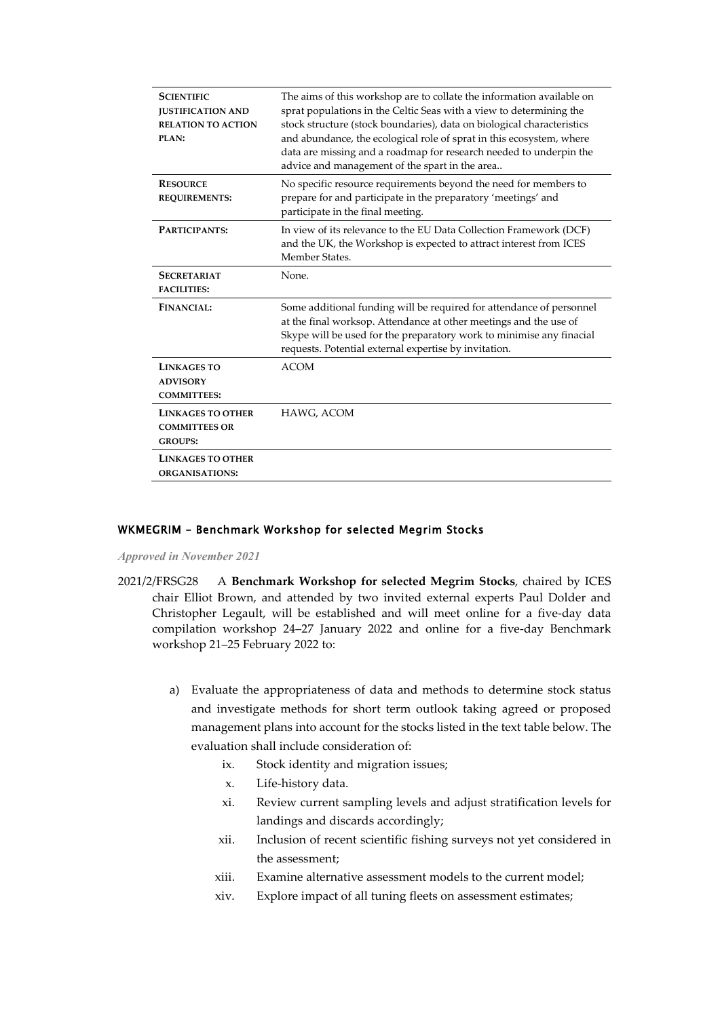| <b>SCIENTIFIC</b><br><b>JUSTIFICATION AND</b><br><b>RELATION TO ACTION</b><br>PLAN: | The aims of this workshop are to collate the information available on<br>sprat populations in the Celtic Seas with a view to determining the<br>stock structure (stock boundaries), data on biological characteristics<br>and abundance, the ecological role of sprat in this ecosystem, where<br>data are missing and a roadmap for research needed to underpin the<br>advice and management of the spart in the area |
|-------------------------------------------------------------------------------------|------------------------------------------------------------------------------------------------------------------------------------------------------------------------------------------------------------------------------------------------------------------------------------------------------------------------------------------------------------------------------------------------------------------------|
| <b>RESOURCE</b><br><b>REQUIREMENTS:</b>                                             | No specific resource requirements beyond the need for members to<br>prepare for and participate in the preparatory 'meetings' and<br>participate in the final meeting.                                                                                                                                                                                                                                                 |
| PARTICIPANTS:                                                                       | In view of its relevance to the EU Data Collection Framework (DCF)<br>and the UK, the Workshop is expected to attract interest from ICES<br>Member States.                                                                                                                                                                                                                                                             |
| <b>SECRETARIAT</b><br><b>FACILITIES:</b>                                            | None.                                                                                                                                                                                                                                                                                                                                                                                                                  |
| <b>FINANCIAL:</b>                                                                   | Some additional funding will be required for attendance of personnel<br>at the final worksop. Attendance at other meetings and the use of<br>Skype will be used for the preparatory work to minimise any finacial<br>requests. Potential external expertise by invitation.                                                                                                                                             |
| <b>LINKAGES TO</b><br><b>ADVISORY</b><br><b>COMMITTEES:</b>                         | <b>ACOM</b>                                                                                                                                                                                                                                                                                                                                                                                                            |
| <b>LINKAGES TO OTHER</b><br><b>COMMITTEES OR</b><br><b>GROUPS:</b>                  | HAWG, ACOM                                                                                                                                                                                                                                                                                                                                                                                                             |
| <b>LINKAGES TO OTHER</b><br><b>ORGANISATIONS:</b>                                   |                                                                                                                                                                                                                                                                                                                                                                                                                        |

### <span id="page-41-0"></span>WKMEGRIM – Benchmark Workshop for selected Megrim Stocks

*Approved in November 2021*

- 2021/2/FRSG28 A **Benchmark Workshop for selected Megrim Stocks**, chaired by ICES chair Elliot Brown, and attended by two invited external experts Paul Dolder and Christopher Legault, will be established and will meet online for a five-day data compilation workshop 24–27 January 2022 and online for a five-day Benchmark workshop 21–25 February 2022 to:
	- a) Evaluate the appropriateness of data and methods to determine stock status and investigate methods for short term outlook taking agreed or proposed management plans into account for the stocks listed in the text table below. The evaluation shall include consideration of:
		- ix. Stock identity and migration issues;
		- x. Life-history data.
		- xi. Review current sampling levels and adjust stratification levels for landings and discards accordingly;
		- xii. Inclusion of recent scientific fishing surveys not yet considered in the assessment;
		- xiii. Examine alternative assessment models to the current model;
		- xiv. Explore impact of all tuning fleets on assessment estimates;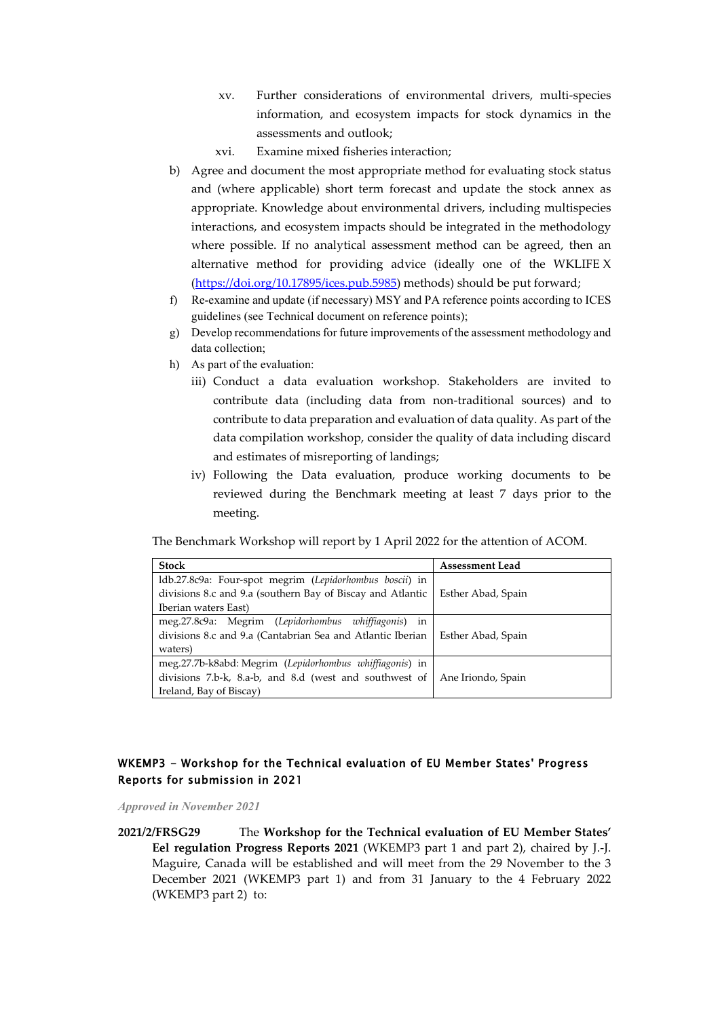- xv. Further considerations of environmental drivers, multi-species information, and ecosystem impacts for stock dynamics in the assessments and outlook;
- xvi. Examine mixed fisheries interaction;
- b) Agree and document the most appropriate method for evaluating stock status and (where applicable) short term forecast and update the stock annex as appropriate. Knowledge about environmental drivers, including multispecies interactions, and ecosystem impacts should be integrated in the methodology where possible. If no analytical assessment method can be agreed, then an alternative method for providing advice (ideally one of the WKLIFE X [\(https://doi.org/10.17895/ices.pub.5985\)](https://doi.org/10.17895/ices.pub.5985) methods) should be put forward;
- f) Re-examine and update (if necessary) MSY and PA reference points according to ICES guidelines (see Technical document on reference points);
- g) Develop recommendations for future improvements of the assessment methodology and data collection;
- h) As part of the evaluation:
	- iii) Conduct a data evaluation workshop. Stakeholders are invited to contribute data (including data from non-traditional sources) and to contribute to data preparation and evaluation of data quality. As part of the data compilation workshop, consider the quality of data including discard and estimates of misreporting of landings;
	- iv) Following the Data evaluation, produce working documents to be reviewed during the Benchmark meeting at least 7 days prior to the meeting.

The Benchmark Workshop will report by 1 April 2022 for the attention of ACOM.

| <b>Stock</b>                                               | <b>Assessment Lead</b> |
|------------------------------------------------------------|------------------------|
| ldb.27.8c9a: Four-spot megrim (Lepidorhombus boscii) in    |                        |
| divisions 8.c and 9.a (southern Bay of Biscay and Atlantic | Esther Abad, Spain     |
| Iberian waters East)                                       |                        |
| meg.27.8c9a: Megrim (Lepidorhombus whiffiagonis) in        |                        |
| divisions 8.c and 9.a (Cantabrian Sea and Atlantic Iberian | Esther Abad, Spain     |
| waters)                                                    |                        |
| meg.27.7b-k8abd: Megrim (Lepidorhombus whiffiagonis) in    |                        |
| divisions 7.b-k, 8.a-b, and 8.d (west and southwest of     | Ane Iriondo, Spain     |
| Ireland, Bay of Biscay)                                    |                        |

### <span id="page-42-0"></span>WKEMP3 - Workshop for the Technical evaluation of EU Member States' Progress Reports for submission in 2021

*Approved in November 2021*

**2021/2/FRSG29** The **Workshop for the Technical evaluation of EU Member States' Eel regulation Progress Reports 2021** (WKEMP3 part 1 and part 2), chaired by J.-J. Maguire, Canada will be established and will meet from the 29 November to the 3 December 2021 (WKEMP3 part 1) and from 31 January to the 4 February 2022 (WKEMP3 part 2) to: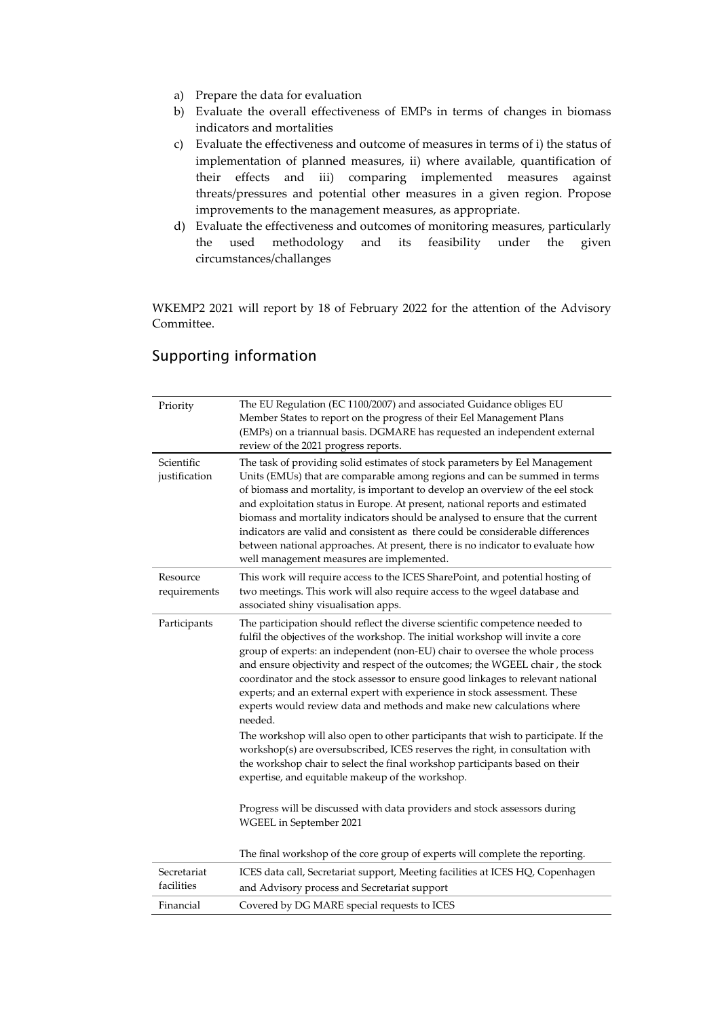- a) Prepare the data for evaluation
- b) Evaluate the overall effectiveness of EMPs in terms of changes in biomass indicators and mortalities
- c) Evaluate the effectiveness and outcome of measures in terms of i) the status of implementation of planned measures, ii) where available, quantification of their effects and iii) comparing implemented measures against threats/pressures and potential other measures in a given region. Propose improvements to the management measures, as appropriate.
- d) Evaluate the effectiveness and outcomes of monitoring measures, particularly the used methodology and its feasibility under the given circumstances/challanges

WKEMP2 2021 will report by 18 of February 2022 for the attention of the Advisory Committee.

| Priority                    | The EU Regulation (EC 1100/2007) and associated Guidance obliges EU<br>Member States to report on the progress of their Eel Management Plans<br>(EMPs) on a triannual basis. DGMARE has requested an independent external<br>review of the 2021 progress reports.                                                                                                                                                                                                                                                                                                                                                              |
|-----------------------------|--------------------------------------------------------------------------------------------------------------------------------------------------------------------------------------------------------------------------------------------------------------------------------------------------------------------------------------------------------------------------------------------------------------------------------------------------------------------------------------------------------------------------------------------------------------------------------------------------------------------------------|
| Scientific<br>justification | The task of providing solid estimates of stock parameters by Eel Management<br>Units (EMUs) that are comparable among regions and can be summed in terms<br>of biomass and mortality, is important to develop an overview of the eel stock<br>and exploitation status in Europe. At present, national reports and estimated<br>biomass and mortality indicators should be analysed to ensure that the current<br>indicators are valid and consistent as there could be considerable differences<br>between national approaches. At present, there is no indicator to evaluate how<br>well management measures are implemented. |
| Resource<br>requirements    | This work will require access to the ICES SharePoint, and potential hosting of<br>two meetings. This work will also require access to the wgeel database and<br>associated shiny visualisation apps.                                                                                                                                                                                                                                                                                                                                                                                                                           |
| Participants                | The participation should reflect the diverse scientific competence needed to<br>fulfil the objectives of the workshop. The initial workshop will invite a core<br>group of experts: an independent (non-EU) chair to oversee the whole process<br>and ensure objectivity and respect of the outcomes; the WGEEL chair, the stock<br>coordinator and the stock assessor to ensure good linkages to relevant national<br>experts; and an external expert with experience in stock assessment. These<br>experts would review data and methods and make new calculations where<br>needed.                                          |
|                             | The workshop will also open to other participants that wish to participate. If the<br>workshop(s) are oversubscribed, ICES reserves the right, in consultation with<br>the workshop chair to select the final workshop participants based on their<br>expertise, and equitable makeup of the workshop.                                                                                                                                                                                                                                                                                                                         |
|                             | Progress will be discussed with data providers and stock assessors during<br>WGEEL in September 2021                                                                                                                                                                                                                                                                                                                                                                                                                                                                                                                           |
|                             | The final workshop of the core group of experts will complete the reporting.                                                                                                                                                                                                                                                                                                                                                                                                                                                                                                                                                   |
| Secretariat<br>facilities   | ICES data call, Secretariat support, Meeting facilities at ICES HQ, Copenhagen<br>and Advisory process and Secretariat support                                                                                                                                                                                                                                                                                                                                                                                                                                                                                                 |
| Financial                   | Covered by DG MARE special requests to ICES                                                                                                                                                                                                                                                                                                                                                                                                                                                                                                                                                                                    |

# Supporting information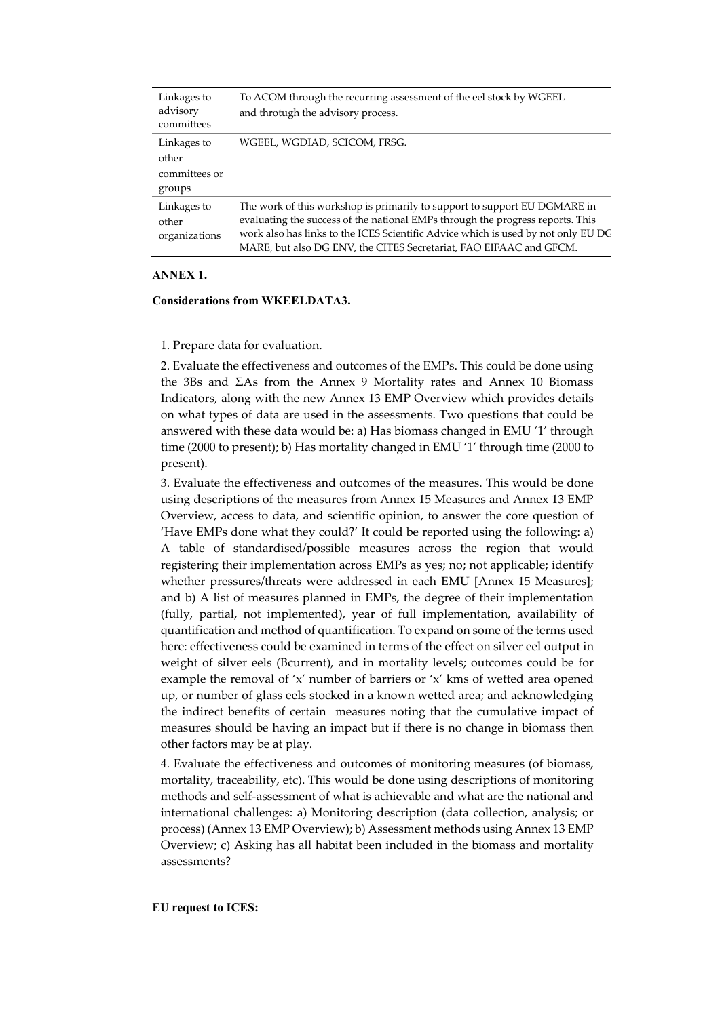| Linkages to<br>advisory<br>committees           | To ACOM through the recurring assessment of the eel stock by WGEEL<br>and throtugh the advisory process.                                                                                                                                                                                                               |
|-------------------------------------------------|------------------------------------------------------------------------------------------------------------------------------------------------------------------------------------------------------------------------------------------------------------------------------------------------------------------------|
| Linkages to<br>other<br>committees or<br>groups | WGEEL, WGDIAD, SCICOM, FRSG.                                                                                                                                                                                                                                                                                           |
| Linkages to<br>other<br>organizations           | The work of this workshop is primarily to support to support EU DGMARE in<br>evaluating the success of the national EMPs through the progress reports. This<br>work also has links to the ICES Scientific Advice which is used by not only EU DG<br>MARE, but also DG ENV, the CITES Secretariat, FAO EIFAAC and GFCM. |

### **ANNEX 1.**

#### **Considerations from WKEELDATA3.**

1. Prepare data for evaluation.

2. Evaluate the effectiveness and outcomes of the EMPs. This could be done using the 3Bs and ΣAs from the Annex 9 Mortality rates and Annex 10 Biomass Indicators, along with the new Annex 13 EMP Overview which provides details on what types of data are used in the assessments. Two questions that could be answered with these data would be: a) Has biomass changed in EMU '1' through time (2000 to present); b) Has mortality changed in EMU '1' through time (2000 to present).

3. Evaluate the effectiveness and outcomes of the measures. This would be done using descriptions of the measures from Annex 15 Measures and Annex 13 EMP Overview, access to data, and scientific opinion, to answer the core question of 'Have EMPs done what they could?' It could be reported using the following: a) A table of standardised/possible measures across the region that would registering their implementation across EMPs as yes; no; not applicable; identify whether pressures/threats were addressed in each EMU [Annex 15 Measures]; and b) A list of measures planned in EMPs, the degree of their implementation (fully, partial, not implemented), year of full implementation, availability of quantification and method of quantification. To expand on some of the terms used here: effectiveness could be examined in terms of the effect on silver eel output in weight of silver eels (Bcurrent), and in mortality levels; outcomes could be for example the removal of 'x' number of barriers or 'x' kms of wetted area opened up, or number of glass eels stocked in a known wetted area; and acknowledging the indirect benefits of certain measures noting that the cumulative impact of measures should be having an impact but if there is no change in biomass then other factors may be at play.

4. Evaluate the effectiveness and outcomes of monitoring measures (of biomass, mortality, traceability, etc). This would be done using descriptions of monitoring methods and self-assessment of what is achievable and what are the national and international challenges: a) Monitoring description (data collection, analysis; or process) (Annex 13 EMP Overview); b) Assessment methods using Annex 13 EMP Overview; c) Asking has all habitat been included in the biomass and mortality assessments?

#### **EU request to ICES:**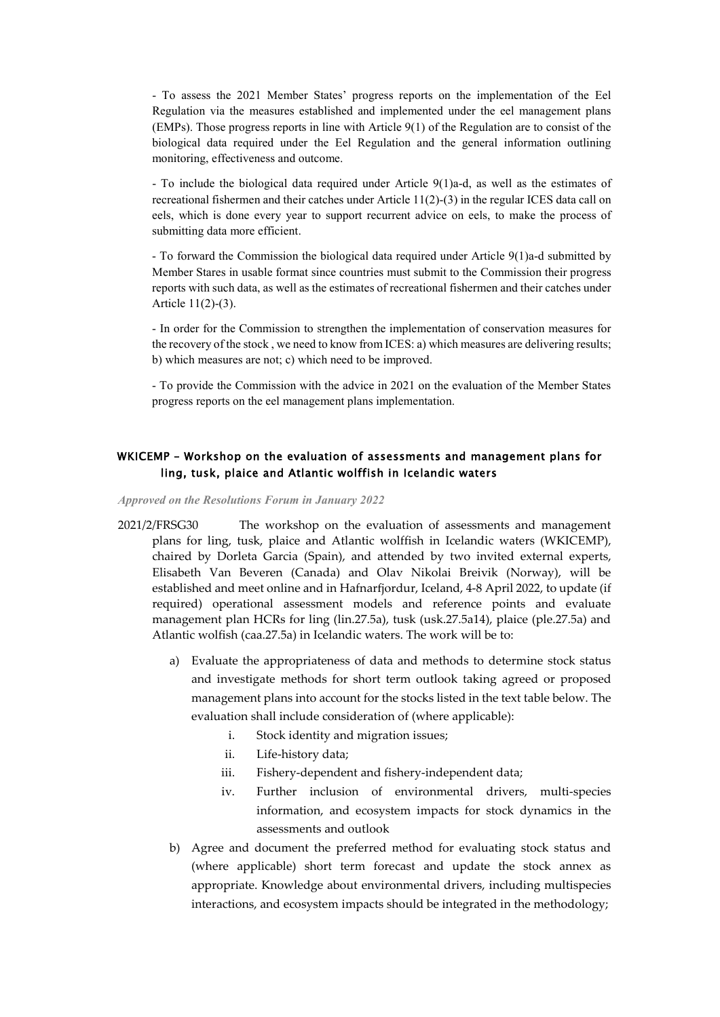- To assess the 2021 Member States' progress reports on the implementation of the Eel Regulation via the measures established and implemented under the eel management plans (EMPs). Those progress reports in line with Article 9(1) of the Regulation are to consist of the biological data required under the Eel Regulation and the general information outlining monitoring, effectiveness and outcome.

- To include the biological data required under Article 9(1)a-d, as well as the estimates of recreational fishermen and their catches under Article 11(2)-(3) in the regular ICES data call on eels, which is done every year to support recurrent advice on eels, to make the process of submitting data more efficient.

- To forward the Commission the biological data required under Article 9(1)a-d submitted by Member Stares in usable format since countries must submit to the Commission their progress reports with such data, as well as the estimates of recreational fishermen and their catches under Article 11(2)-(3).

- In order for the Commission to strengthen the implementation of conservation measures for the recovery of the stock , we need to know from ICES: a) which measures are delivering results; b) which measures are not; c) which need to be improved.

- To provide the Commission with the advice in 2021 on the evaluation of the Member States progress reports on the eel management plans implementation.

### <span id="page-45-0"></span>WKICEMP – Workshop on the evaluation of assessments and management plans for ling, tusk, plaice and Atlantic wolffish in Icelandic waters

#### *Approved on the Resolutions Forum in January 2022*

- 2021/2/FRSG30 The workshop on the evaluation of assessments and management plans for ling, tusk, plaice and Atlantic wolffish in Icelandic waters (WKICEMP), chaired by Dorleta Garcia (Spain), and attended by two invited external experts, Elisabeth Van Beveren (Canada) and Olav Nikolai Breivik (Norway), will be established and meet online and in Hafnarfjordur, Iceland, 4-8 April 2022, to update (if required) operational assessment models and reference points and evaluate management plan HCRs for ling (lin.27.5a), tusk (usk.27.5a14), plaice (ple.27.5a) and Atlantic wolfish (caa.27.5a) in Icelandic waters. The work will be to:
	- a) Evaluate the appropriateness of data and methods to determine stock status and investigate methods for short term outlook taking agreed or proposed management plans into account for the stocks listed in the text table below. The evaluation shall include consideration of (where applicable):
		- i. Stock identity and migration issues;
		- ii. Life-history data;
		- iii. Fishery-dependent and fishery-independent data;
		- iv. Further inclusion of environmental drivers, multi-species information, and ecosystem impacts for stock dynamics in the assessments and outlook
	- b) Agree and document the preferred method for evaluating stock status and (where applicable) short term forecast and update the stock annex as appropriate. Knowledge about environmental drivers, including multispecies interactions, and ecosystem impacts should be integrated in the methodology;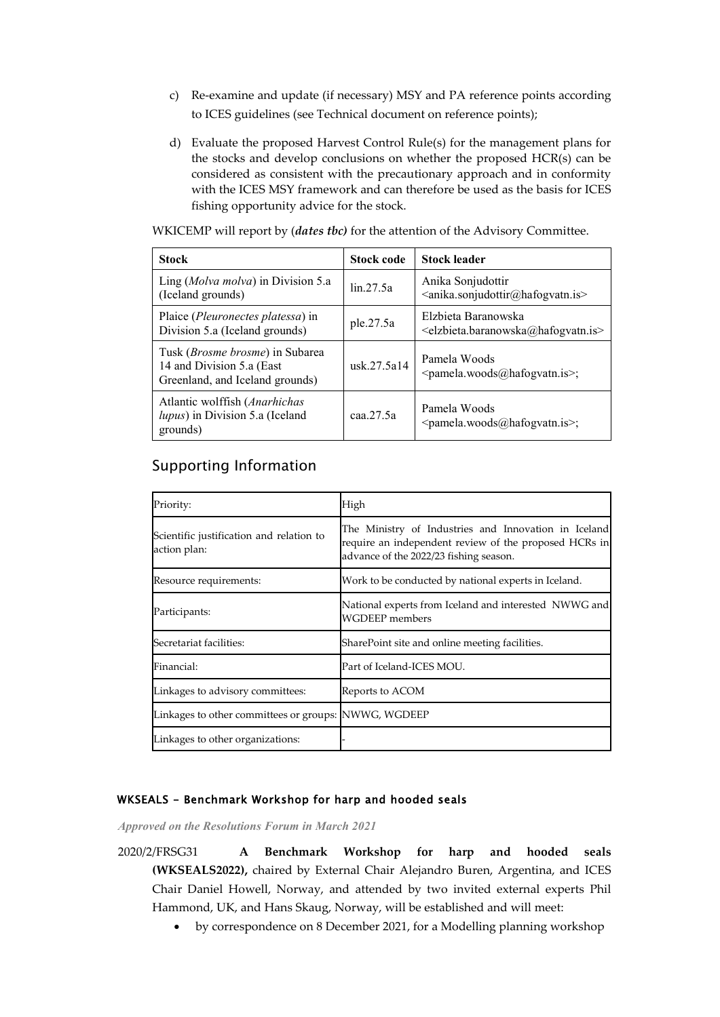- c) Re-examine and update (if necessary) MSY and PA reference points according to ICES guidelines (see Technical document on reference points);
- d) Evaluate the proposed Harvest Control Rule(s) for the management plans for the stocks and develop conclusions on whether the proposed  $HCR(s)$  can be considered as consistent with the precautionary approach and in conformity with the ICES MSY framework and can therefore be used as the basis for ICES fishing opportunity advice for the stock.

WKICEMP will report by (*dates tbc)* for the attention of the Advisory Committee.

| <b>Stock</b>                                                                                    | <b>Stock code</b> | <b>Stock leader</b>                                                                                                                                                                                                                                                                                                                                                                                                                           |
|-------------------------------------------------------------------------------------------------|-------------------|-----------------------------------------------------------------------------------------------------------------------------------------------------------------------------------------------------------------------------------------------------------------------------------------------------------------------------------------------------------------------------------------------------------------------------------------------|
| Ling (Molva molva) in Division 5.a<br>(Iceland grounds)                                         | lin.27.5a         | Anika Sonjudottir<br><anika.sonjudottir@hafogvatn.is></anika.sonjudottir@hafogvatn.is>                                                                                                                                                                                                                                                                                                                                                        |
| Plaice ( <i>Pleuronectes platessa</i> ) in<br>Division 5.a (Iceland grounds)                    | ple.27.5a         | Elzbieta Baranowska<br><elzbieta.baranowska@hafogvatn.is></elzbieta.baranowska@hafogvatn.is>                                                                                                                                                                                                                                                                                                                                                  |
| Tusk (Brosme brosme) in Subarea<br>14 and Division 5.a (East<br>Greenland, and Iceland grounds) | usk.27.5a14       | Pamela Woods<br><pamela.woods@hafogvatn.is>;</pamela.woods@hafogvatn.is>                                                                                                                                                                                                                                                                                                                                                                      |
| Atlantic wolffish (Anarhichas<br>lupus) in Division 5.a (Iceland<br>grounds)                    | caa.27.5a         | Pamela Woods<br>$\epsilon$ = $\epsilon$ = $\epsilon$ = $\epsilon$ = $\epsilon$ = $\epsilon$ = $\epsilon$ = $\epsilon$ = $\epsilon$ = $\epsilon$ = $\epsilon$ = $\epsilon$ = $\epsilon$ = $\epsilon$ = $\epsilon$ = $\epsilon$ = $\epsilon$ = $\epsilon$ = $\epsilon$ = $\epsilon$ = $\epsilon$ = $\epsilon$ = $\epsilon$ = $\epsilon$ = $\epsilon$ = $\epsilon$ = $\epsilon$ = $\epsilon$ = $\epsilon$ = $\epsilon$ = $\epsilon$ = $\epsilon$ |

# Supporting Information

| Priority:                                                | High                                                                                                                                                    |
|----------------------------------------------------------|---------------------------------------------------------------------------------------------------------------------------------------------------------|
| Scientific justification and relation to<br>action plan: | The Ministry of Industries and Innovation in Iceland<br>require an independent review of the proposed HCRs in<br>advance of the 2022/23 fishing season. |
| Resource requirements:                                   | Work to be conducted by national experts in Iceland.                                                                                                    |
| Participants:                                            | National experts from Iceland and interested NWWG and<br><b>WGDEEP</b> members                                                                          |
| Secretariat facilities:                                  | SharePoint site and online meeting facilities.                                                                                                          |
| Financial:                                               | Part of Iceland-ICES MOU.                                                                                                                               |
| Linkages to advisory committees:                         | Reports to ACOM                                                                                                                                         |
| Linkages to other committees or groups: NWWG, WGDEEP     |                                                                                                                                                         |
| Linkages to other organizations:                         |                                                                                                                                                         |

### <span id="page-46-0"></span>WKSEALS - Benchmark Workshop for harp and hooded seals

*Approved on the Resolutions Forum in March 2021*

- 2020/2/FRSG31 **A Benchmark Workshop for harp and hooded seals (WKSEALS2022),** chaired by External Chair Alejandro Buren, Argentina, and ICES Chair Daniel Howell, Norway, and attended by two invited external experts Phil Hammond, UK, and Hans Skaug, Norway, will be established and will meet:
	- by correspondence on 8 December 2021, for a Modelling planning workshop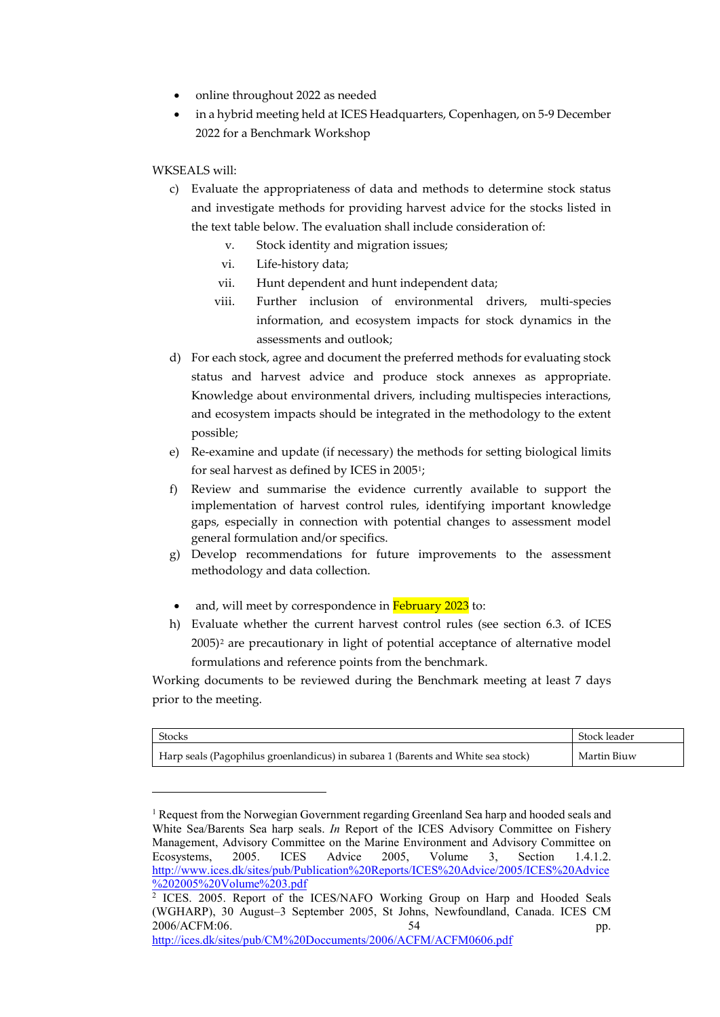- online throughout 2022 as needed
- in a hybrid meeting held at ICES Headquarters, Copenhagen, on 5-9 December 2022 for a Benchmark Workshop

### WKSEALS will:

-

- c) Evaluate the appropriateness of data and methods to determine stock status and investigate methods for providing harvest advice for the stocks listed in the text table below. The evaluation shall include consideration of:
	- v. Stock identity and migration issues;
	- vi. Life-history data;
	- vii. Hunt dependent and hunt independent data;
	- viii. Further inclusion of environmental drivers, multi-species information, and ecosystem impacts for stock dynamics in the assessments and outlook;
- d) For each stock, agree and document the preferred methods for evaluating stock status and harvest advice and produce stock annexes as appropriate. Knowledge about environmental drivers, including multispecies interactions, and ecosystem impacts should be integrated in the methodology to the extent possible;
- e) Re-examine and update (if necessary) the methods for setting biological limits for seal harvest as defined by ICES in 2005[1;](#page-47-0)
- f) Review and summarise the evidence currently available to support the implementation of harvest control rules, identifying important knowledge gaps, especially in connection with potential changes to assessment model general formulation and/or specifics.
- g) Develop recommendations for future improvements to the assessment methodology and data collection.
- and, will meet by correspondence in February 2023 to:
- h) Evaluate whether the current harvest control rules (see section 6.3. of ICES 2005)[2](#page-47-1) are precautionary in light of potential acceptance of alternative model formulations and reference points from the benchmark.

Working documents to be reviewed during the Benchmark meeting at least 7 days prior to the meeting.

| Stocks                                                                           | Stock leader |
|----------------------------------------------------------------------------------|--------------|
| Harp seals (Pagophilus groenlandicus) in subarea 1 (Barents and White sea stock) | Martin Biuw  |

<span id="page-47-0"></span><sup>&</sup>lt;sup>1</sup> Request from the Norwegian Government regarding Greenland Sea harp and hooded seals and White Sea/Barents Sea harp seals. *In* Report of the ICES Advisory Committee on Fishery Management, Advisory Committee on the Marine Environment and Advisory Committee on Ecosystems, 2005. ICES Advice 2005, Volume 3, Section 1.4.1.2. [http://www.ices.dk/sites/pub/Publication%20Reports/ICES%20Advice/2005/ICES%20Advice](http://www.ices.dk/sites/pub/Publication%20Reports/ICES%20Advice/2005/ICES%20Advice%202005%20Volume%203.pdf) [%202005%20Volume%203.pdf](http://www.ices.dk/sites/pub/Publication%20Reports/ICES%20Advice/2005/ICES%20Advice%202005%20Volume%203.pdf)

<span id="page-47-1"></span><sup>&</sup>lt;sup>2</sup> ICES. 2005. Report of the ICES/NAFO Working Group on Harp and Hooded Seals (WGHARP), 30 August–3 September 2005, St Johns, Newfoundland, Canada. ICES CM 2006/ACFM:06. 54 pp. <http://ices.dk/sites/pub/CM%20Doccuments/2006/ACFM/ACFM0606.pdf>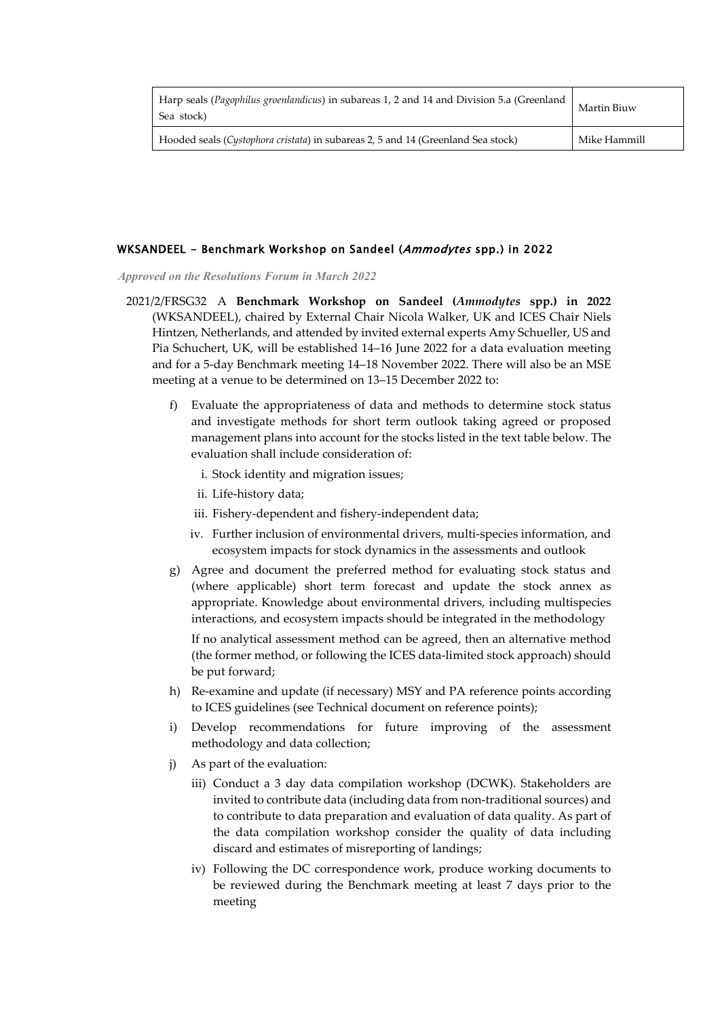| Harp seals ( <i>Pagophilus groenlandicus</i> ) in subareas 1, 2 and 14 and Division 5.a (Greenland<br>Sea stock) | Martin Biuw  |
|------------------------------------------------------------------------------------------------------------------|--------------|
| Hooded seals (Cystophora cristata) in subareas 2, 5 and 14 (Greenland Sea stock)                                 | Mike Hammill |

### <span id="page-48-0"></span>WKSANDEEL - Benchmark Workshop on Sandeel (Ammodytes spp.) in 2022

*Approved on the Resolutions Forum in March 2022*

- 2021/2/FRSG32 A **Benchmark Workshop on Sandeel (***Ammodytes* **spp.) in 2022**  (WKSANDEEL), chaired by External Chair Nicola Walker, UK and ICES Chair Niels Hintzen, Netherlands, and attended by invited external experts Amy Schueller, US and Pia Schuchert, UK, will be established 14–16 June 2022 for a data evaluation meeting and for a 5-day Benchmark meeting 14–18 November 2022. There will also be an MSE meeting at a venue to be determined on 13–15 December 2022 to:
	- f) Evaluate the appropriateness of data and methods to determine stock status and investigate methods for short term outlook taking agreed or proposed management plans into account for the stocks listed in the text table below. The evaluation shall include consideration of:
		- i. Stock identity and migration issues;
		- ii. Life-history data;
		- iii. Fishery-dependent and fishery-independent data;
		- iv. Further inclusion of environmental drivers, multi-species information, and ecosystem impacts for stock dynamics in the assessments and outlook
	- g) Agree and document the preferred method for evaluating stock status and (where applicable) short term forecast and update the stock annex as appropriate. Knowledge about environmental drivers, including multispecies interactions, and ecosystem impacts should be integrated in the methodology

If no analytical assessment method can be agreed, then an alternative method (the former method, or following the ICES data-limited stock approach) should be put forward;

- h) Re-examine and update (if necessary) MSY and PA reference points according to ICES guidelines (see Technical document on reference points);
- i) Develop recommendations for future improving of the assessment methodology and data collection;
- j) As part of the evaluation:
	- iii) Conduct a 3 day data compilation workshop (DCWK). Stakeholders are invited to contribute data (including data from non-traditional sources) and to contribute to data preparation and evaluation of data quality. As part of the data compilation workshop consider the quality of data including discard and estimates of misreporting of landings;
	- iv) Following the DC correspondence work, produce working documents to be reviewed during the Benchmark meeting at least 7 days prior to the meeting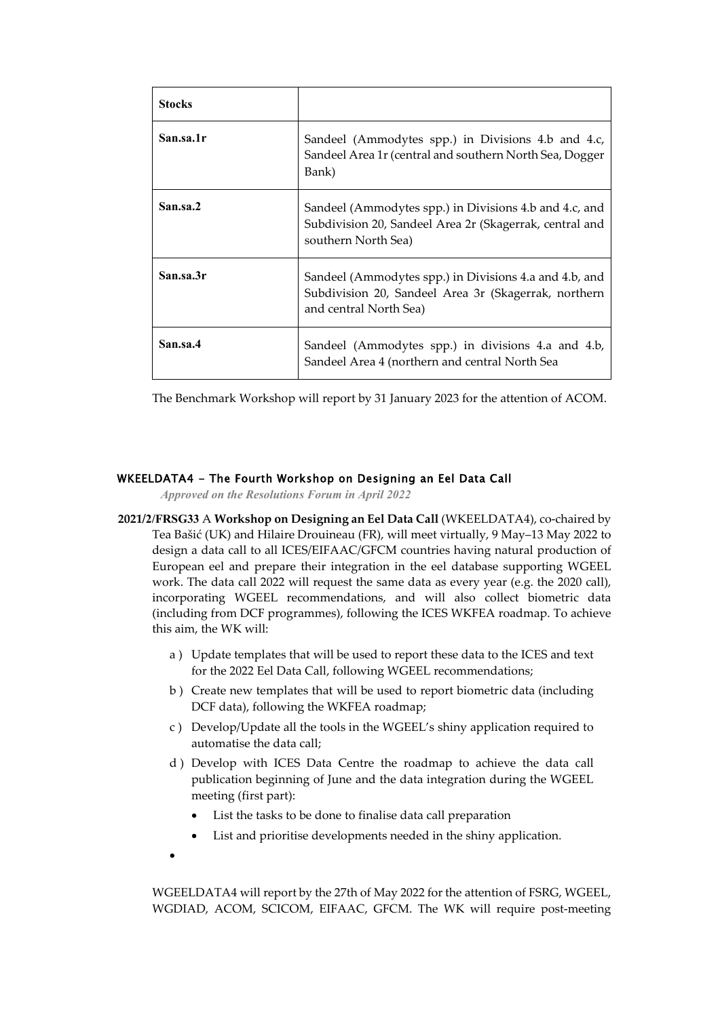| <b>Stocks</b> |                                                                                                                                          |
|---------------|------------------------------------------------------------------------------------------------------------------------------------------|
| San.sa.1r     | Sandeel (Ammodytes spp.) in Divisions 4.b and 4.c,<br>Sandeel Area 1r (central and southern North Sea, Dogger<br>Bank)                   |
| San.sa.2      | Sandeel (Ammodytes spp.) in Divisions 4.b and 4.c, and<br>Subdivision 20, Sandeel Area 2r (Skagerrak, central and<br>southern North Sea) |
| San.sa.3r     | Sandeel (Ammodytes spp.) in Divisions 4.a and 4.b, and<br>Subdivision 20, Sandeel Area 3r (Skagerrak, northern<br>and central North Sea) |
| San.sa.4      | Sandeel (Ammodytes spp.) in divisions 4.a and 4.b,<br>Sandeel Area 4 (northern and central North Sea                                     |

The Benchmark Workshop will report by 31 January 2023 for the attention of ACOM.

### <span id="page-49-0"></span>WKEELDATA4 - The Fourth Workshop on Designing an Eel Data Call

*Approved on the Resolutions Forum in April 2022*

- **2021/2/FRSG33** A **Workshop on Designing an Eel Data Call** (WKEELDATA4), co-chaired by Tea Bašić (UK) and Hilaire Drouineau (FR), will meet virtually, 9 May–13 May 2022 to design a data call to all ICES/EIFAAC/GFCM countries having natural production of European eel and prepare their integration in the eel database supporting WGEEL work. The data call 2022 will request the same data as every year (e.g. the 2020 call), incorporating WGEEL recommendations, and will also collect biometric data (including from DCF programmes), following the ICES WKFEA roadmap. To achieve this aim, the WK will:
	- a ) Update templates that will be used to report these data to the ICES and text for the 2022 Eel Data Call, following WGEEL recommendations;
	- b ) Create new templates that will be used to report biometric data (including DCF data), following the WKFEA roadmap;
	- c ) Develop/Update all the tools in the WGEEL's shiny application required to automatise the data call;
	- d ) Develop with ICES Data Centre the roadmap to achieve the data call publication beginning of June and the data integration during the WGEEL meeting (first part):
		- List the tasks to be done to finalise data call preparation
		- List and prioritise developments needed in the shiny application.
	- •

WGEELDATA4 will report by the 27th of May 2022 for the attention of FSRG, WGEEL, WGDIAD, ACOM, SCICOM, EIFAAC, GFCM. The WK will require post-meeting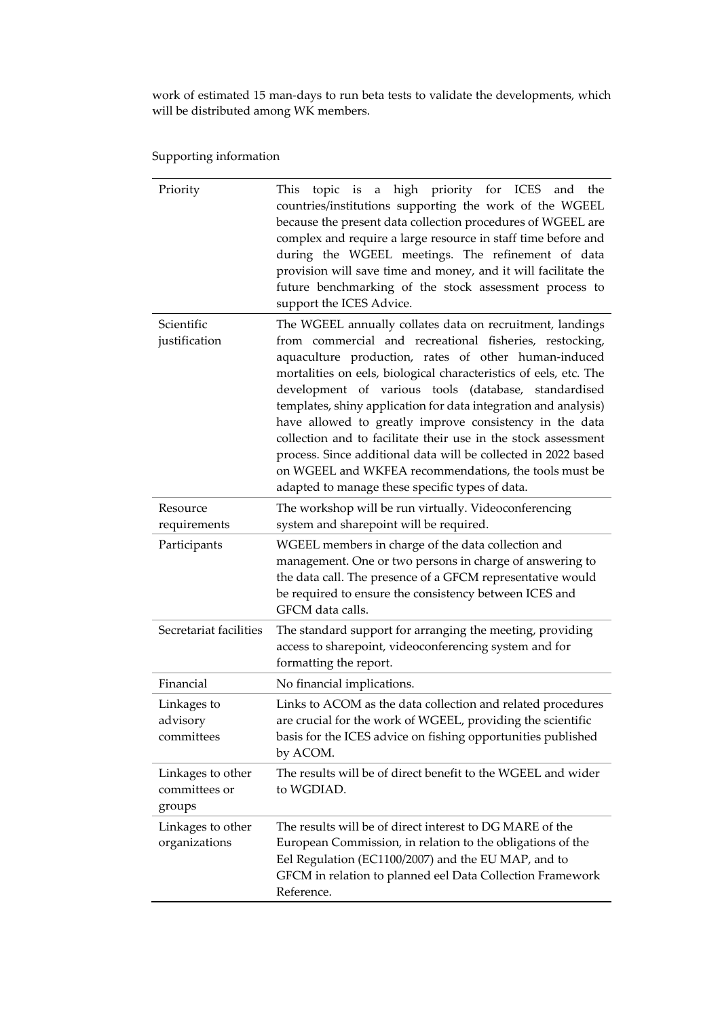work of estimated 15 man-days to run beta tests to validate the developments, which will be distributed among WK members.

Supporting information

| Priority                                     | This topic is a high priority for ICES and the<br>countries/institutions supporting the work of the WGEEL<br>because the present data collection procedures of WGEEL are<br>complex and require a large resource in staff time before and<br>during the WGEEL meetings. The refinement of data<br>provision will save time and money, and it will facilitate the<br>future benchmarking of the stock assessment process to<br>support the ICES Advice.                                                                                                                                                                                                                                  |
|----------------------------------------------|-----------------------------------------------------------------------------------------------------------------------------------------------------------------------------------------------------------------------------------------------------------------------------------------------------------------------------------------------------------------------------------------------------------------------------------------------------------------------------------------------------------------------------------------------------------------------------------------------------------------------------------------------------------------------------------------|
| Scientific<br>justification                  | The WGEEL annually collates data on recruitment, landings<br>from commercial and recreational fisheries, restocking,<br>aquaculture production, rates of other human-induced<br>mortalities on eels, biological characteristics of eels, etc. The<br>development of various tools (database, standardised<br>templates, shiny application for data integration and analysis)<br>have allowed to greatly improve consistency in the data<br>collection and to facilitate their use in the stock assessment<br>process. Since additional data will be collected in 2022 based<br>on WGEEL and WKFEA recommendations, the tools must be<br>adapted to manage these specific types of data. |
| Resource<br>requirements                     | The workshop will be run virtually. Videoconferencing<br>system and sharepoint will be required.                                                                                                                                                                                                                                                                                                                                                                                                                                                                                                                                                                                        |
| Participants                                 | WGEEL members in charge of the data collection and<br>management. One or two persons in charge of answering to<br>the data call. The presence of a GFCM representative would<br>be required to ensure the consistency between ICES and<br>GFCM data calls.                                                                                                                                                                                                                                                                                                                                                                                                                              |
| Secretariat facilities                       | The standard support for arranging the meeting, providing<br>access to sharepoint, videoconferencing system and for<br>formatting the report.                                                                                                                                                                                                                                                                                                                                                                                                                                                                                                                                           |
| Financial                                    | No financial implications.                                                                                                                                                                                                                                                                                                                                                                                                                                                                                                                                                                                                                                                              |
| Linkages to<br>advisory<br>committees        | Links to ACOM as the data collection and related procedures<br>are crucial for the work of WGEEL, providing the scientific<br>basis for the ICES advice on fishing opportunities published<br>by ACOM.                                                                                                                                                                                                                                                                                                                                                                                                                                                                                  |
| Linkages to other<br>committees or<br>groups | The results will be of direct benefit to the WGEEL and wider<br>to WGDIAD.                                                                                                                                                                                                                                                                                                                                                                                                                                                                                                                                                                                                              |
| Linkages to other<br>organizations           | The results will be of direct interest to DG MARE of the<br>European Commission, in relation to the obligations of the<br>Eel Regulation (EC1100/2007) and the EU MAP, and to<br>GFCM in relation to planned eel Data Collection Framework<br>Reference.                                                                                                                                                                                                                                                                                                                                                                                                                                |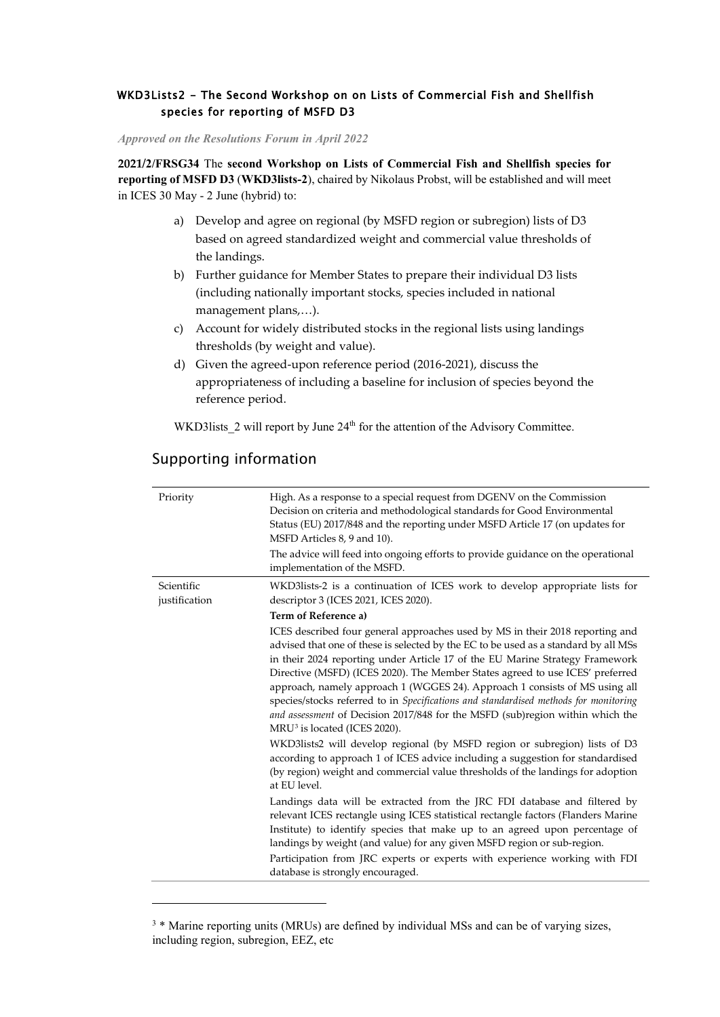## <span id="page-51-0"></span>WKD3Lists2 - The Second Workshop on on Lists of Commercial Fish and Shellfish species for reporting of MSFD D3

*Approved on the Resolutions Forum in April 2022*

**2021/2/FRSG34** The **second Workshop on Lists of Commercial Fish and Shellfish species for reporting of MSFD D3** (**WKD3lists-2**), chaired by Nikolaus Probst, will be established and will meet in ICES 30 May - 2 June (hybrid) to:

- a) Develop and agree on regional (by MSFD region or subregion) lists of D3 based on agreed standardized weight and commercial value thresholds of the landings.
- b) Further guidance for Member States to prepare their individual D3 lists (including nationally important stocks, species included in national management plans,…).
- c) Account for widely distributed stocks in the regional lists using landings thresholds (by weight and value).
- d) Given the agreed-upon reference period (2016-2021), discuss the appropriateness of including a baseline for inclusion of species beyond the reference period.

WKD3lists 2 will report by June 24<sup>th</sup> for the attention of the Advisory Committee.

# Supporting information

-

| Priority                    | High. As a response to a special request from DGENV on the Commission<br>Decision on criteria and methodological standards for Good Environmental<br>Status (EU) 2017/848 and the reporting under MSFD Article 17 (on updates for<br>MSFD Articles 8, 9 and 10).<br>The advice will feed into ongoing efforts to provide guidance on the operational<br>implementation of the MSFD.                                                                                                                                                                                                                                                       |
|-----------------------------|-------------------------------------------------------------------------------------------------------------------------------------------------------------------------------------------------------------------------------------------------------------------------------------------------------------------------------------------------------------------------------------------------------------------------------------------------------------------------------------------------------------------------------------------------------------------------------------------------------------------------------------------|
| Scientific<br>justification | WKD3lists-2 is a continuation of ICES work to develop appropriate lists for<br>descriptor 3 (ICES 2021, ICES 2020).                                                                                                                                                                                                                                                                                                                                                                                                                                                                                                                       |
|                             | Term of Reference a)                                                                                                                                                                                                                                                                                                                                                                                                                                                                                                                                                                                                                      |
|                             | ICES described four general approaches used by MS in their 2018 reporting and<br>advised that one of these is selected by the EC to be used as a standard by all MSs<br>in their 2024 reporting under Article 17 of the EU Marine Strategy Framework<br>Directive (MSFD) (ICES 2020). The Member States agreed to use ICES' preferred<br>approach, namely approach 1 (WGGES 24). Approach 1 consists of MS using all<br>species/stocks referred to in Specifications and standardised methods for monitoring<br>and assessment of Decision 2017/848 for the MSFD (sub)region within which the<br>MRU <sup>3</sup> is located (ICES 2020). |
|                             | WKD3lists2 will develop regional (by MSFD region or subregion) lists of D3<br>according to approach 1 of ICES advice including a suggestion for standardised<br>(by region) weight and commercial value thresholds of the landings for adoption<br>at EU level.                                                                                                                                                                                                                                                                                                                                                                           |
|                             | Landings data will be extracted from the JRC FDI database and filtered by<br>relevant ICES rectangle using ICES statistical rectangle factors (Flanders Marine<br>Institute) to identify species that make up to an agreed upon percentage of<br>landings by weight (and value) for any given MSFD region or sub-region.                                                                                                                                                                                                                                                                                                                  |
|                             | Participation from JRC experts or experts with experience working with FDI<br>database is strongly encouraged.                                                                                                                                                                                                                                                                                                                                                                                                                                                                                                                            |

<span id="page-51-1"></span><sup>&</sup>lt;sup>3</sup> \* Marine reporting units (MRUs) are defined by individual MSs and can be of varying sizes, including region, subregion, EEZ, etc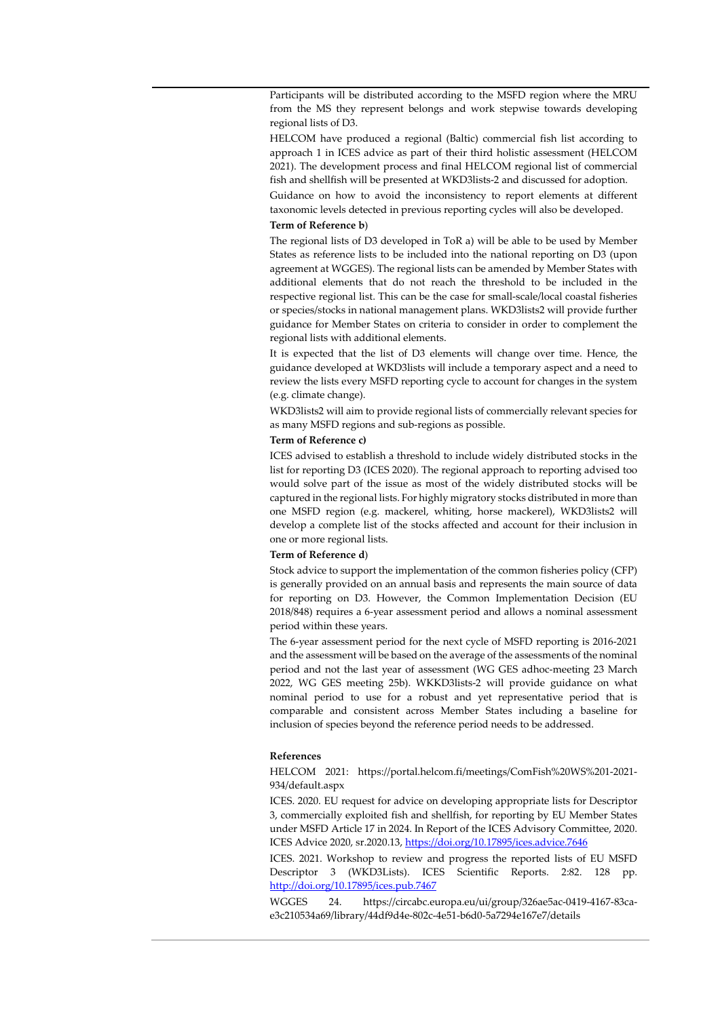Participants will be distributed according to the MSFD region where the MRU from the MS they represent belongs and work stepwise towards developing regional lists of D3.

HELCOM have produced a regional (Baltic) commercial fish list according to approach 1 in ICES advice as part of their third holistic assessment (HELCOM 2021). The development process and final HELCOM regional list of commercial fish and shellfish will be presented at WKD3lists-2 and discussed for adoption.

Guidance on how to avoid the inconsistency to report elements at different taxonomic levels detected in previous reporting cycles will also be developed.

#### **Term of Reference b**)

The regional lists of D3 developed in ToR a) will be able to be used by Member States as reference lists to be included into the national reporting on D3 (upon agreement at WGGES). The regional lists can be amended by Member States with additional elements that do not reach the threshold to be included in the respective regional list. This can be the case for small-scale/local coastal fisheries or species/stocks in national management plans. WKD3lists2 will provide further guidance for Member States on criteria to consider in order to complement the regional lists with additional elements.

It is expected that the list of D3 elements will change over time. Hence, the guidance developed at WKD3lists will include a temporary aspect and a need to review the lists every MSFD reporting cycle to account for changes in the system (e.g. climate change).

WKD3lists2 will aim to provide regional lists of commercially relevant species for as many MSFD regions and sub-regions as possible.

#### **Term of Reference c)**

ICES advised to establish a threshold to include widely distributed stocks in the list for reporting D3 (ICES 2020). The regional approach to reporting advised too would solve part of the issue as most of the widely distributed stocks will be captured in the regional lists. For highly migratory stocks distributed in more than one MSFD region (e.g. mackerel, whiting, horse mackerel), WKD3lists2 will develop a complete list of the stocks affected and account for their inclusion in one or more regional lists.

#### **Term of Reference d**)

Stock advice to support the implementation of the common fisheries policy (CFP) is generally provided on an annual basis and represents the main source of data for reporting on D3. However, the Common Implementation Decision (EU 2018/848) requires a 6-year assessment period and allows a nominal assessment period within these years.

The 6-year assessment period for the next cycle of MSFD reporting is 2016-2021 and the assessment will be based on the average of the assessments of the nominal period and not the last year of assessment (WG GES adhoc-meeting 23 March 2022, WG GES meeting 25b). WKKD3lists-2 will provide guidance on what nominal period to use for a robust and yet representative period that is comparable and consistent across Member States including a baseline for inclusion of species beyond the reference period needs to be addressed.

#### **References**

HELCOM 2021: https://portal.helcom.fi/meetings/ComFish%20WS%201-2021- 934/default.aspx

ICES. 2020. EU request for advice on developing appropriate lists for Descriptor 3, commercially exploited fish and shellfish, for reporting by EU Member States under MSFD Article 17 in 2024. In Report of the ICES Advisory Committee, 2020. ICES Advice 2020, sr.2020.13[, https://doi.org/10.17895/ices.advice.7646](https://doi.org/10.17895/ices.advice.7646)

ICES. 2021. Workshop to review and progress the reported lists of EU MSFD Descriptor 3 (WKD3Lists). ICES Scientific Reports. 2:82. 128 pp. <http://doi.org/10.17895/ices.pub.7467>

WGGES 24. https://circabc.europa.eu/ui/group/326ae5ac-0419-4167-83cae3c210534a69/library/44df9d4e-802c-4e51-b6d0-5a7294e167e7/details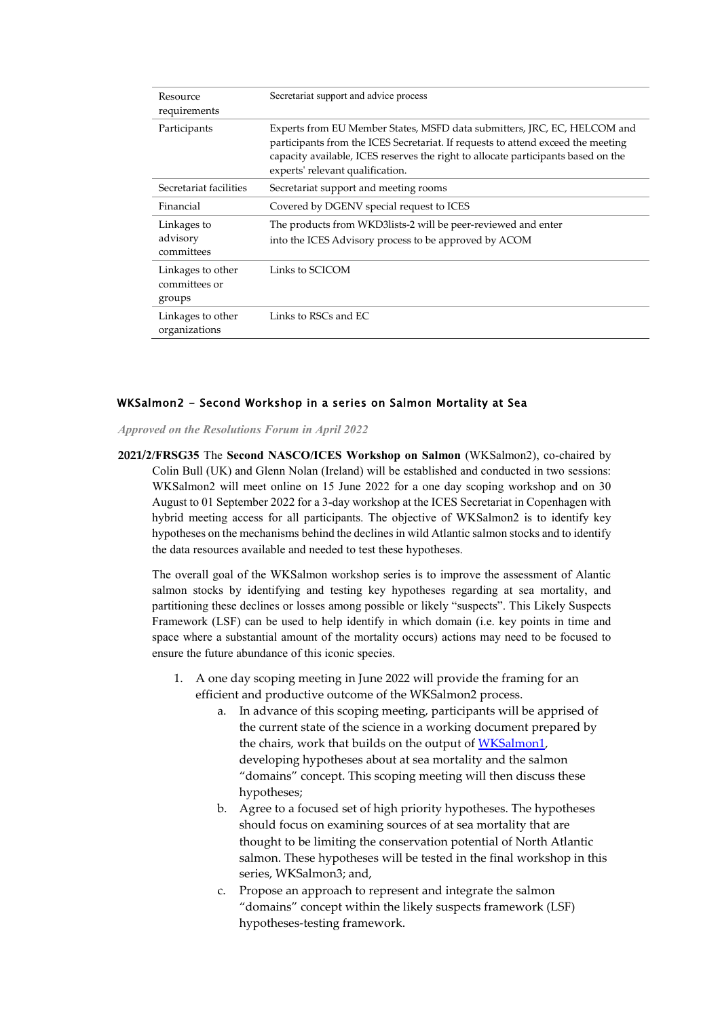| Resource<br>requirements                     | Secretariat support and advice process                                                                                                                                                                                                                                                |  |
|----------------------------------------------|---------------------------------------------------------------------------------------------------------------------------------------------------------------------------------------------------------------------------------------------------------------------------------------|--|
| Participants                                 | Experts from EU Member States, MSFD data submitters, JRC, EC, HELCOM and<br>participants from the ICES Secretariat. If requests to attend exceed the meeting<br>capacity available, ICES reserves the right to allocate participants based on the<br>experts' relevant qualification. |  |
| Secretariat facilities                       | Secretariat support and meeting rooms                                                                                                                                                                                                                                                 |  |
| Financial                                    | Covered by DGENV special request to ICES                                                                                                                                                                                                                                              |  |
| Linkages to<br>advisory<br>committees        | The products from WKD3lists-2 will be peer-reviewed and enter<br>into the ICES Advisory process to be approved by ACOM                                                                                                                                                                |  |
| Linkages to other<br>committees or<br>groups | Links to SCICOM                                                                                                                                                                                                                                                                       |  |
| Linkages to other<br>organizations           | Links to RSCs and EC                                                                                                                                                                                                                                                                  |  |

### <span id="page-53-0"></span>WKSalmon2 - Second Workshop in a series on Salmon Mortality at Sea

*Approved on the Resolutions Forum in April 2022*

**2021/2/FRSG35** The **Second NASCO/ICES Workshop on Salmon** (WKSalmon2), co-chaired by Colin Bull (UK) and Glenn Nolan (Ireland) will be established and conducted in two sessions: WKSalmon2 will meet online on 15 June 2022 for a one day scoping workshop and on 30 August to 01 September 2022 for a 3-day workshop at the ICES Secretariat in Copenhagen with hybrid meeting access for all participants. The objective of WKSalmon2 is to identify key hypotheses on the mechanisms behind the declines in wild Atlantic salmon stocks and to identify the data resources available and needed to test these hypotheses.

The overall goal of the WKSalmon workshop series is to improve the assessment of Alantic salmon stocks by identifying and testing key hypotheses regarding at sea mortality, and partitioning these declines or losses among possible or likely "suspects". This Likely Suspects Framework (LSF) can be used to help identify in which domain (i.e. key points in time and space where a substantial amount of the mortality occurs) actions may need to be focused to ensure the future abundance of this iconic species.

- 1. A one day scoping meeting in June 2022 will provide the framing for an efficient and productive outcome of the WKSalmon2 process.
	- a. In advance of this scoping meeting, participants will be apprised of the current state of the science in a working document prepared by the chairs, work that builds on the output of [WKSalmon1,](https://www.ices.dk/sites/pub/Publication%20Reports/Expert%20Group%20Report/Fisheries%20Resources%20Steering%20Group/2020/wksalmon_2019.pdf) developing hypotheses about at sea mortality and the salmon "domains" concept. This scoping meeting will then discuss these hypotheses;
	- b. Agree to a focused set of high priority hypotheses. The hypotheses should focus on examining sources of at sea mortality that are thought to be limiting the conservation potential of North Atlantic salmon. These hypotheses will be tested in the final workshop in this series, WKSalmon3; and,
	- c. Propose an approach to represent and integrate the salmon "domains" concept within the likely suspects framework (LSF) hypotheses-testing framework.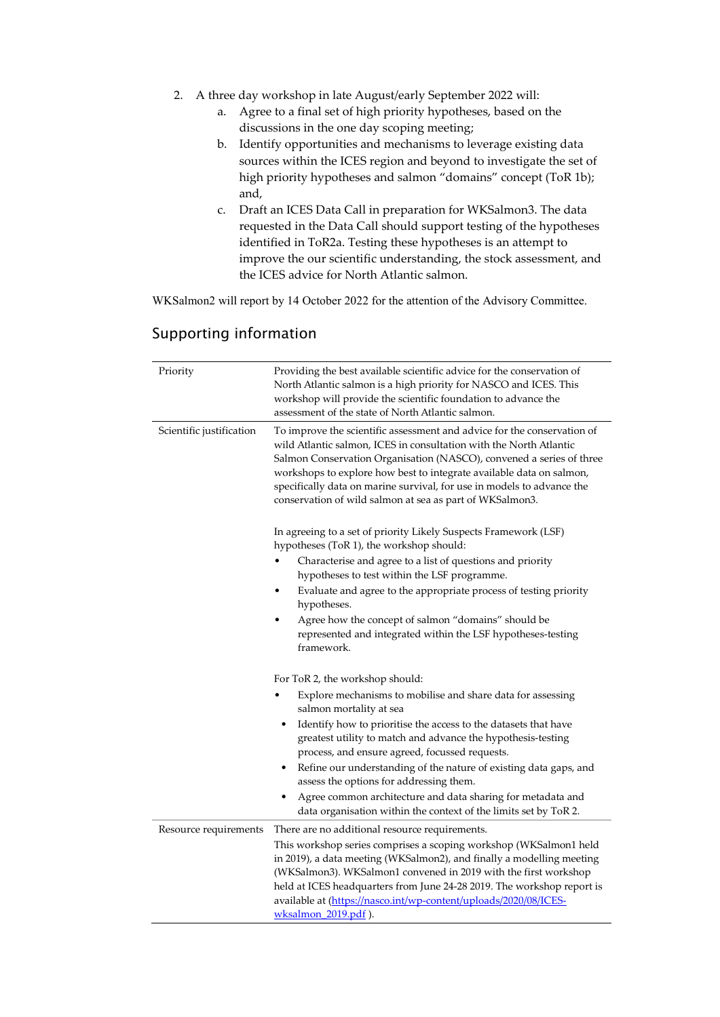- 2. A three day workshop in late August/early September 2022 will:
	- a. Agree to a final set of high priority hypotheses, based on the discussions in the one day scoping meeting;
	- b. Identify opportunities and mechanisms to leverage existing data sources within the ICES region and beyond to investigate the set of high priority hypotheses and salmon "domains" concept (ToR 1b); and,
	- c. Draft an ICES Data Call in preparation for WKSalmon3. The data requested in the Data Call should support testing of the hypotheses identified in ToR2a. Testing these hypotheses is an attempt to improve the our scientific understanding, the stock assessment, and the ICES advice for North Atlantic salmon.

WKSalmon2 will report by 14 October 2022 for the attention of the Advisory Committee.

| Priority                 | Providing the best available scientific advice for the conservation of<br>North Atlantic salmon is a high priority for NASCO and ICES. This<br>workshop will provide the scientific foundation to advance the<br>assessment of the state of North Atlantic salmon.                                                                                                                                                                  |  |
|--------------------------|-------------------------------------------------------------------------------------------------------------------------------------------------------------------------------------------------------------------------------------------------------------------------------------------------------------------------------------------------------------------------------------------------------------------------------------|--|
| Scientific justification | To improve the scientific assessment and advice for the conservation of<br>wild Atlantic salmon, ICES in consultation with the North Atlantic<br>Salmon Conservation Organisation (NASCO), convened a series of three<br>workshops to explore how best to integrate available data on salmon,<br>specifically data on marine survival, for use in models to advance the<br>conservation of wild salmon at sea as part of WKSalmon3. |  |
|                          | In agreeing to a set of priority Likely Suspects Framework (LSF)<br>hypotheses (ToR 1), the workshop should:                                                                                                                                                                                                                                                                                                                        |  |
|                          | Characterise and agree to a list of questions and priority<br>hypotheses to test within the LSF programme.                                                                                                                                                                                                                                                                                                                          |  |
|                          | Evaluate and agree to the appropriate process of testing priority<br>hypotheses.                                                                                                                                                                                                                                                                                                                                                    |  |
|                          | Agree how the concept of salmon "domains" should be<br>represented and integrated within the LSF hypotheses-testing<br>framework.                                                                                                                                                                                                                                                                                                   |  |
|                          | For ToR 2, the workshop should:                                                                                                                                                                                                                                                                                                                                                                                                     |  |
|                          | Explore mechanisms to mobilise and share data for assessing<br>salmon mortality at sea                                                                                                                                                                                                                                                                                                                                              |  |
|                          | Identify how to prioritise the access to the datasets that have<br>٠<br>greatest utility to match and advance the hypothesis-testing<br>process, and ensure agreed, focussed requests.                                                                                                                                                                                                                                              |  |
|                          | Refine our understanding of the nature of existing data gaps, and<br>٠<br>assess the options for addressing them.                                                                                                                                                                                                                                                                                                                   |  |
|                          | Agree common architecture and data sharing for metadata and<br>data organisation within the context of the limits set by ToR 2.                                                                                                                                                                                                                                                                                                     |  |
| Resource requirements    | There are no additional resource requirements.                                                                                                                                                                                                                                                                                                                                                                                      |  |
|                          | This workshop series comprises a scoping workshop (WKSalmon1 held<br>in 2019), a data meeting (WKSalmon2), and finally a modelling meeting<br>(WKSalmon3). WKSalmon1 convened in 2019 with the first workshop<br>held at ICES headquarters from June 24-28 2019. The workshop report is<br>available at (https://nasco.int/wp-content/uploads/2020/08/ICES-                                                                         |  |
|                          | $w$ ksalmon 2019.pdf).                                                                                                                                                                                                                                                                                                                                                                                                              |  |

# Supporting information